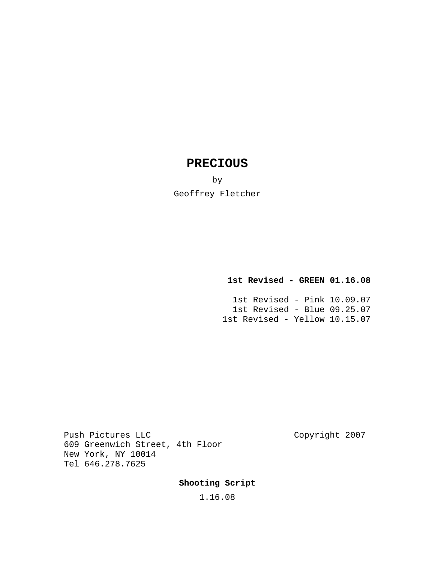# **PRECIOUS**

by Geoffrey Fletcher

### **1st Revised - GREEN 01.16.08**

1st Revised - Pink 10.09.07 1st Revised - Blue 09.25.07 1st Revised - Yellow 10.15.07

Push Pictures LLC and the Copyright 2007 609 Greenwich Street, 4th Floor New York, NY 10014 Tel 646.278.7625

**Shooting Script** 

1.16.08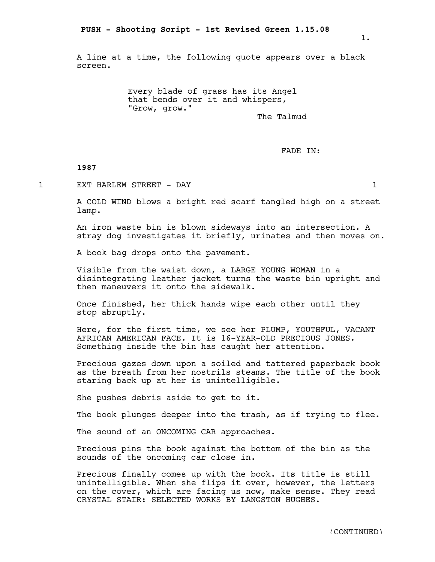A line at a time, the following quote appears over a black screen.

> Every blade of grass has its Angel that bends over it and whispers, "Grow, grow." The Talmud

> > FADE IN:

**1987**

1 EXT HARLEM STREET – DAY 1

A COLD WIND blows a bright red scarf tangled high on a street lamp.

An iron waste bin is blown sideways into an intersection. A stray dog investigates it briefly, urinates and then moves on.

A book bag drops onto the pavement.

Visible from the waist down, a LARGE YOUNG WOMAN in a disintegrating leather jacket turns the waste bin upright and then maneuvers it onto the sidewalk.

Once finished, her thick hands wipe each other until they stop abruptly.

Here, for the first time, we see her PLUMP, YOUTHFUL, VACANT AFRICAN AMERICAN FACE. It is 16-YEAR-OLD PRECIOUS JONES. Something inside the bin has caught her attention.

Precious gazes down upon a soiled and tattered paperback book as the breath from her nostrils steams. The title of the book staring back up at her is unintelligible.

She pushes debris aside to get to it.

The book plunges deeper into the trash, as if trying to flee.

The sound of an ONCOMING CAR approaches.

Precious pins the book against the bottom of the bin as the sounds of the oncoming car close in.

Precious finally comes up with the book. Its title is still unintelligible. When she flips it over, however, the letters on the cover, which are facing us now, make sense. They read CRYSTAL STAIR: SELECTED WORKS BY LANGSTON HUGHES.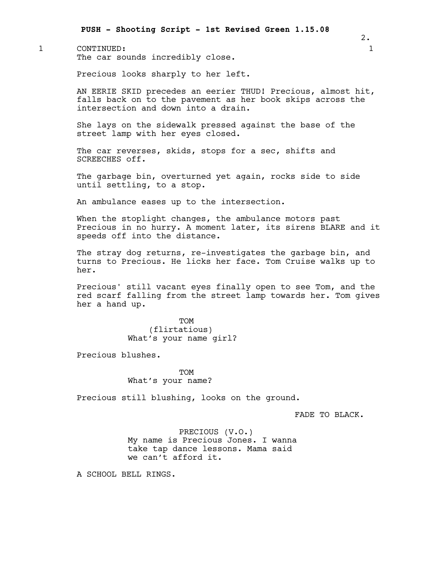The car sounds incredibly close. 1 CONTINUED: 1

Precious looks sharply to her left.

AN EERIE SKID precedes an eerier THUD! Precious, almost hit, falls back on to the pavement as her book skips across the intersection and down into a drain.

She lays on the sidewalk pressed against the base of the street lamp with her eyes closed.

The car reverses, skids, stops for a sec, shifts and SCREECHES off.

The garbage bin, overturned yet again, rocks side to side until settling, to a stop.

An ambulance eases up to the intersection.

When the stoplight changes, the ambulance motors past Precious in no hurry. A moment later, its sirens BLARE and it speeds off into the distance.

The stray dog returns, re-investigates the garbage bin, and turns to Precious. He licks her face. Tom Cruise walks up to her.

Precious' still vacant eyes finally open to see Tom, and the red scarf falling from the street lamp towards her. Tom gives her a hand up.

> TOM (flirtatious) What's your name girl?

Precious blushes.

### TOM What's your name?

Precious still blushing, looks on the ground.

FADE TO BLACK.

PRECIOUS (V.O.) My name is Precious Jones. I wanna take tap dance lessons. Mama said we can't afford it.

A SCHOOL BELL RINGS.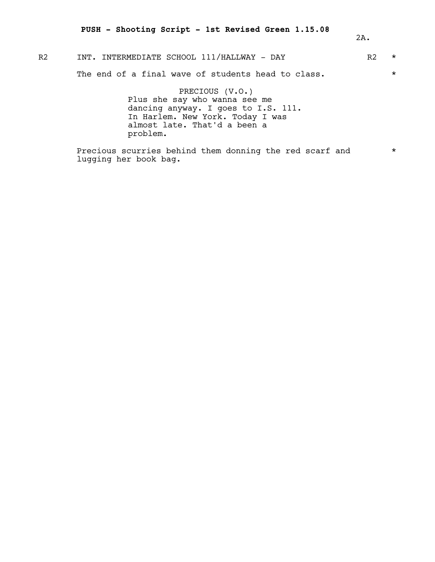2A.

| R <sub>2</sub> | INT. INTERMEDIATE SCHOOL 111/HALLWAY - DAY                                                                                  | $\star$ |
|----------------|-----------------------------------------------------------------------------------------------------------------------------|---------|
|                | The end of a final wave of students head to class.                                                                          | $\star$ |
|                | PRECIOUS (V.O.)<br>Plus she say who wanna see me<br>dancing anyway. I goes to I.S. 111.<br>In Harlem. New York. Today I was |         |

almost late. That'd a been a problem.

Precious scurries behind them donning the red scarf and  $*$ lugging her book bag.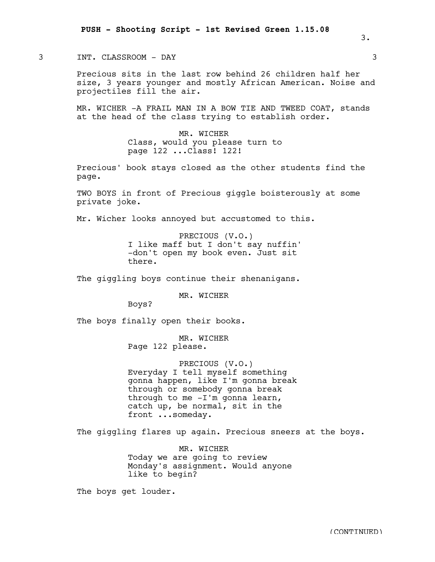3 INT. CLASSROOM – DAY 3

Precious sits in the last row behind 26 children half her size, 3 years younger and mostly African American. Noise and projectiles fill the air.

MR. WICHER -A FRAIL MAN IN A BOW TIE AND TWEED COAT, stands at the head of the class trying to establish order.

> MR. WICHER Class, would you please turn to page 122 ...Class! 122!

Precious' book stays closed as the other students find the page.

TWO BOYS in front of Precious giggle boisterously at some private joke.

Mr. Wicher looks annoyed but accustomed to this.

PRECIOUS (V.O.) I like maff but I don't say nuffin' -don't open my book even. Just sit there.

The giggling boys continue their shenanigans.

MR. WICHER

Boys?

The boys finally open their books.

MR. WICHER Page 122 please.

PRECIOUS (V.O.) Everyday I tell myself something gonna happen, like I'm gonna break through or somebody gonna break through to me -I'm gonna learn, catch up, be normal, sit in the front ...someday.

The giggling flares up again. Precious sneers at the boys.

MR. WICHER Today we are going to review Monday's assignment. Would anyone like to begin?

The boys get louder.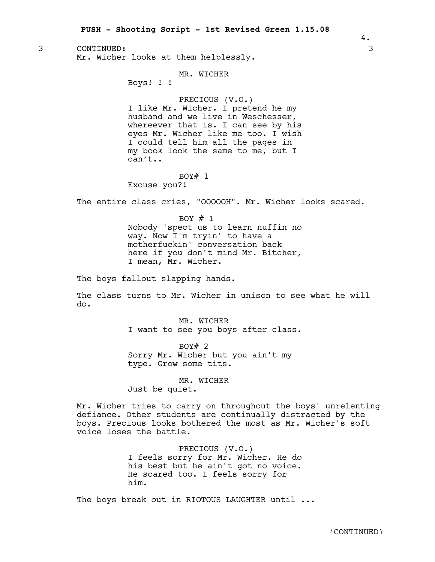Mr. Wicher looks at them helplessly. 3 CONTINUED: 3

MR. WICHER

Boys! ! !

# PRECIOUS (V.O.)

I like Mr. Wicher. I pretend he my husband and we live in Weschesser, whereever that is. I can see by his eyes Mr. Wicher like me too. I wish I could tell him all the pages in my book look the same to me, but I can't..

#### $BOY# 1$

Excuse you?!

The entire class cries, "OOOOOH". Mr. Wicher looks scared.

BOY  $# 1$ Nobody 'spect us to learn nuffin no way. Now I'm tryin' to have a motherfuckin' conversation back here if you don't mind Mr. Bitcher, I mean, Mr. Wicher.

The boys fallout slapping hands.

The class turns to Mr. Wicher in unison to see what he will do.

> MR. WICHER I want to see you boys after class.

 $BOY# 2$ Sorry Mr. Wicher but you ain't my type. Grow some tits.

MR. WICHER Just be quiet.

Mr. Wicher tries to carry on throughout the boys' unrelenting defiance. Other students are continually distracted by the boys. Precious looks bothered the most as Mr. Wicher's soft voice loses the battle.

> PRECIOUS (V.O.) I feels sorry for Mr. Wicher. He do his best but he ain't got no voice. He scared too. I feels sorry for him.

The boys break out in RIOTOUS LAUGHTER until ...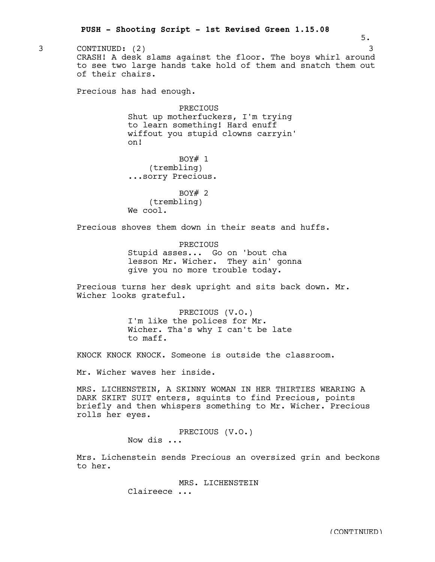CRASH! A desk slams against the floor. The boys whirl around to see two large hands take hold of them and snatch them out of their chairs. 3 CONTINUED: (2) 3

Precious has had enough.

PRECIOUS Shut up motherfuckers, I'm trying to learn something! Hard enuff wiffout you stupid clowns carryin' on!

BOY# 1 (trembling) ...sorry Precious.

 $BOY# 2$ (trembling) We cool.

Precious shoves them down in their seats and huffs.

PRECIOUS Stupid asses... Go on 'bout cha lesson Mr. Wicher. They ain' gonna give you no more trouble today.

Precious turns her desk upright and sits back down. Mr. Wicher looks grateful.

> PRECIOUS (V.O.) I'm like the polices for Mr. Wicher. Tha's why I can't be late to maff.

KNOCK KNOCK KNOCK. Someone is outside the classroom.

Mr. Wicher waves her inside.

MRS. LICHENSTEIN, A SKINNY WOMAN IN HER THIRTIES WEARING A DARK SKIRT SUIT enters, squints to find Precious, points briefly and then whispers something to Mr. Wicher. Precious rolls her eyes.

PRECIOUS (V.O.)

Now dis ...

Mrs. Lichenstein sends Precious an oversized grin and beckons to her.

> MRS. LICHENSTEIN Claireece ...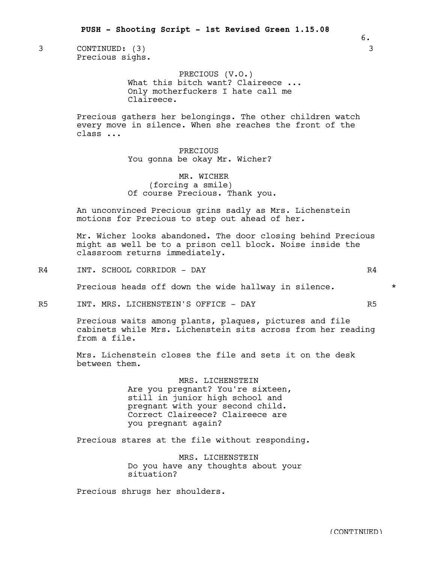Precious sighs. 3 CONTINUED: (3) 3

> PRECIOUS (V.O.) What this bitch want? Claireece ... Only motherfuckers I hate call me Claireece.

Precious gathers her belongings. The other children watch every move in silence. When she reaches the front of the class ...

> PRECIOUS You gonna be okay Mr. Wicher?

MR. WICHER (forcing a smile) Of course Precious. Thank you.

An unconvinced Precious grins sadly as Mrs. Lichenstein motions for Precious to step out ahead of her.

Mr. Wicher looks abandoned. The door closing behind Precious might as well be to a prison cell block. Noise inside the classroom returns immediately.

R4 INT. SCHOOL CORRIDOR - DAY R4

Precious heads off down the wide hallway in silence.  $*$ 

R5 INT. MRS. LICHENSTEIN'S OFFICE – DAY R5

Precious waits among plants, plaques, pictures and file cabinets while Mrs. Lichenstein sits across from her reading from a file.

Mrs. Lichenstein closes the file and sets it on the desk between them.

> MRS. LICHENSTEIN Are you pregnant? You're sixteen, still in junior high school and pregnant with your second child. Correct Claireece? Claireece are you pregnant again?

Precious stares at the file without responding.

MRS. LICHENSTEIN Do you have any thoughts about your situation?

Precious shrugs her shoulders.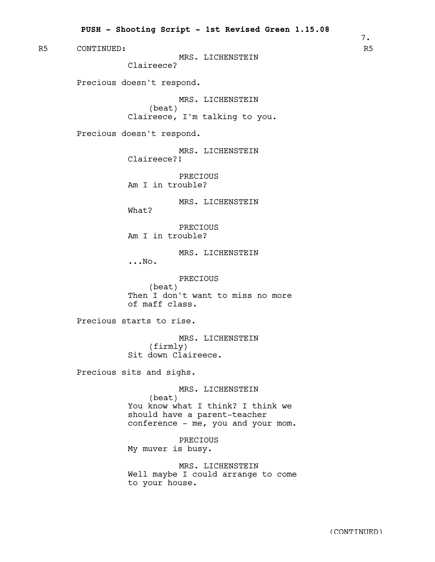MRS. LICHENSTEIN Claireece? Precious doesn't respond. MRS. LICHENSTEIN (beat) Claireece, I'm talking to you. Precious doesn't respond. MRS. LICHENSTEIN Claireece?! PRECIOUS Am I in trouble? MRS. LICHENSTEIN What? PRECIOUS Am I in trouble? MRS. LICHENSTEIN ...No. PRECIOUS (beat) Then I don't want to miss no more of maff class. Precious starts to rise. MRS. LICHENSTEIN (firmly) Sit down Claireece. Precious sits and sighs. MRS. LICHENSTEIN (beat) You know what I think? I think we should have a parent-teacher conference - me, you and your mom. PRECIOUS My muver is busy. MRS. LICHENSTEIN Well maybe I could arrange to come to your house. **PUSH - Shooting Script - 1st Revised Green 1.15.08** 7. R5 CONTINUED: R5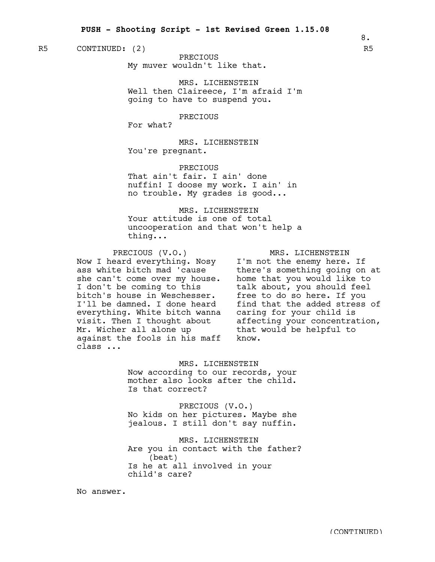R5 CONTINUED: (2) R5

PRECIOUS My muver wouldn't like that.

MRS. LICHENSTEIN Well then Claireece, I'm afraid I'm going to have to suspend you.

PRECIOUS

For what?

MRS. LICHENSTEIN You're pregnant.

PRECIOUS That ain't fair. I ain' done nuffin! I doose my work. I ain' in no trouble. My grades is good...

MRS. LICHENSTEIN Your attitude is one of total uncooperation and that won't help a thing...

PRECIOUS (V.O.) Now I heard everything. Nosy ass white bitch mad 'cause she can't come over my house. home that you would like to I don't be coming to this bitch's house in Weschesser. I'll be damned. I done heard everything. White bitch wanna caring for your child is visit. Then I thought about affecting your concentration, Mr. Wicher all alone up against the fools in his maff know. class ...

MRS. LICHENSTEIN I'm not the enemy here. If there's something going on at \* talk about, you should feel free to do so here. If you find that the added stress of that would be helpful to

MRS. LICHENSTEIN Now according to our records, your mother also looks after the child. Is that correct?

PRECIOUS (V.O.) No kids on her pictures. Maybe she jealous. I still don't say nuffin.

MRS. LICHENSTEIN Are you in contact with the father? (beat) Is he at all involved in your child's care?

No answer.

(CONTINUED)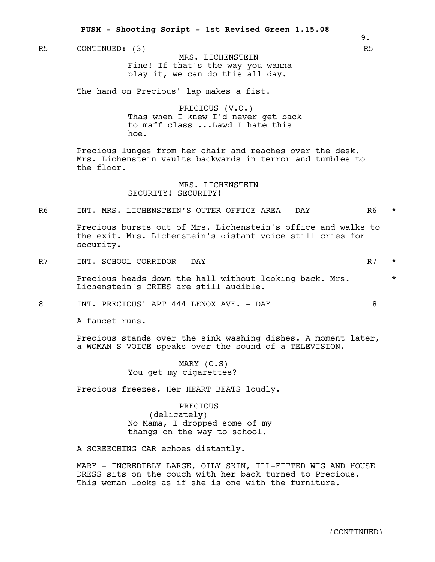R5 CONTINUED: (3) R5

MRS. LICHENSTEIN Fine! If that's the way you wanna play it, we can do this all day.

The hand on Precious' lap makes a fist.

PRECIOUS (V.O.) Thas when I knew I'd never get back to maff class ...Lawd I hate this hoe.

Precious lunges from her chair and reaches over the desk. Mrs. Lichenstein vaults backwards in terror and tumbles to the floor.

#### MRS. LICHENSTEIN SECURITY! SECURITY!

R6 INT. MRS. LICHENSTEIN'S OUTER OFFICE AREA - DAY R6 \*

Precious bursts out of Mrs. Lichenstein's office and walks to the exit. Mrs. Lichenstein's distant voice still cries for security.

R7 INT. SCHOOL CORRIDOR - DAY R7 \*

Precious heads down the hall without looking back. Mrs.  $*$ Lichenstein's CRIES are still audible.

8 INT. PRECIOUS' APT 444 LENOX AVE. - DAY 8

A faucet runs.

Precious stands over the sink washing dishes. A moment later, a WOMAN'S VOICE speaks over the sound of a TELEVISION.

> MARY (O.S) You get my cigarettes?

Precious freezes. Her HEART BEATS loudly.

PRECIOUS (delicately) No Mama, I dropped some of my thangs on the way to school.

A SCREECHING CAR echoes distantly.

MARY - INCREDIBLY LARGE, OILY SKIN, ILL-FITTED WIG AND HOUSE DRESS sits on the couch with her back turned to Precious. This woman looks as if she is one with the furniture.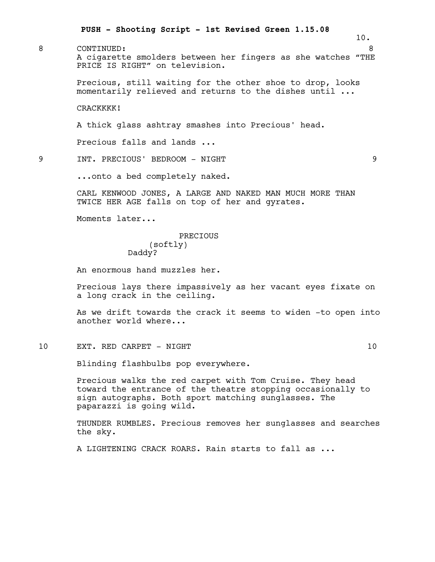A cigarette smolders between her fingers as she watches "THE PRICE IS RIGHT" on television. Precious, still waiting for the other shoe to drop, looks momentarily relieved and returns to the dishes until ... CRACKKKK! A thick glass ashtray smashes into Precious' head. Precious falls and lands ... 9 INT. PRECIOUS' BEDROOM – NIGHT 9 ...onto a bed completely naked. CARL KENWOOD JONES, A LARGE AND NAKED MAN MUCH MORE THAN TWICE HER AGE falls on top of her and gyrates. Moments later... PRECIOUS (softly) Daddy? An enormous hand muzzles her. Precious lays there impassively as her vacant eyes fixate on a long crack in the ceiling. **PUSH - Shooting Script - 1st Revised Green 1.15.08** 10. 8 CONTINUED: 8

> As we drift towards the crack it seems to widen -to open into another world where...

10 EXT. RED CARPET - NIGHT 10

Blinding flashbulbs pop everywhere.

Precious walks the red carpet with Tom Cruise. They head toward the entrance of the theatre stopping occasionally to sign autographs. Both sport matching sunglasses. The paparazzi is going wild.

THUNDER RUMBLES. Precious removes her sunglasses and searches the sky.

A LIGHTENING CRACK ROARS. Rain starts to fall as ...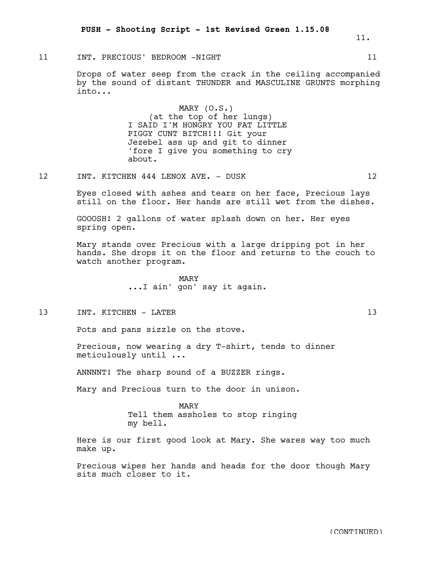11 INT. PRECIOUS' BEDROOM -NIGHT 11 21

Drops of water seep from the crack in the ceiling accompanied by the sound of distant THUNDER and MASCULINE GRUNTS morphing into...

> MARY (O.S.) (at the top of her lungs) I SAID I'M HONGRY YOU FAT LITTLE PIGGY CUNT BITCH!!! Git your Jezebel ass up and git to dinner 'fore I give you something to cry about.

12 INT. KITCHEN 444 LENOX AVE. - DUSK 12

Eyes closed with ashes and tears on her face, Precious lays still on the floor. Her hands are still wet from the dishes.

GOOOSH! 2 gallons of water splash down on her. Her eyes spring open.

Mary stands over Precious with a large dripping pot in her hands. She drops it on the floor and returns to the couch to watch another program.

> MARY ...I ain' gon' say it again.

13 INT. KITCHEN – LATER 13

Pots and pans sizzle on the stove.

Precious, now wearing a dry T-shirt, tends to dinner meticulously until ...

ANNNNT! The sharp sound of a BUZZER rings.

Mary and Precious turn to the door in unison.

MARY Tell them assholes to stop ringing my bell.

Here is our first good look at Mary. She wares way too much make up.

Precious wipes her hands and heads for the door though Mary sits much closer to it.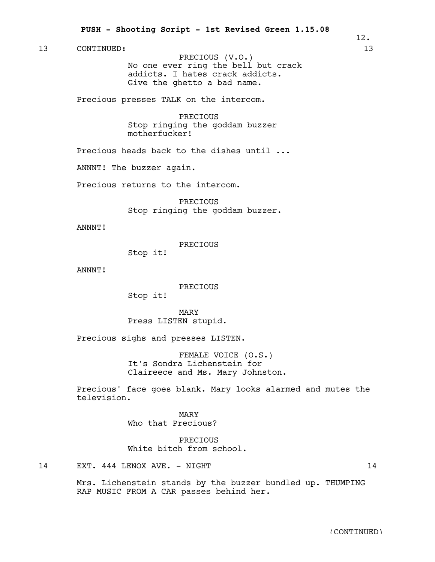13 CONTINUED: 13

PRECIOUS (V.O.) No one ever ring the bell but crack addicts. I hates crack addicts. Give the ghetto a bad name.

Precious presses TALK on the intercom.

PRECIOUS Stop ringing the goddam buzzer motherfucker!

Precious heads back to the dishes until ...

ANNNT! The buzzer again.

Precious returns to the intercom.

PRECIOUS Stop ringing the goddam buzzer.

ANNNT!

PRECIOUS

Stop it!

ANNNT!

PRECIOUS

Stop it!

MARY Press LISTEN stupid.

Precious sighs and presses LISTEN.

FEMALE VOICE (O.S.) It's Sondra Lichenstein for Claireece and Ms. Mary Johnston.

Precious' face goes blank. Mary looks alarmed and mutes the television.

> MARY Who that Precious?

PRECIOUS White bitch from school.

14 EXT. 444 LENOX AVE. - NIGHT 14

Mrs. Lichenstein stands by the buzzer bundled up. THUMPING RAP MUSIC FROM A CAR passes behind her.

(CONTINUED)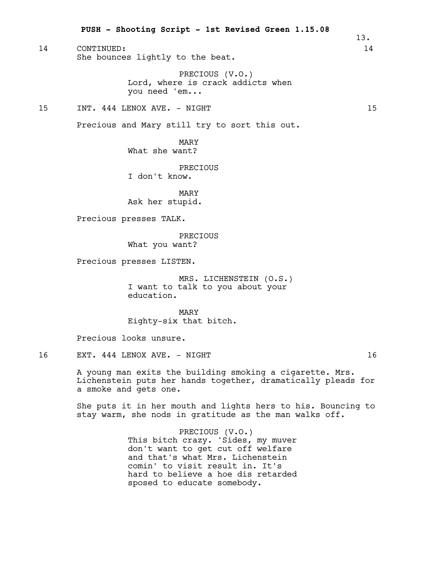She bounces lightly to the beat. PRECIOUS (V.O.) Lord, where is crack addicts when you need 'em... 15 INT. 444 LENOX AVE. - NIGHT 15 15 Precious and Mary still try to sort this out. MARY What she want? PRECIOUS I don't know. MARY Ask her stupid. Precious presses TALK. PRECIOUS What you want? Precious presses LISTEN. MRS. LICHENSTEIN (O.S.) I want to talk to you about your education. MARY Eighty-six that bitch. Precious looks unsure. 16 EXT. 444 LENOX AVE. - NIGHT 16 A young man exits the building smoking a cigarette. Mrs. Lichenstein puts her hands together, dramatically pleads for a smoke and gets one. She puts it in her mouth and lights hers to his. Bouncing to stay warm, she nods in gratitude as the man walks off. PRECIOUS (V.O.) This bitch crazy. 'Sides, my muver don't want to get cut off welfare and that's what Mrs. Lichenstein comin' to visit result in. It's hard to believe a hoe dis retarded sposed to educate somebody. **PUSH - Shooting Script - 1st Revised Green 1.15.08** 13. 14 CONTINUED: 14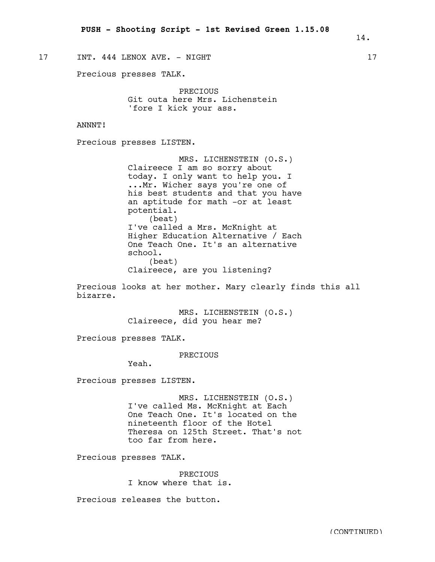17 INT. 444 LENOX AVE. - NIGHT 17

Precious presses TALK.

PRECIOUS Git outa here Mrs. Lichenstein 'fore I kick your ass.

ANNNT!

Precious presses LISTEN.

MRS. LICHENSTEIN (O.S.) Claireece I am so sorry about today. I only want to help you. I ...Mr. Wicher says you're one of his best students and that you have an aptitude for math -or at least potential. (beat) I've called a Mrs. McKnight at Higher Education Alternative / Each One Teach One. It's an alternative school. (beat) Claireece, are you listening?

Precious looks at her mother. Mary clearly finds this all bizarre.

> MRS. LICHENSTEIN (O.S.) Claireece, did you hear me?

Precious presses TALK.

PRECIOUS

Yeah.

Precious presses LISTEN.

MRS. LICHENSTEIN (O.S.) I've called Ms. McKnight at Each One Teach One. It's located on the nineteenth floor of the Hotel Theresa on 125th Street. That's not too far from here.

Precious presses TALK.

**PRECTOUS** I know where that is.

Precious releases the button.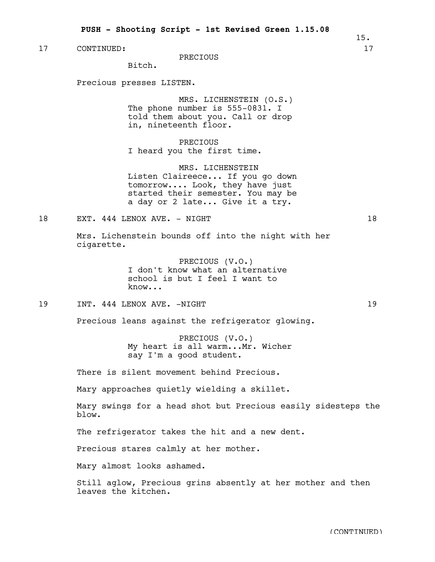17 CONTINUED: 17

PRECIOUS

Bitch.

Precious presses LISTEN.

MRS. LICHENSTEIN (O.S.) The phone number is 555-0831. I told them about you. Call or drop in, nineteenth floor.

PRECIOUS I heard you the first time.

MRS. LICHENSTEIN Listen Claireece... If you go down tomorrow.... Look, they have just started their semester. You may be a day or 2 late... Give it a try.

18 EXT. 444 LENOX AVE. - NIGHT 18

Mrs. Lichenstein bounds off into the night with her cigarette.

> PRECIOUS (V.O.) I don't know what an alternative school is but I feel I want to know...

19 INT. 444 LENOX AVE. -NIGHT 19 19

Precious leans against the refrigerator glowing.

PRECIOUS (V.O.) My heart is all warm...Mr. Wicher say I'm a good student.

There is silent movement behind Precious.

Mary approaches quietly wielding a skillet.

Mary swings for a head shot but Precious easily sidesteps the blow.

The refrigerator takes the hit and a new dent.

Precious stares calmly at her mother.

Mary almost looks ashamed.

Still aglow, Precious grins absently at her mother and then leaves the kitchen.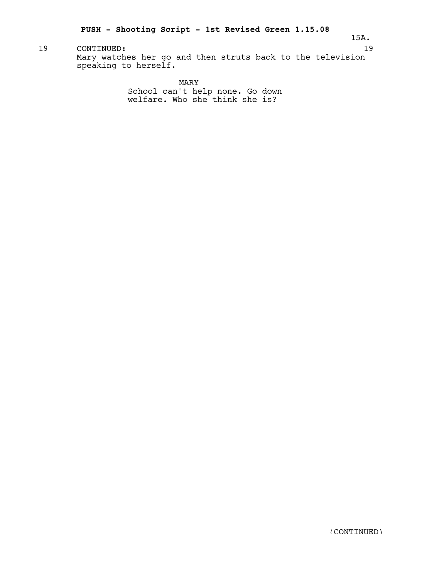Mary watches her go and then struts back to the television speaking to herself. 19 CONTINUED: 19

> MARY School can't help none. Go down welfare. Who she think she is?

15A.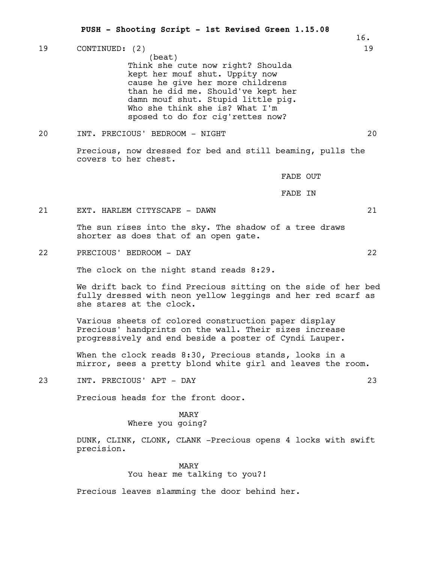(beat) Think she cute now right? Shoulda kept her mouf shut. Uppity now cause he give her more childrens than he did me. Should've kept her damn mouf shut. Stupid little pig. Who she think she is? What I'm sposed to do for cig'rettes now? 20 INT. PRECIOUS' BEDROOM - NIGHT 20 Precious, now dressed for bed and still beaming, pulls the covers to her chest. FADE OUT FADE IN 21 EXT. HARLEM CITYSCAPE - DAWN 21 The sun rises into the sky. The shadow of a tree draws shorter as does that of an open gate. 22 PRECIOUS' BEDROOM - DAY 22 The clock on the night stand reads 8:29. We drift back to find Precious sitting on the side of her bed fully dressed with neon yellow leggings and her red scarf as she stares at the clock. Various sheets of colored construction paper display Precious' handprints on the wall. Their sizes increase progressively and end beside a poster of Cyndi Lauper. When the clock reads 8:30, Precious stands, looks in a mirror, sees a pretty blond white girl and leaves the room. 23 INT. PRECIOUS' APT – DAY 23 Precious heads for the front door. **PUSH - Shooting Script - 1st Revised Green 1.15.08** 16. 19 CONTINUED: (2) 19

> MARY Where you going?

DUNK, CLINK, CLONK, CLANK -Precious opens 4 locks with swift precision.

> MARY You hear me talking to you?!

Precious leaves slamming the door behind her.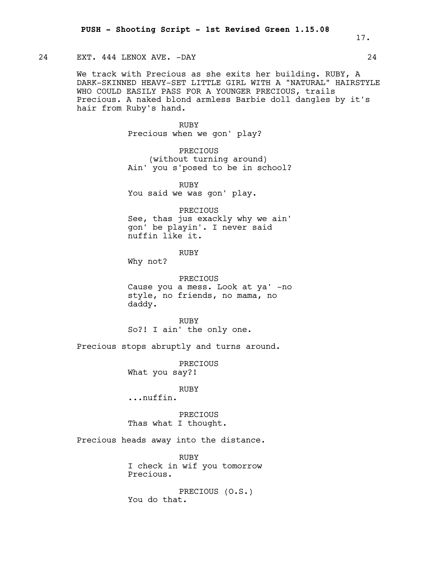24 EXT. 444 LENOX AVE. -DAY 24

We track with Precious as she exits her building. RUBY, A DARK-SKINNED HEAVY-SET LITTLE GIRL WITH A "NATURAL" HAIRSTYLE WHO COULD EASILY PASS FOR A YOUNGER PRECIOUS, trails Precious. A naked blond armless Barbie doll dangles by it's hair from Ruby's hand.

> RUBY Precious when we gon' play?

PRECIOUS (without turning around) Ain' you s'posed to be in school?

RUBY You said we was gon' play.

PRECIOUS See, thas jus exackly why we ain' gon' be playin'. I never said nuffin like it.

RUBY

Why not?

PRECIOUS Cause you a mess. Look at ya' -no style, no friends, no mama, no daddy.

RUBY So?! I ain' the only one.

Precious stops abruptly and turns around.

PRECIOUS What you say?!

RUBY

...nuffin.

PRECIOUS Thas what I thought.

Precious heads away into the distance.

RUBY I check in wif you tomorrow Precious.

PRECIOUS (O.S.) You do that.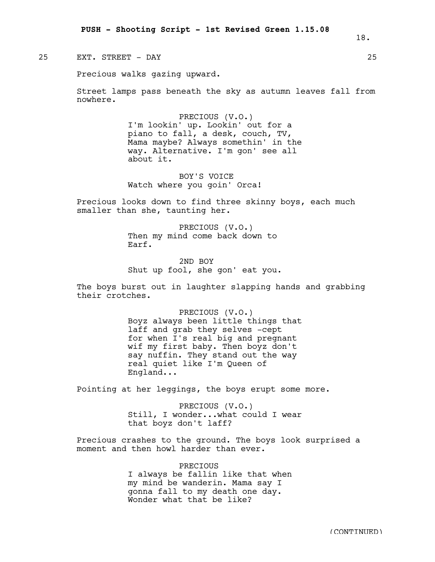25 EXT. STREET - DAY 25

18.

Precious walks gazing upward.

Street lamps pass beneath the sky as autumn leaves fall from nowhere.

> PRECIOUS (V.O.) I'm lookin' up. Lookin' out for a piano to fall, a desk, couch, TV, Mama maybe? Always somethin' in the way. Alternative. I'm gon' see all about it.

BOY'S VOICE Watch where you goin' Orca!

Precious looks down to find three skinny boys, each much smaller than she, taunting her.

> PRECIOUS (V.O.) Then my mind come back down to Earf.

2ND BOY Shut up fool, she gon' eat you.

The boys burst out in laughter slapping hands and grabbing their crotches.

> PRECIOUS (V.O.) Boyz always been little things that laff and grab they selves -cept for when I's real big and pregnant wif my first baby. Then boyz don't say nuffin. They stand out the way real quiet like I'm Queen of England...

Pointing at her leggings, the boys erupt some more.

PRECIOUS (V.O.) Still, I wonder...what could I wear that boyz don't laff?

Precious crashes to the ground. The boys look surprised a moment and then howl harder than ever.

> PRECIOUS I always be fallin like that when my mind be wanderin. Mama say I gonna fall to my death one day. Wonder what that be like?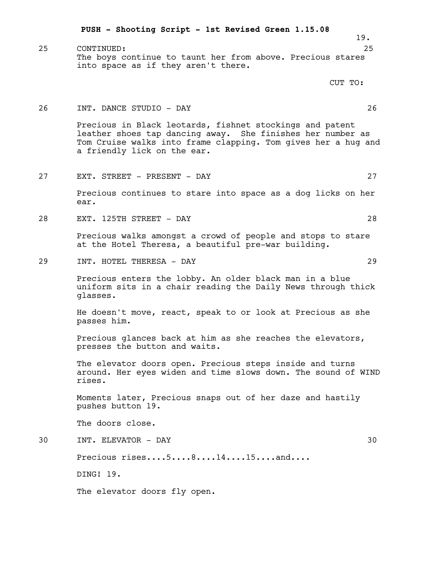The boys continue to taunt her from above. Precious stares into space as if they aren't there. 25 CONTINUED: 25

CUT TO:

### 26 INT. DANCE STUDIO - DAY 26

Precious in Black leotards, fishnet stockings and patent leather shoes tap dancing away. She finishes her number as Tom Cruise walks into frame clapping. Tom gives her a hug and a friendly lick on the ear.

27 EXT. STREET - PRESENT - DAY 27

Precious continues to stare into space as a dog licks on her ear.

28 EXT. 125TH STREET - DAY 28

Precious walks amongst a crowd of people and stops to stare at the Hotel Theresa, a beautiful pre-war building.

29 INT. HOTEL THERESA - DAY 29

Precious enters the lobby. An older black man in a blue uniform sits in a chair reading the Daily News through thick glasses.

He doesn't move, react, speak to or look at Precious as she passes him.

Precious glances back at him as she reaches the elevators, presses the button and waits.

The elevator doors open. Precious steps inside and turns around. Her eyes widen and time slows down. The sound of WIND rises.

Moments later, Precious snaps out of her daze and hastily pushes button 19.

The doors close.

30 INT. ELEVATOR - DAY 30

Precious rises....5....8....14....15....and....

DING! 19.

The elevator doors fly open.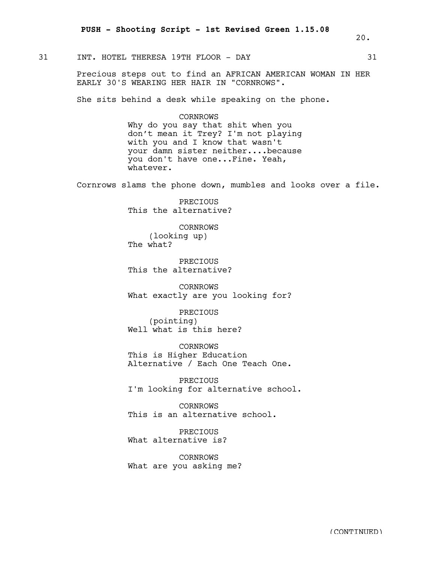20.

31 INT. HOTEL THERESA 19TH FLOOR - DAY 31

Precious steps out to find an AFRICAN AMERICAN WOMAN IN HER EARLY 30'S WEARING HER HAIR IN "CORNROWS".

She sits behind a desk while speaking on the phone.

CORNROWS

Why do you say that shit when you don't mean it Trey? I'm not playing with you and I know that wasn't your damn sister neither....because you don't have one...Fine. Yeah, whatever.

Cornrows slams the phone down, mumbles and looks over a file.

PRECIOUS This the alternative?

CORNROWS (looking up) The what?

PRECIOUS This the alternative?

CORNROWS What exactly are you looking for?

PRECIOUS (pointing) Well what is this here?

CORNROWS This is Higher Education Alternative / Each One Teach One.

PRECIOUS I'm looking for alternative school.

CORNROWS This is an alternative school.

PRECIOUS What alternative is?

CORNROWS What are you asking me?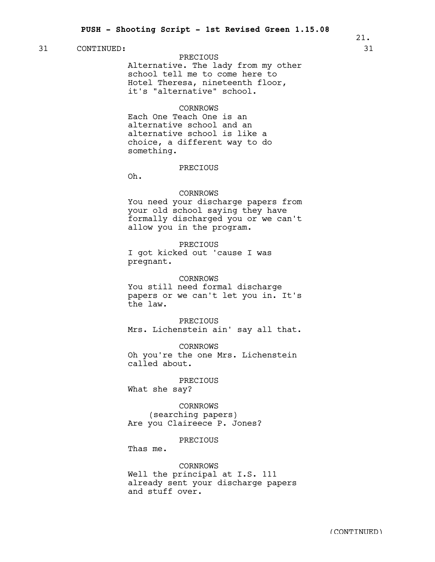### 31 CONTINUED: 31

PRECIOUS

Alternative. The lady from my other school tell me to come here to Hotel Theresa, nineteenth floor, it's "alternative" school.

### CORNROWS

Each One Teach One is an alternative school and an alternative school is like a choice, a different way to do something.

### PRECIOUS

Oh.

#### CORNROWS

You need your discharge papers from your old school saying they have formally discharged you or we can't allow you in the program.

#### PRECIOUS

I got kicked out 'cause I was pregnant.

#### CORNROWS

You still need formal discharge papers or we can't let you in. It's the law.

PRECIOUS Mrs. Lichenstein ain' say all that.

CORNROWS Oh you're the one Mrs. Lichenstein called about.

### PRECIOUS

What she say?

CORNROWS (searching papers) Are you Claireece P. Jones?

#### PRECIOUS

Thas me.

CORNROWS Well the principal at I.S. 111 already sent your discharge papers and stuff over.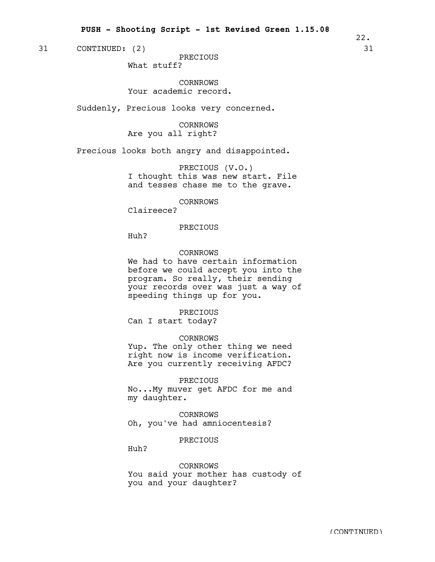31 CONTINUED: (2) 31

PRECIOUS What stuff?

CORNROWS Your academic record.

Suddenly, Precious looks very concerned.

CORNROWS Are you all right?

Precious looks both angry and disappointed.

PRECIOUS (V.O.) I thought this was new start. File and tesses chase me to the grave.

CORNROWS

Claireece?

PRECIOUS

Huh?

CORNROWS

We had to have certain information before we could accept you into the program. So really, their sending your records over was just a way of speeding things up for you.

PRECIOUS Can I start today?

CORNROWS

Yup. The only other thing we need right now is income verification. Are you currently receiving AFDC?

PRECIOUS

No...My muver get AFDC for me and my daughter.

CORNROWS Oh, you've had amniocentesis?

PRECIOUS

Huh?

CORNROWS You said your mother has custody of you and your daughter?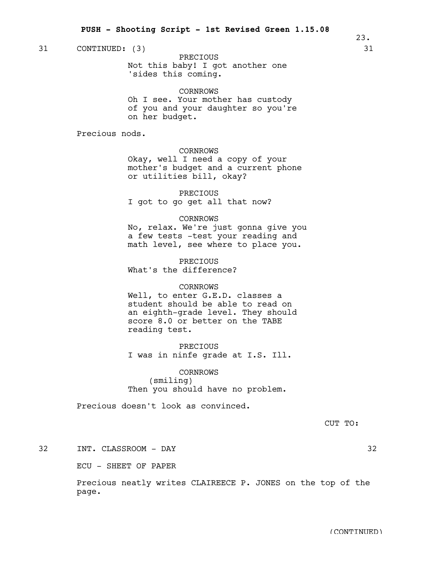31 CONTINUED: (3) 31

PRECIOUS Not this baby! I got another one 'sides this coming.

#### CORNROWS

Oh I see. Your mother has custody of you and your daughter so you're on her budget.

Precious nods.

CORNROWS

Okay, well I need a copy of your mother's budget and a current phone or utilities bill, okay?

PRECIOUS I got to go get all that now?

#### CORNROWS

No, relax. We're just gonna give you a few tests -test your reading and math level, see where to place you.

PRECIOUS What's the difference?

#### CORNROWS

Well, to enter G.E.D. classes a student should be able to read on an eighth-grade level. They should score 8.0 or better on the TABE reading test.

PRECIOUS I was in ninfe grade at I.S. Ill.

CORNROWS (smiling) Then you should have no problem.

Precious doesn't look as convinced.

CUT TO:

32 INT. CLASSROOM - DAY 32

ECU - SHEET OF PAPER

Precious neatly writes CLAIREECE P. JONES on the top of the page.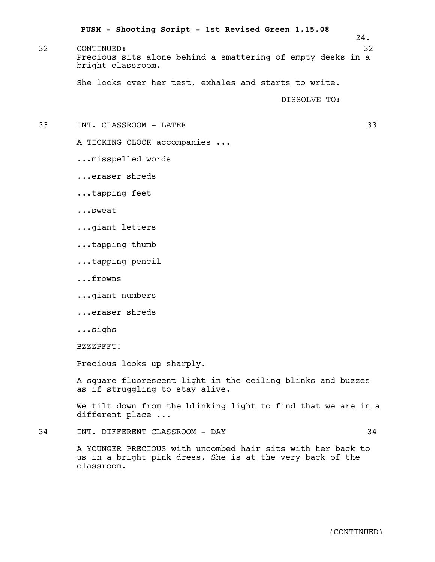Precious sits alone behind a smattering of empty desks in a bright classroom. 32 CONTINUED: 32

She looks over her test, exhales and starts to write.

DISSOLVE TO:

24.

33 INT. CLASSROOM - LATER 33

A TICKING CLOCK accompanies ...

- ...misspelled words
- ...eraser shreds
- ...tapping feet
- ...sweat
- ...giant letters
- ...tapping thumb
- ...tapping pencil
- ...frowns
- ...giant numbers
- ...eraser shreds
- ...sighs

BZZZPFFT!

Precious looks up sharply.

A square fluorescent light in the ceiling blinks and buzzes as if struggling to stay alive.

We tilt down from the blinking light to find that we are in a different place ...

34 INT. DIFFERENT CLASSROOM - DAY 34

A YOUNGER PRECIOUS with uncombed hair sits with her back to us in a bright pink dress. She is at the very back of the classroom.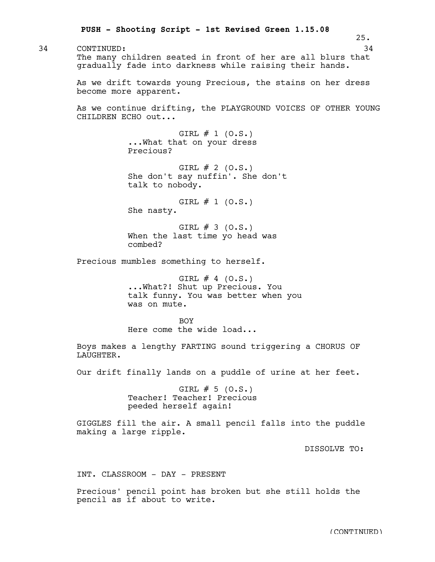The many children seated in front of her are all blurs that gradually fade into darkness while raising their hands. As we drift towards young Precious, the stains on her dress become more apparent. As we continue drifting, the PLAYGROUND VOICES OF OTHER YOUNG CHILDREN ECHO out... GIRL  $# 1 (0.S.)$ ...What that on your dress Precious? GIRL  $# 2 (0.S.)$ She don't say nuffin'. She don't talk to nobody. GIRL  $# 1 (0.S.)$ She nasty. GIRL  $# 3 (0.S.)$ When the last time yo head was combed? Precious mumbles something to herself. GIRL  $# 4 (0.S.)$ ...What?! Shut up Precious. You talk funny. You was better when you was on mute. BOY Here come the wide load... Boys makes a lengthy FARTING sound triggering a CHORUS OF LAUGHTER. Our drift finally lands on a puddle of urine at her feet. GIRL  $# 5 (0.S.)$ Teacher! Teacher! Precious peeded herself again! GIGGLES fill the air. A small pencil falls into the puddle making a large ripple. DISSOLVE TO: INT. CLASSROOM - DAY - PRESENT Precious' pencil point has broken but she still holds the pencil as if about to write. **PUSH - Shooting Script - 1st Revised Green 1.15.08** 25. 34 CONTINUED: 34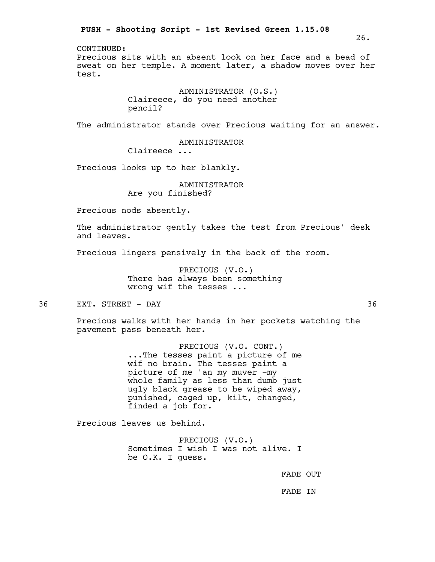Precious sits with an absent look on her face and a bead of sweat on her temple. A moment later, a shadow moves over her test. CONTINUED:

> ADMINISTRATOR (O.S.) Claireece, do you need another pencil?

The administrator stands over Precious waiting for an answer.

ADMINISTRATOR

Claireece ...

Precious looks up to her blankly.

#### ADMINISTRATOR

Are you finished?

Precious nods absently.

The administrator gently takes the test from Precious' desk and leaves.

Precious lingers pensively in the back of the room.

PRECIOUS (V.O.) There has always been something wrong wif the tesses ...

36 EXT. STREET - DAY 36

Precious walks with her hands in her pockets watching the pavement pass beneath her.

> PRECIOUS (V.O. CONT.) ...The tesses paint a picture of me wif no brain. The tesses paint a picture of me 'an my muver -my whole family as less than dumb just ugly black grease to be wiped away, punished, caged up, kilt, changed, finded a job for.

Precious leaves us behind.

PRECIOUS (V.O.) Sometimes I wish I was not alive. I be O.K. I guess.

FADE OUT

FADE IN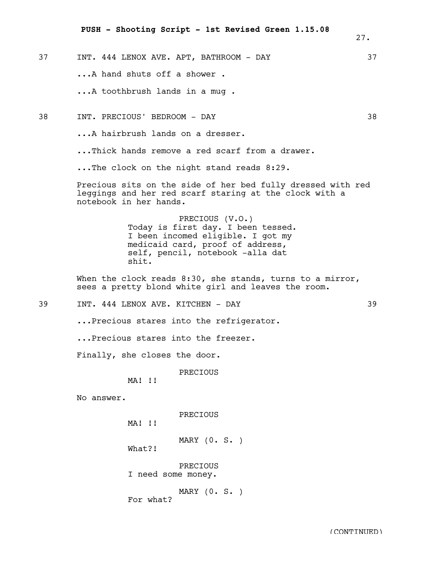27.

37 INT. 444 LENOX AVE. APT, BATHROOM - DAY 37

...A hand shuts off a shower .

...A toothbrush lands in a mug .

38 INT. PRECIOUS' BEDROOM - DAY 38

...A hairbrush lands on a dresser.

...Thick hands remove a red scarf from a drawer.

...The clock on the night stand reads 8:29.

Precious sits on the side of her bed fully dressed with red leggings and her red scarf staring at the clock with a notebook in her hands.

> PRECIOUS (V.O.) Today is first day. I been tessed. I been incomed eligible. I got my medicaid card, proof of address, self, pencil, notebook -alla dat shit.

When the clock reads 8:30, she stands, turns to a mirror, sees a pretty blond white girl and leaves the room.

39 INT. 444 LENOX AVE. KITCHEN - DAY 39

...Precious stares into the refrigerator.

...Precious stares into the freezer.

Finally, she closes the door.

PRECIOUS

MA! !!

No answer.

PRECIOUS

MA! !!

MARY (0. S. )

What?!

PRECIOUS I need some money.

MARY (0. S. ) For what?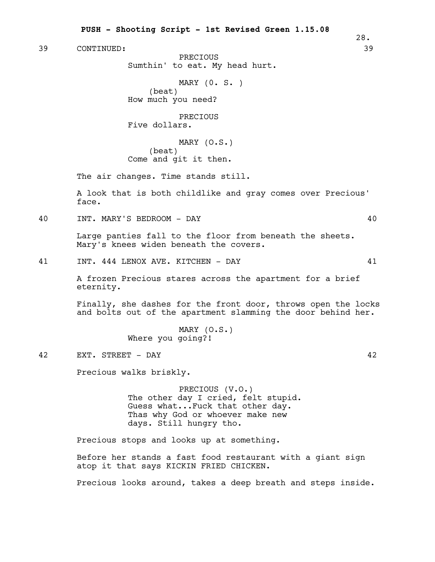39 CONTINUED: 39

PRECIOUS Sumthin' to eat. My head hurt.

MARY (0. S. ) (beat) How much you need?

PRECIOUS Five dollars.

MARY (O.S.) (beat) Come and git it then.

The air changes. Time stands still.

A look that is both childlike and gray comes over Precious' face.

40 INT. MARY'S BEDROOM - DAY 40

Large panties fall to the floor from beneath the sheets. Mary's knees widen beneath the covers.

41 INT. 444 LENOX AVE. KITCHEN - DAY 41

A frozen Precious stares across the apartment for a brief eternity.

Finally, she dashes for the front door, throws open the locks and bolts out of the apartment slamming the door behind her.

> MARY (O.S.) Where you going?!

42 EXT. STREET - DAY 42

Precious walks briskly.

PRECIOUS (V.O.) The other day I cried, felt stupid. Guess what...Fuck that other day. Thas why God or whoever make new days. Still hungry tho.

Precious stops and looks up at something.

Before her stands a fast food restaurant with a giant sign atop it that says KICKIN FRIED CHICKEN.

Precious looks around, takes a deep breath and steps inside.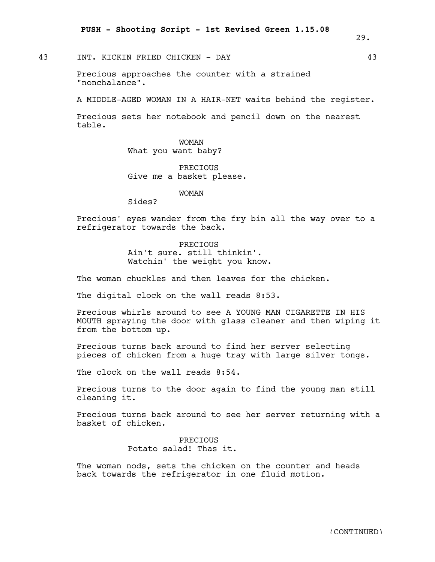43 INT. KICKIN FRIED CHICKEN - DAY 43

Precious approaches the counter with a strained "nonchalance".

A MIDDLE-AGED WOMAN IN A HAIR-NET waits behind the register.

Precious sets her notebook and pencil down on the nearest table.

> WOMAN What you want baby?

**PRECTOUS** Give me a basket please.

WOMAN

Sides?

Precious' eyes wander from the fry bin all the way over to a refrigerator towards the back.

> **PRECTOUS** Ain't sure. still thinkin'. Watchin' the weight you know.

The woman chuckles and then leaves for the chicken.

The digital clock on the wall reads 8:53.

Precious whirls around to see A YOUNG MAN CIGARETTE IN HIS MOUTH spraying the door with glass cleaner and then wiping it from the bottom up.

Precious turns back around to find her server selecting pieces of chicken from a huge tray with large silver tongs.

The clock on the wall reads 8:54.

Precious turns to the door again to find the young man still cleaning it.

Precious turns back around to see her server returning with a basket of chicken.

> PRECIOUS Potato salad! Thas it.

The woman nods, sets the chicken on the counter and heads back towards the refrigerator in one fluid motion.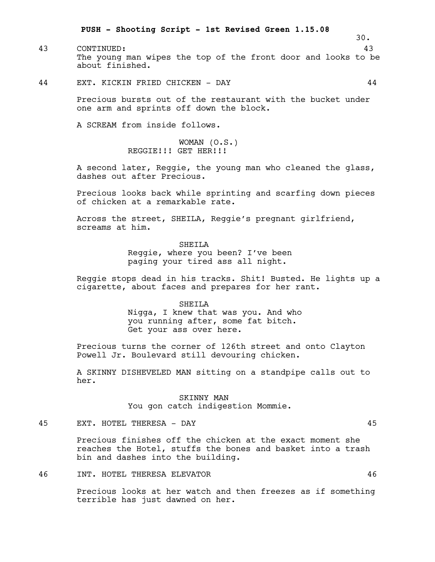- The young man wipes the top of the front door and looks to be about finished. 43 CONTINUED: 43
- 44 EXT. KICKIN FRIED CHICKEN DAY 44

Precious bursts out of the restaurant with the bucket under one arm and sprints off down the block.

A SCREAM from inside follows.

WOMAN (O.S.) REGGIE!!! GET HER!!!

A second later, Reggie, the young man who cleaned the glass, dashes out after Precious.

Precious looks back while sprinting and scarfing down pieces of chicken at a remarkable rate.

Across the street, SHEILA, Reggie's pregnant girlfriend, screams at him.

### SHEILA

Reggie, where you been? I've been paging your tired ass all night.

Reggie stops dead in his tracks. Shit! Busted. He lights up a cigarette, about faces and prepares for her rant.

SHEILA

Nigga, I knew that was you. And who you running after, some fat bitch. Get your ass over here.

Precious turns the corner of 126th street and onto Clayton Powell Jr. Boulevard still devouring chicken.

A SKINNY DISHEVELED MAN sitting on a standpipe calls out to her.

> SKINNY MAN You gon catch indigestion Mommie.

## 45 EXT. HOTEL THERESA - DAY 45

Precious finishes off the chicken at the exact moment she reaches the Hotel, stuffs the bones and basket into a trash bin and dashes into the building.

### 46 INT. HOTEL THERESA ELEVATOR 46

Precious looks at her watch and then freezes as if something terrible has just dawned on her.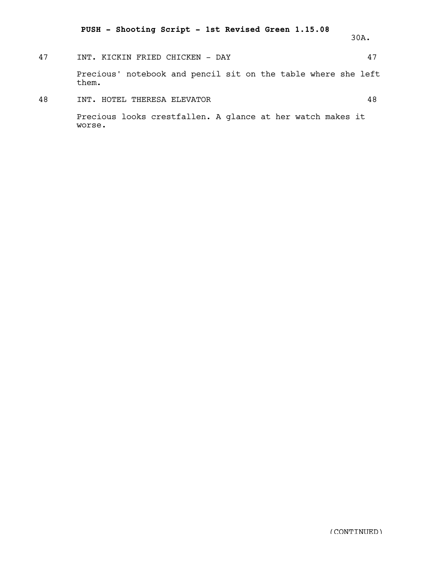30A.

# 47 INT. KICKIN FRIED CHICKEN - DAY 47

Precious' notebook and pencil sit on the table where she left them.

# 48 INT. HOTEL THERESA ELEVATOR 48

Precious looks crestfallen. A glance at her watch makes it worse.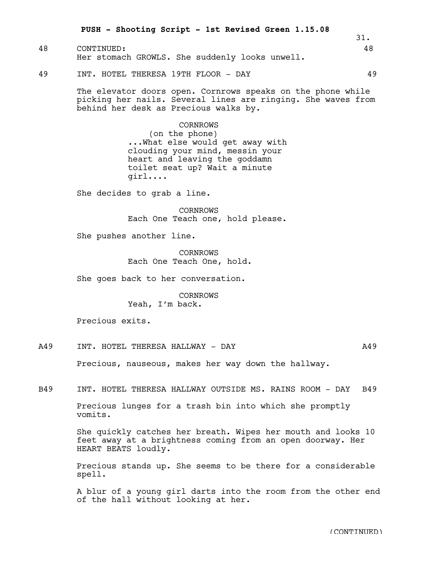- Her stomach GROWLS. She suddenly looks unwell. 48 CONTINUED: 48
- 49 INT. HOTEL THERESA 19TH FLOOR DAY 49

The elevator doors open. Cornrows speaks on the phone while picking her nails. Several lines are ringing. She waves from behind her desk as Precious walks by.

> CORNROWS (on the phone) ...What else would get away with clouding your mind, messin your heart and leaving the goddamn toilet seat up? Wait a minute girl....

She decides to grab a line.

CORNROWS Each One Teach one, hold please.

She pushes another line.

CORNROWS Each One Teach One, hold.

She goes back to her conversation.

CORNROWS Yeah, I'm back.

Precious exits.

A49 INT. HOTEL THERESA HALLWAY - DAY A49

Precious, nauseous, makes her way down the hallway.

B49 INT. HOTEL THERESA HALLWAY OUTSIDE MS. RAINS ROOM - DAY B49

Precious lunges for a trash bin into which she promptly vomits.

She quickly catches her breath. Wipes her mouth and looks 10 feet away at a brightness coming from an open doorway. Her HEART BEATS loudly.

Precious stands up. She seems to be there for a considerable spell.

A blur of a young girl darts into the room from the other end of the hall without looking at her.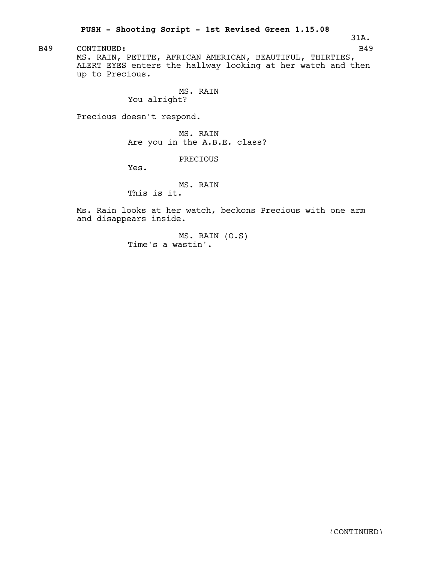MS. RAIN, PETITE, AFRICAN AMERICAN, BEAUTIFUL, THIRTIES, ALERT EYES enters the hallway looking at her watch and then up to Precious. B49 CONTINUED: B49 B49

# MS. RAIN

You alright?

Precious doesn't respond.

MS. RAIN Are you in the A.B.E. class?

PRECIOUS

Yes.

MS. RAIN

This is it.

Ms. Rain looks at her watch, beckons Precious with one arm and disappears inside.

> MS. RAIN (O.S) Time's a wastin'.

31A.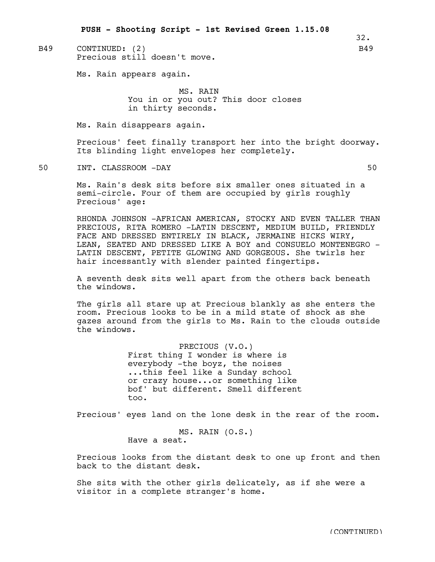Precious still doesn't move. B49 CONTINUED: (2) B49

Ms. Rain appears again.

MS. RAIN You in or you out? This door closes in thirty seconds.

Ms. Rain disappears again.

Precious' feet finally transport her into the bright doorway. Its blinding light envelopes her completely.

50 INT. CLASSROOM -DAY 50

32.

Ms. Rain's desk sits before six smaller ones situated in a semi-circle. Four of them are occupied by girls roughly Precious' age:

RHONDA JOHNSON -AFRICAN AMERICAN, STOCKY AND EVEN TALLER THAN PRECIOUS, RITA ROMERO -LATIN DESCENT, MEDIUM BUILD, FRIENDLY FACE AND DRESSED ENTIRELY IN BLACK, JERMAINE HICKS WIRY, LEAN, SEATED AND DRESSED LIKE A BOY and CONSUELO MONTENEGRO -LATIN DESCENT, PETITE GLOWING AND GORGEOUS. She twirls her hair incessantly with slender painted fingertips.

A seventh desk sits well apart from the others back beneath the windows.

The girls all stare up at Precious blankly as she enters the room. Precious looks to be in a mild state of shock as she gazes around from the girls to Ms. Rain to the clouds outside the windows.

> PRECIOUS (V.O.) First thing I wonder is where is everybody -the boyz, the noises ...this feel like a Sunday school or crazy house...or something like bof' but different. Smell different too.

Precious' eyes land on the lone desk in the rear of the room.

MS. RAIN (O.S.) Have a seat.

Precious looks from the distant desk to one up front and then back to the distant desk.

She sits with the other girls delicately, as if she were a visitor in a complete stranger's home.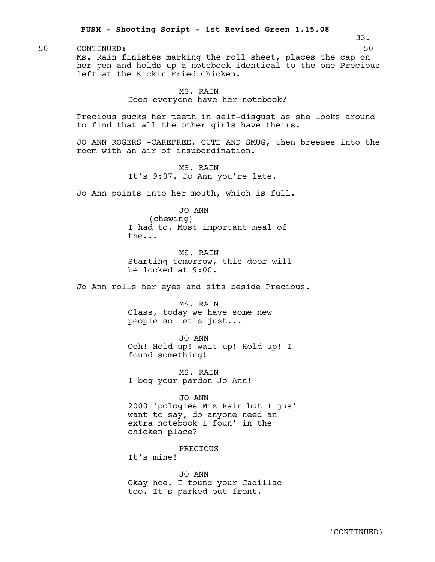Ms. Rain finishes marking the roll sheet, places the cap on her pen and holds up a notebook identical to the one Precious left at the Kickin Fried Chicken. 50 CONTINUED: 50

> MS. RAIN Does everyone have her notebook?

Precious sucks her teeth in self-disgust as she looks around to find that all the other girls have theirs.

JO ANN ROGERS -CAREFREE, CUTE AND SMUG, then breezes into the room with an air of insubordination.

> MS. RAIN It's 9:07. Jo Ann you're late.

Jo Ann points into her mouth, which is full.

JO ANN (chewing) I had to. Most important meal of the...

MS. RAIN Starting tomorrow, this door will be locked at 9:00.

Jo Ann rolls her eyes and sits beside Precious.

MS. RAIN Class, today we have some new people so let's just...

JO ANN Ooh! Hold up! wait up! Hold up! I found something!

MS. RAIN I beg your pardon Jo Ann!

JO ANN 2000 'pologies Miz Rain but I jus'

want to say, do anyone need an extra notebook I foun' in the chicken place?

PRECIOUS

It's mine!

JO ANN Okay hoe. I found your Cadillac too. It's parked out front.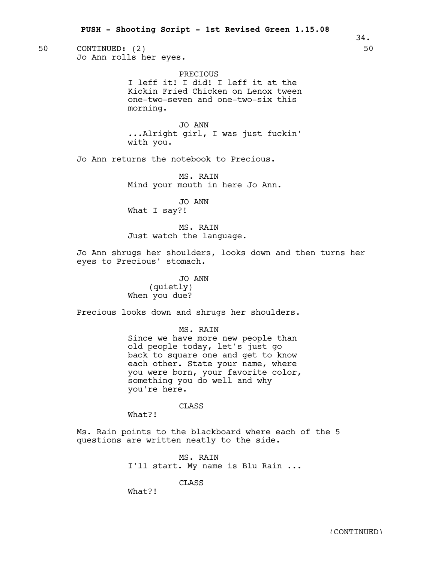PRECIOUS I leff it! I did! I leff it at the Kickin Fried Chicken on Lenox tween one-two-seven and one-two-six this morning. JO ANN ...Alright girl, I was just fuckin' with you. Jo Ann returns the notebook to Precious. MS. RAIN Mind your mouth in here Jo Ann. JO ANN What I say?! MS. RAIN Just watch the language. Jo Ann shrugs her shoulders, looks down and then turns her eyes to Precious' stomach. JO ANN (quietly) When you due? Precious looks down and shrugs her shoulders. MS. RAIN Since we have more new people than old people today, let's just go back to square one and get to know each other. State your name, where you were born, your favorite color, something you do well and why you're here. CLASS What?! Ms. Rain points to the blackboard where each of the 5 questions are written neatly to the side. MS. RAIN I'll start. My name is Blu Rain ... CLASS

34.

Jo Ann rolls her eyes. 50 CONTINUED: (2) 50

What?!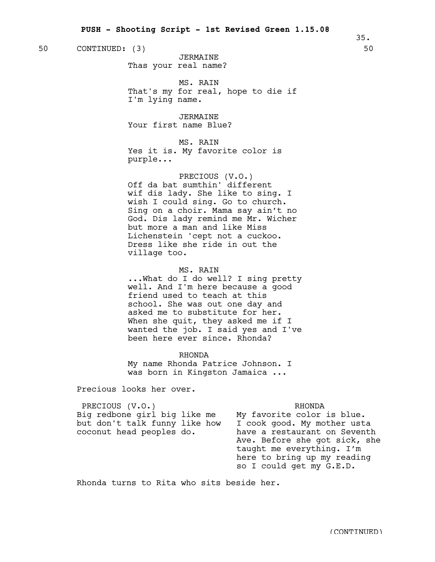50 CONTINUED: (3) 50

JERMAINE Thas your real name?

MS. RAIN That's my for real, hope to die if I'm lying name.

JERMAINE Your first name Blue?

MS. RAIN Yes it is. My favorite color is purple...

PRECIOUS (V.O.) Off da bat sumthin' different wif dis lady. She like to sing. I wish I could sing. Go to church. Sing on a choir. Mama say ain't no God. Dis lady remind me Mr. Wicher but more a man and like Miss Lichenstein 'cept not a cuckoo. Dress like she ride in out the village too.

#### MS. RAIN

...What do I do well? I sing pretty well. And I'm here because a good friend used to teach at this school. She was out one day and asked me to substitute for her. When she quit, they asked me if I wanted the job. I said yes and  $I$  ve been here ever since. Rhonda?

RHONDA

My name Rhonda Patrice Johnson. I was born in Kingston Jamaica ...

Precious looks her over.

coconut head peoples do.

Big redbone girl big like me but don't talk funny like how

PRECIOUS (V.O.)

#### RHONDA

My favorite color is blue. I cook good. My mother usta have a restaurant on Seventh Ave. Before she got sick, she taught me everything. I'm here to bring up my reading so I could get my G.E.D.

Rhonda turns to Rita who sits beside her.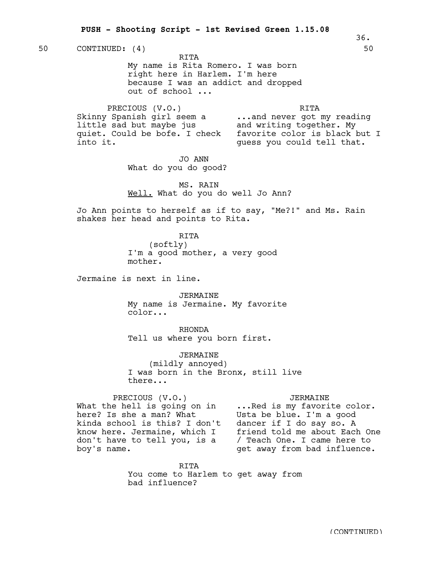50 CONTINUED: (4) 50

RITA My name is Rita Romero. I was born right here in Harlem. I'm here because I was an addict and dropped out of school ...

PRECIOUS (V.O.) Skinny Spanish girl seem a little sad but maybe jus quiet. Could be bofe. I check into it.

RITA ...and never got my reading and writing together. My favorite color is black but I

guess you could tell that.

JO ANN What do you do good?

MS. RAIN Well. What do you do well Jo Ann?

Jo Ann points to herself as if to say, "Me?!" and Ms. Rain shakes her head and points to Rita.

> RITA (softly) I'm a good mother, a very good mother.

Jermaine is next in line.

JERMAINE My name is Jermaine. My favorite color...

RHONDA Tell us where you born first.

JERMAINE (mildly annoyed) I was born in the Bronx, still live there...

JERMAINE

PRECIOUS (V.O.) What the hell is going on in here? Is she a man? What kinda school is this? I don't \* dancer if I do say so. A know here. Jermaine, which I don't have to tell you, is a boy's name. ...Red is my favorite color. Usta be blue. I'm a good friend told me about Each One / Teach One. I came here to get away from bad influence.

> RITA You come to Harlem to get away from bad influence?

> > (CONTINUED)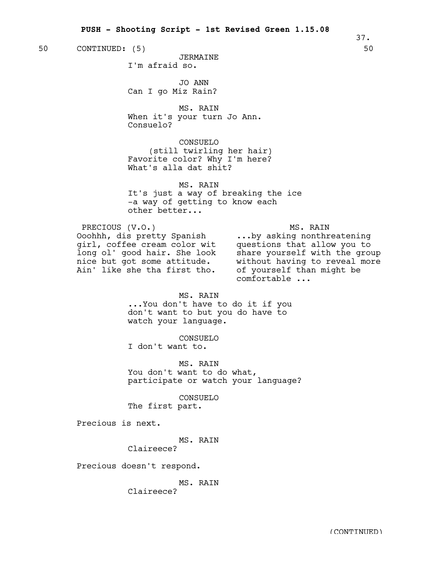50 CONTINUED: (5) 50

**JERMAINE** I'm afraid so.

JO ANN Can I go Miz Rain?

MS. RAIN When it's your turn Jo Ann. Consuelo?

CONSUELO (still twirling her hair) Favorite color? Why I'm here? What's alla dat shit?

MS. RAIN It's just a way of breaking the ice -a way of getting to know each other better...

PRECIOUS (V.O.) Ooohhh, dis pretty Spanish girl, coffee cream color wit long ol' good hair. She look nice but got some attitude. Ain' like she tha first tho.

MS. RAIN ...by asking nonthreatening questions that allow you to share yourself with the group without having to reveal more of yourself than might be comfortable ...

MS. RAIN

...You don't have to do it if you don't want to but you do have to watch your language.

CONSUELO I don't want to.

MS. RAIN You don't want to do what, participate or watch your language?

CONSUELO The first part.

Precious is next.

MS. RAIN

Claireece?

Precious doesn't respond.

MS. RAIN

Claireece?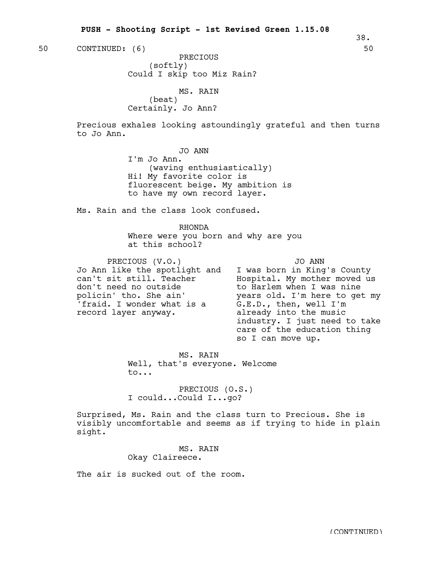50 CONTINUED: (6) 50

PRECIOUS (softly) Could I skip too Miz Rain?

MS. RAIN (beat) Certainly. Jo Ann?

Precious exhales looking astoundingly grateful and then turns to Jo Ann.

> JO ANN I'm Jo Ann. (waving enthusiastically) Hi! My favorite color is fluorescent beige. My ambition is to have my own record layer.

Ms. Rain and the class look confused.

RHONDA Where were you born and why are you at this school?

PRECIOUS (V.O.) Jo Ann like the spotlight and I was born in King's County can't sit still. Teacher Hospital. My mother moved us don't need no outside policin' tho. She ain' 'fraid. I wonder what is a record layer anyway. JO ANN to Harlem when I was nine years old. I'm here to get my G.E.D., then, well I'm already into the music industry. I just need to take care of the education thing so I can move up.

> MS. RAIN Well, that's everyone. Welcome to...

PRECIOUS (O.S.) I could...Could I...go?

Surprised, Ms. Rain and the class turn to Precious. She is visibly uncomfortable and seems as if trying to hide in plain sight.

> MS. RAIN Okay Claireece.

The air is sucked out of the room.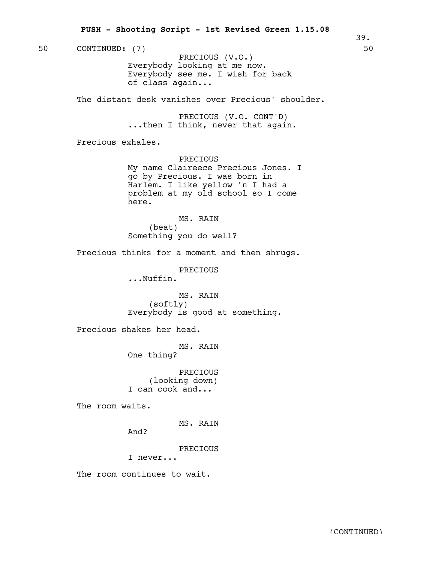PRECIOUS (V.O.) Everybody looking at me now. Everybody see me. I wish for back of class again... The distant desk vanishes over Precious' shoulder. PRECIOUS (V.O. CONT'D) ...then I think, never that again. Precious exhales. PRECIOUS My name Claireece Precious Jones. I go by Precious. I was born in Harlem. I like yellow 'n I had a problem at my old school so I come here. MS. RAIN (beat) Something you do well? Precious thinks for a moment and then shrugs. PRECIOUS ...Nuffin. MS. RAIN (softly) Everybody is good at something. Precious shakes her head. MS. RAIN One thing? PRECIOUS (looking down) I can cook and... The room waits. MS. RAIN And? PRECIOUS **PUSH - Shooting Script - 1st Revised Green 1.15.08** 50 CONTINUED: (7) 50

I never...

The room continues to wait.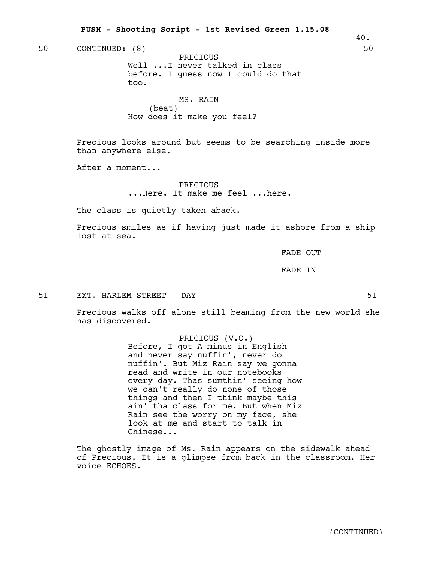50 CONTINUED: (8) 50

PRECIOUS Well ... I never talked in class before. I guess now I could do that too.

MS. RAIN (beat) How does it make you feel?

Precious looks around but seems to be searching inside more than anywhere else.

After a moment...

PRECIOUS ...Here. It make me feel ...here.

The class is quietly taken aback.

Precious smiles as if having just made it ashore from a ship lost at sea.

FADE OUT

FADE IN

51 EXT. HARLEM STREET - DAY 61

Precious walks off alone still beaming from the new world she has discovered.

> PRECIOUS (V.O.) Before, I got A minus in English and never say nuffin', never do nuffin'. But Miz Rain say we gonna read and write in our notebooks every day. Thas sumthin' seeing how we can't really do none of those things and then I think maybe this ain' tha class for me. But when Miz Rain see the worry on my face, she look at me and start to talk in Chinese...

The ghostly image of Ms. Rain appears on the sidewalk ahead of Precious. It is a glimpse from back in the classroom. Her voice ECHOES.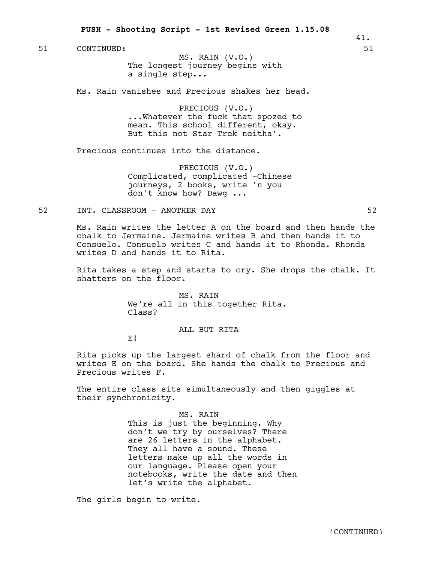51 CONTINUED: 51

MS. RAIN (V.O.) The longest journey begins with a single step...

Ms. Rain vanishes and Precious shakes her head.

PRECIOUS (V.O.) ...Whatever the fuck that spozed to mean. This school different, okay. But this not Star Trek neitha'.

Precious continues into the distance.

PRECIOUS (V.O.) Complicated, complicated -Chinese journeys, 2 books, write 'n you don't know how? Dawg ...

# 52 INT. CLASSROOM - ANOTHER DAY 52

Ms. Rain writes the letter A on the board and then hands the chalk to Jermaine. Jermaine writes B and then hands it to Consuelo. Consuelo writes C and hands it to Rhonda. Rhonda writes D and hands it to Rita.

Rita takes a step and starts to cry. She drops the chalk. It shatters on the floor.

> MS. RAIN We're all in this together Rita. Class?

> > ALL BUT RITA

E!

Rita picks up the largest shard of chalk from the floor and writes E on the board. She hands the chalk to Precious and Precious writes F.

The entire class sits simultaneously and then giggles at their synchronicity.

> MS. RAIN This is just the beginning. Why don't we try by ourselves? There are 26 letters in the alphabet. They all have a sound. These letters make up all the words in our language. Please open your notebooks, write the date and then let's write the alphabet.

The girls begin to write.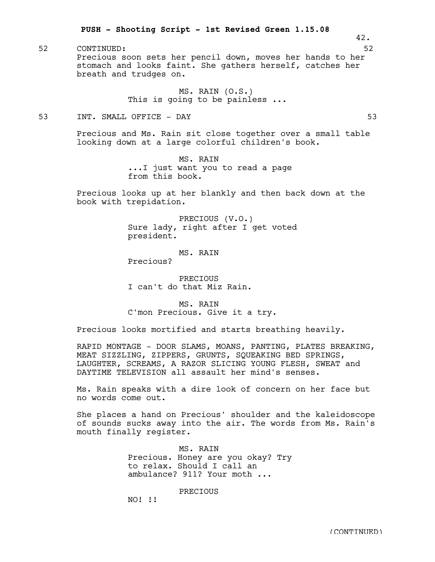Precious soon sets her pencil down, moves her hands to her stomach and looks faint. She gathers herself, catches her breath and trudges on. MS. RAIN (O.S.) This is going to be painless ... 53 INT. SMALL OFFICE - DAY 53 Precious and Ms. Rain sit close together over a small table looking down at a large colorful children's book. MS. RAIN ...I just want you to read a page from this book. Precious looks up at her blankly and then back down at the book with trepidation. PRECIOUS (V.O.) Sure lady, right after I get voted president. MS. RAIN Precious? PRECIOUS I can't do that Miz Rain. MS. RAIN C'mon Precious. Give it a try. Precious looks mortified and starts breathing heavily. RAPID MONTAGE - DOOR SLAMS, MOANS, PANTING, PLATES BREAKING, MEAT SIZZLING, ZIPPERS, GRUNTS, SQUEAKING BED SPRINGS, LAUGHTER, SCREAMS, A RAZOR SLICING YOUNG FLESH, SWEAT and DAYTIME TELEVISION all assault her mind's senses. Ms. Rain speaks with a dire look of concern on her face but no words come out. She places a hand on Precious' shoulder and the kaleidoscope of sounds sucks away into the air. The words from Ms. Rain's mouth finally register. 42. 52 CONTINUED: 52

**PUSH - Shooting Script - 1st Revised Green 1.15.08**

MS. RAIN Precious. Honey are you okay? Try to relax. Should I call an ambulance? 911? Your moth ...

PRECIOUS

NO! !!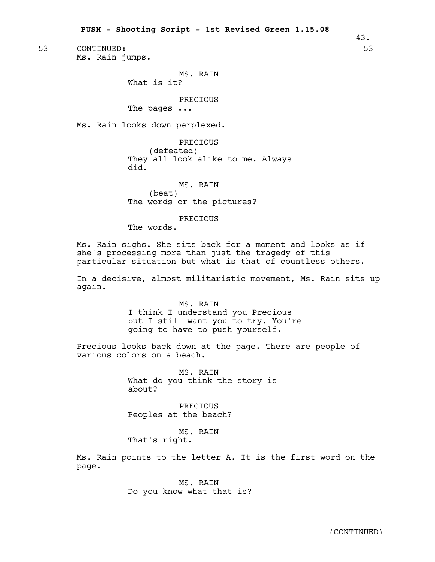Ms. Rain jumps. 53 CONTINUED: 53

# MS. RAIN

What is it?

# PRECIOUS

The pages ...

Ms. Rain looks down perplexed.

PRECIOUS (defeated) They all look alike to me. Always did.

MS. RAIN (beat) The words or the pictures?

#### PRECIOUS

The words.

Ms. Rain sighs. She sits back for a moment and looks as if she's processing more than just the tragedy of this particular situation but what is that of countless others.

In a decisive, almost militaristic movement, Ms. Rain sits up again.

> MS. RAIN I think I understand you Precious but I still want you to try. You're going to have to push yourself.

Precious looks back down at the page. There are people of various colors on a beach.

> MS. RAIN What do you think the story is about?

PRECIOUS Peoples at the beach?

MS. RAIN That's right.

Ms. Rain points to the letter A. It is the first word on the page.

> MS. RAIN Do you know what that is?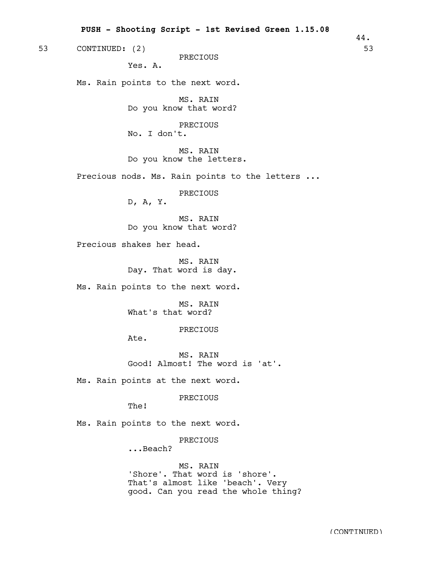53 CONTINUED: (2) 53

PRECIOUS

Yes. A.

Ms. Rain points to the next word.

MS. RAIN Do you know that word?

PRECIOUS No. I don't.

MS. RAIN Do you know the letters.

Precious nods. Ms. Rain points to the letters ...

PRECIOUS

D, A, Y.

MS. RAIN Do you know that word?

Precious shakes her head.

MS. RAIN Day. That word is day.

Ms. Rain points to the next word.

MS. RAIN What's that word?

PRECIOUS

Ate.

MS. RAIN Good! Almost! The word is 'at'.

Ms. Rain points at the next word.

PRECIOUS

The!

Ms. Rain points to the next word.

PRECIOUS

...Beach?

MS. RAIN 'Shore'. That word is 'shore'. That's almost like 'beach'. Very good. Can you read the whole thing?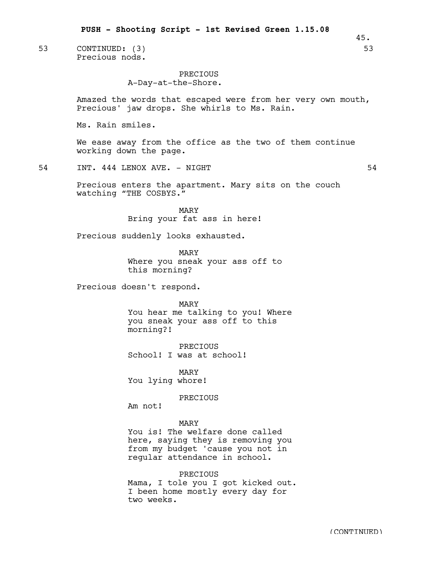Precious nods. PRECIOUS A-Day-at-the-Shore. Amazed the words that escaped were from her very own mouth, Precious' jaw drops. She whirls to Ms. Rain. Ms. Rain smiles. We ease away from the office as the two of them continue working down the page. 54 INT. 444 LENOX AVE. – NIGHT SANDALL SANDALL SANDALL SANDALL SANDALL SANDALL SANDALL SANDALL SANDALL SANDALL Precious enters the apartment. Mary sits on the couch watching "THE COSBYS." MARY Bring your fat ass in here! Precious suddenly looks exhausted. MARY Where you sneak your ass off to this morning? Precious doesn't respond. MARY You hear me talking to you! Where you sneak your ass off to this morning?! PRECIOUS School! I was at school! MARY You lying whore! PRECIOUS Am not! MARY You is! The welfare done called **PUSH - Shooting Script - 1st Revised Green 1.15.08** 45. 53 CONTINUED: (3) 53

here, saying they is removing you from my budget 'cause you not in regular attendance in school.

PRECIOUS Mama, I tole you I got kicked out. I been home mostly every day for two weeks.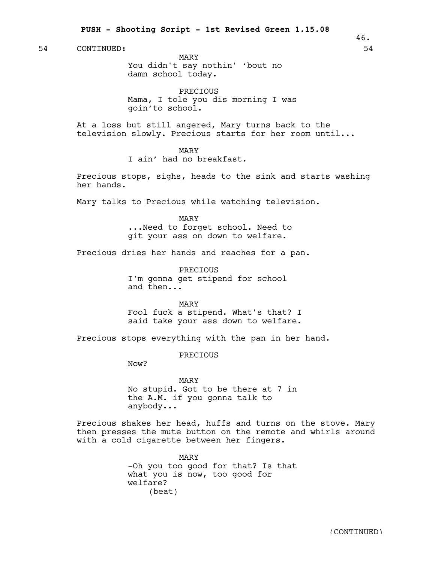54 CONTINUED: 54

MARY You didn't say nothin' 'bout no damn school today.

PRECIOUS Mama, I tole you dis morning I was goin'to school.

At a loss but still angered, Mary turns back to the television slowly. Precious starts for her room until...

MARY

I ain' had no breakfast.

Precious stops, sighs, heads to the sink and starts washing her hands.

Mary talks to Precious while watching television.

MARY ...Need to forget school. Need to git your ass on down to welfare.

Precious dries her hands and reaches for a pan.

PRECIOUS I'm gonna get stipend for school and then...

MARY Fool fuck a stipend. What's that? I said take your ass down to welfare.

Precious stops everything with the pan in her hand.

PRECIOUS

Now?

MARY No stupid. Got to be there at 7 in the A.M. if you gonna talk to anybody...

Precious shakes her head, huffs and turns on the stove. Mary then presses the mute button on the remote and whirls around with a cold cigarette between her fingers.

> MARY -Oh you too good for that? Is that what you is now, too good for welfare? (beat)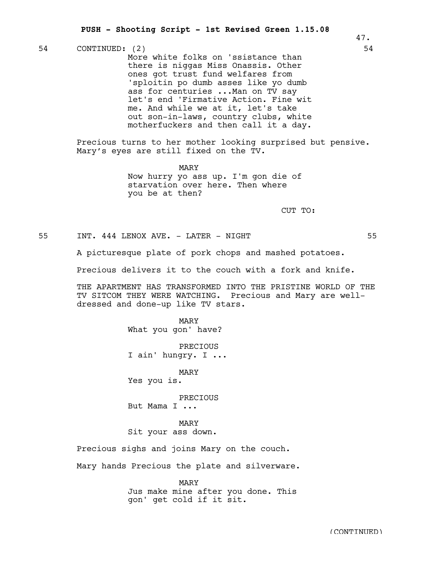More white folks on 'ssistance than there is niggas Miss Onassis. Other ones got trust fund welfares from 'sploitin po dumb asses like yo dumb ass for centuries ...Man on TV say let's end 'Firmative Action. Fine wit me. And while we at it, let's take out son-in-laws, country clubs, white motherfuckers and then call it a day. 54 CONTINUED: (2) 54

> Precious turns to her mother looking surprised but pensive. Mary's eyes are still fixed on the TV.

> > MARY Now hurry yo ass up. I'm gon die of starvation over here. Then where you be at then?

> > > CUT TO:

55 INT. 444 LENOX AVE. - LATER - NIGHT 55

47.

A picturesque plate of pork chops and mashed potatoes.

Precious delivers it to the couch with a fork and knife.

THE APARTMENT HAS TRANSFORMED INTO THE PRISTINE WORLD OF THE TV SITCOM THEY WERE WATCHING. Precious and Mary are welldressed and done-up like TV stars.

> MARY What you gon' have?

PRECIOUS I ain' hungry. I ...

MARY Yes you is.

PRECIOUS But Mama I ...

MARY

Sit your ass down.

Precious sighs and joins Mary on the couch.

Mary hands Precious the plate and silverware.

MARY Jus make mine after you done. This gon' get cold if it sit.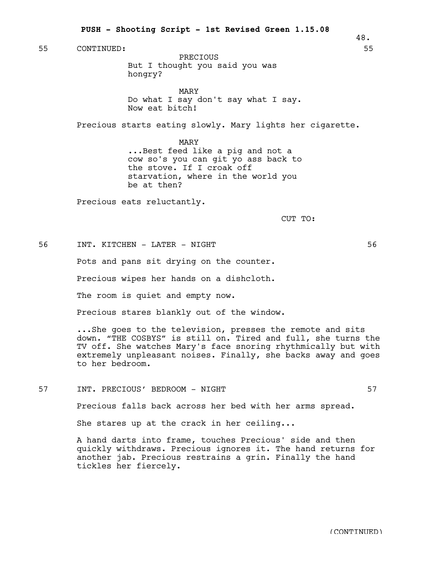55 CONTINUED: 55

PRECIOUS But I thought you said you was hongry?

MARY Do what I say don't say what I say. Now eat bitch!

Precious starts eating slowly. Mary lights her cigarette.

MARY ...Best feed like a pig and not a cow so's you can git yo ass back to the stove. If I croak off starvation, where in the world you be at then?

Precious eats reluctantly.

CUT TO:

56 INT. KITCHEN - LATER - NIGHT 56

Pots and pans sit drying on the counter.

Precious wipes her hands on a dishcloth.

The room is quiet and empty now.

Precious stares blankly out of the window.

...She goes to the television, presses the remote and sits down. "THE COSBYS" is still on. Tired and full, she turns the TV off. She watches Mary's face snoring rhythmically but with extremely unpleasant noises. Finally, she backs away and goes to her bedroom.

57 INT. PRECIOUS' BEDROOM - NIGHT 57

Precious falls back across her bed with her arms spread.

She stares up at the crack in her ceiling...

A hand darts into frame, touches Precious' side and then quickly withdraws. Precious ignores it. The hand returns for another jab. Precious restrains a grin. Finally the hand tickles her fiercely.

(CONTINUED)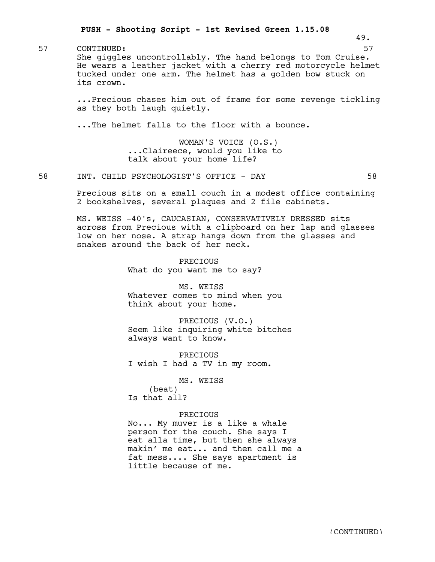She giggles uncontrollably. The hand belongs to Tom Cruise. He wears a leather jacket with a cherry red motorcycle helmet tucked under one arm. The helmet has a golden bow stuck on its crown. 57 CONTINUED: 57

> ...Precious chases him out of frame for some revenge tickling as they both laugh quietly.

...The helmet falls to the floor with a bounce.

WOMAN'S VOICE (O.S.) ...Claireece, would you like to talk about your home life?

58 INT. CHILD PSYCHOLOGIST'S OFFICE - DAY 58

49.

Precious sits on a small couch in a modest office containing 2 bookshelves, several plaques and 2 file cabinets.

MS. WEISS -40's, CAUCASIAN, CONSERVATIVELY DRESSED sits across from Precious with a clipboard on her lap and glasses low on her nose. A strap hangs down from the glasses and snakes around the back of her neck.

> PRECIOUS What do you want me to say?

MS. WEISS Whatever comes to mind when you think about your home.

PRECIOUS (V.O.) Seem like inquiring white bitches always want to know.

PRECIOUS I wish I had a TV in my room.

MS. WEISS

(beat) Is that all?

#### PRECIOUS

No... My muver is a like a whale person for the couch. She says I eat alla time, but then she always makin' me eat... and then call me a fat mess.... She says apartment is little because of me.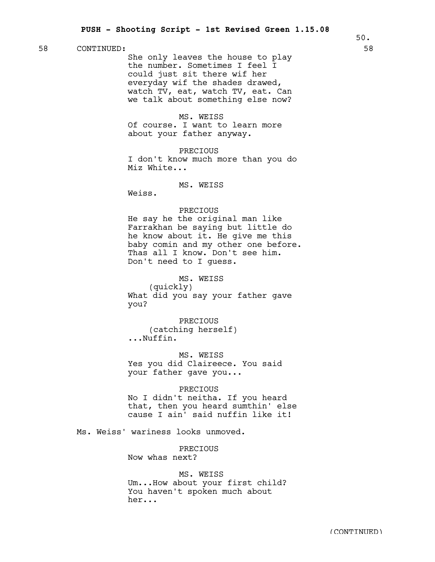## 58 CONTINUED: 58

She only leaves the house to play the number. Sometimes I feel I could just sit there wif her everyday wif the shades drawed, watch TV, eat, watch TV, eat. Can we talk about something else now?

# MS. WEISS

Of course. I want to learn more about your father anyway.

PRECIOUS I don't know much more than you do Miz White...

#### MS. WEISS

Weiss.

## PRECIOUS

He say he the original man like Farrakhan be saying but little do he know about it. He give me this baby comin and my other one before. Thas all I know. Don't see him. Don't need to I guess.

# MS. WEISS

(quickly) What did you say your father gave you?

PRECIOUS (catching herself) ...Nuffin.

MS. WEISS Yes you did Claireece. You said your father gave you...

#### PRECIOUS

No I didn't neitha. If you heard that, then you heard sumthin' else cause I ain' said nuffin like it!

Ms. Weiss' wariness looks unmoved.

PRECIOUS Now whas next?

MS. WEISS Um...How about your first child? You haven't spoken much about her...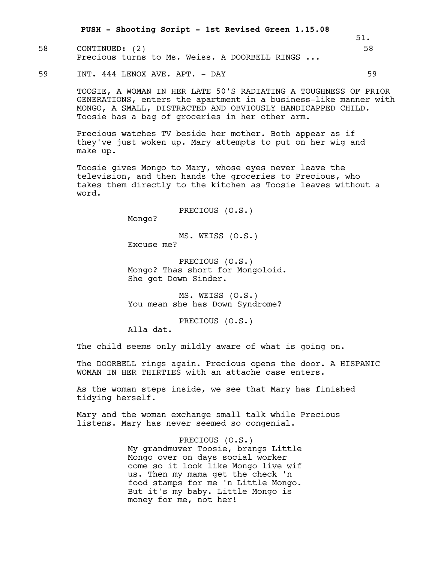- Precious turns to Ms. Weiss. A DOORBELL RINGS ... 58 CONTINUED: (2) 58
- 59 INT. 444 LENOX AVE. APT. DAY 59

TOOSIE, A WOMAN IN HER LATE 50'S RADIATING A TOUGHNESS OF PRIOR GENERATIONS, enters the apartment in a business-like manner with MONGO, A SMALL, DISTRACTED AND OBVIOUSLY HANDICAPPED CHILD. Toosie has a bag of groceries in her other arm.

Precious watches TV beside her mother. Both appear as if they've just woken up. Mary attempts to put on her wig and make up.

Toosie gives Mongo to Mary, whose eyes never leave the television, and then hands the groceries to Precious, who takes them directly to the kitchen as Toosie leaves without a word.

PRECIOUS (O.S.)

Mongo?

MS. WEISS (O.S.) Excuse me?

PRECIOUS (O.S.) Mongo? Thas short for Mongoloid. She got Down Sinder.

MS. WEISS (O.S.) You mean she has Down Syndrome?

PRECIOUS (O.S.)

Alla dat.

The child seems only mildly aware of what is going on.

The DOORBELL rings again. Precious opens the door. A HISPANIC WOMAN IN HER THIRTIES with an attache case enters.

As the woman steps inside, we see that Mary has finished tidying herself.

Mary and the woman exchange small talk while Precious listens. Mary has never seemed so congenial.

> PRECIOUS (O.S.) My grandmuver Toosie, brangs Little Mongo over on days social worker come so it look like Mongo live wif us. Then my mama get the check 'n food stamps for me 'n Little Mongo. But it's my baby. Little Mongo is money for me, not her!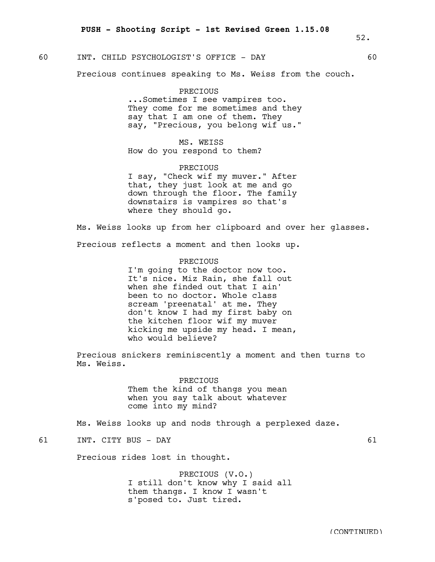52.

### 60 INT. CHILD PSYCHOLOGIST'S OFFICE - DAY 60

Precious continues speaking to Ms. Weiss from the couch.

#### PRECIOUS

...Sometimes I see vampires too. They come for me sometimes and they say that I am one of them. They say, "Precious, you belong wif us."

MS. WEISS How do you respond to them?

## PRECIOUS

I say, "Check wif my muver." After that, they just look at me and go down through the floor. The family downstairs is vampires so that's where they should go.

Ms. Weiss looks up from her clipboard and over her glasses.

Precious reflects a moment and then looks up.

# PRECIOUS I'm going to the doctor now too. It's nice. Miz Rain, she fall out when she finded out that I ain' been to no doctor. Whole class scream 'preenatal' at me. They don't know I had my first baby on the kitchen floor wif my muver kicking me upside my head. I mean, who would believe?

Precious snickers reminiscently a moment and then turns to Ms. Weiss.

> PRECIOUS Them the kind of thangs you mean when you say talk about whatever come into my mind?

Ms. Weiss looks up and nods through a perplexed daze.

61 INT. CITY BUS - DAY 61

Precious rides lost in thought.

PRECIOUS (V.O.) I still don't know why I said all them thangs. I know I wasn't s'posed to. Just tired.

<sup>(</sup>CONTINUED)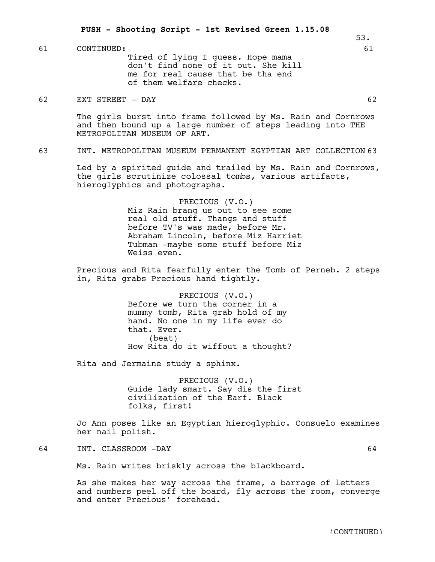Tired of lying I guess. Hope mama don't find none of it out. She kill me for real cause that be tha end of them welfare checks. 61 CONTINUED: 61

62 EXT STREET - DAY 62

The girls burst into frame followed by Ms. Rain and Cornrows and then bound up a large number of steps leading into THE METROPOLITAN MUSEUM OF ART.

63 INT. METROPOLITAN MUSEUM PERMANENT EGYPTIAN ART COLLECTION 63

Led by a spirited guide and trailed by Ms. Rain and Cornrows, the girls scrutinize colossal tombs, various artifacts, hieroglyphics and photographs.

> PRECIOUS (V.O.) Miz Rain brang us out to see some real old stuff. Thangs and stuff before TV's was made, before Mr. Abraham Lincoln, before Miz Harriet Tubman -maybe some stuff before Miz Weiss even.

Precious and Rita fearfully enter the Tomb of Perneb. 2 steps in, Rita grabs Precious hand tightly.

> PRECIOUS (V.O.) Before we turn tha corner in a mummy tomb, Rita grab hold of my hand. No one in my life ever do that. Ever. (beat) How Rita do it wiffout a thought?

Rita and Jermaine study a sphinx.

PRECIOUS (V.O.) Guide lady smart. Say dis the first civilization of the Earf. Black folks, first!

Jo Ann poses like an Egyptian hieroglyphic. Consuelo examines her nail polish.

64 INT. CLASSROOM -DAY 64

Ms. Rain writes briskly across the blackboard.

As she makes her way across the frame, a barrage of letters and numbers peel off the board, fly across the room, converge and enter Precious' forehead.

(CONTINUED)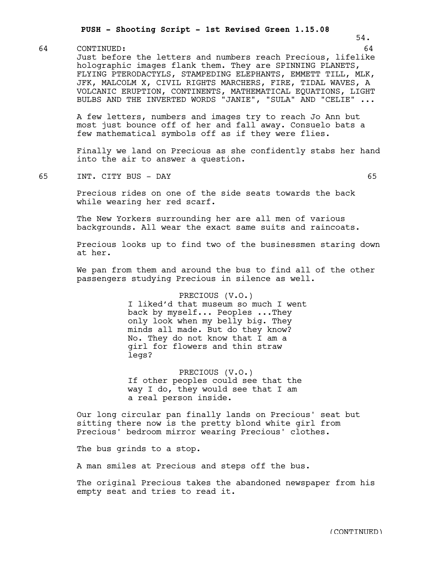# 64 CONTINUED: 64

Just before the letters and numbers reach Precious, lifelike holographic images flank them. They are SPINNING PLANETS, FLYING PTERODACTYLS, STAMPEDING ELEPHANTS, EMMETT TILL, MLK, JFK, MALCOLM X, CIVIL RIGHTS MARCHERS, FIRE, TIDAL WAVES, A VOLCANIC ERUPTION, CONTINENTS, MATHEMATICAL EQUATIONS, LIGHT BULBS AND THE INVERTED WORDS "JANIE", "SULA" AND "CELIE" ...

A few letters, numbers and images try to reach Jo Ann but most just bounce off of her and fall away. Consuelo bats a few mathematical symbols off as if they were flies.

Finally we land on Precious as she confidently stabs her hand into the air to answer a question.

65 INT. CITY BUS - DAY 65

54.

Precious rides on one of the side seats towards the back while wearing her red scarf.

The New Yorkers surrounding her are all men of various backgrounds. All wear the exact same suits and raincoats.

Precious looks up to find two of the businessmen staring down at her.

We pan from them and around the bus to find all of the other passengers studying Precious in silence as well.

> PRECIOUS (V.O.) I liked'd that museum so much I went back by myself... Peoples ...They only look when my belly big. They minds all made. But do they know? No. They do not know that I am a girl for flowers and thin straw legs?

PRECIOUS (V.O.) If other peoples could see that the way I do, they would see that I am a real person inside.

Our long circular pan finally lands on Precious' seat but sitting there now is the pretty blond white girl from Precious' bedroom mirror wearing Precious' clothes.

The bus grinds to a stop.

A man smiles at Precious and steps off the bus.

The original Precious takes the abandoned newspaper from his empty seat and tries to read it.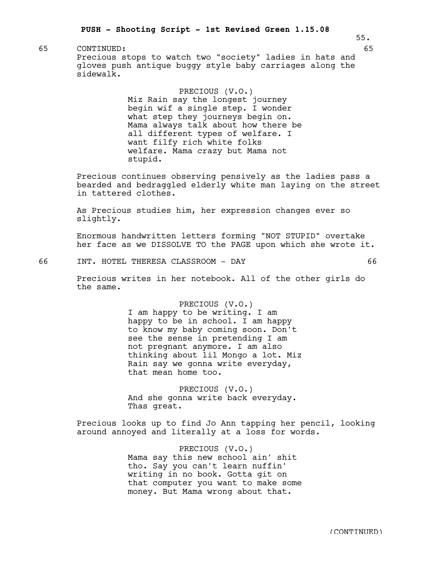Precious stops to watch two "society" ladies in hats and gloves push antique buggy style baby carriages along the sidewalk. 65 CONTINUED: 65

#### PRECIOUS (V.O.)

Miz Rain say the longest journey begin wif a single step. I wonder what step they journeys begin on. Mama always talk about how there be all different types of welfare. I want filfy rich white folks welfare. Mama crazy but Mama not stupid.

Precious continues observing pensively as the ladies pass a bearded and bedraggled elderly white man laying on the street in tattered clothes.

As Precious studies him, her expression changes ever so slightly.

Enormous handwritten letters forming "NOT STUPID" overtake her face as we DISSOLVE TO the PAGE upon which she wrote it.

## 66 INT. HOTEL THERESA CLASSROOM - DAY 66

Precious writes in her notebook. All of the other girls do the same.

# PRECIOUS (V.O.)

I am happy to be writing. I am happy to be in school. I am happy to know my baby coming soon. Don't see the sense in pretending I am not pregnant anymore. I am also thinking about lil Mongo a lot. Miz Rain say we gonna write everyday, that mean home too.

PRECIOUS (V.O.) And she gonna write back everyday. Thas great.

Precious looks up to find Jo Ann tapping her pencil, looking around annoyed and literally at a loss for words.

> PRECIOUS (V.O.) Mama say this new school ain' shit tho. Say you can't learn nuffin' writing in no book. Gotta git on that computer you want to make some money. But Mama wrong about that.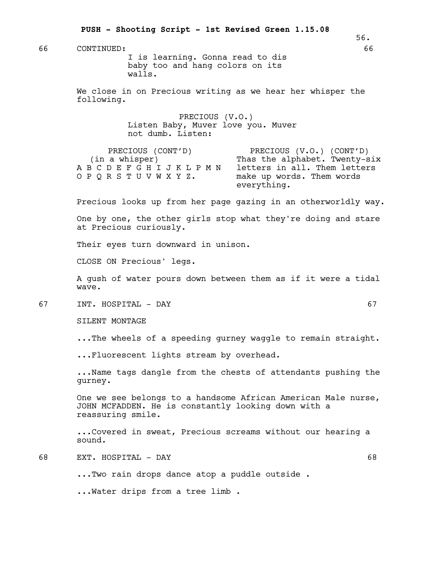I is learning. Gonna read to dis baby too and hang colors on its walls. 66 CONTINUED: 66

> We close in on Precious writing as we hear her whisper the following.

> > PRECIOUS (V.O.) Listen Baby, Muver love you. Muver not dumb. Listen:

| PRECIOUS (CONT'D)             | PRECIOUS (V.O.) (CONT'D)      |
|-------------------------------|-------------------------------|
| (in a whisper)                | Thas the alphabet. Twenty-six |
| A B C D E F G H I J K L P M N | letters in all. Them letters  |
| O P O R S T U V W X Y Z.      | make up words. Them words     |
|                               | everything.                   |

Precious looks up from her page gazing in an otherworldly way.

One by one, the other girls stop what they're doing and stare at Precious curiously.

Their eyes turn downward in unison.

CLOSE ON Precious' legs.

A gush of water pours down between them as if it were a tidal wave.

## 67 INT. HOSPITAL - DAY 67

SILENT MONTAGE

...The wheels of a speeding gurney waggle to remain straight.

...Fluorescent lights stream by overhead.

...Name tags dangle from the chests of attendants pushing the gurney.

One we see belongs to a handsome African American Male nurse, JOHN MCFADDEN. He is constantly looking down with a reassuring smile.

...Covered in sweat, Precious screams without our hearing a sound.

68 EXT. HOSPITAL - DAY 68

...Two rain drops dance atop a puddle outside .

...Water drips from a tree limb .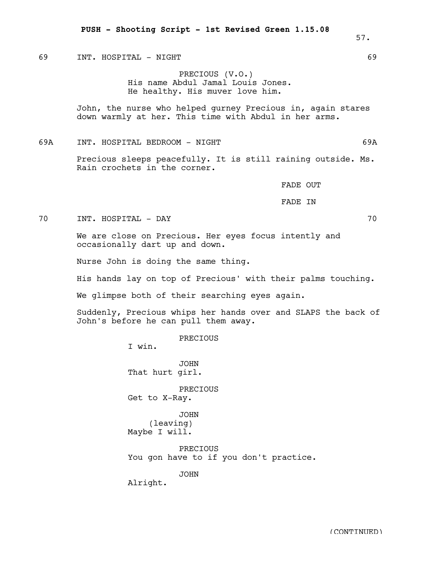69 INT. HOSPITAL - NIGHT 69

PRECIOUS (V.O.) His name Abdul Jamal Louis Jones. He healthy. His muver love him.

John, the nurse who helped gurney Precious in, again stares down warmly at her. This time with Abdul in her arms.

# 69A INT. HOSPITAL BEDROOM - NIGHT 69A

Precious sleeps peacefully. It is still raining outside. Ms. Rain crochets in the corner.

FADE OUT

FADE IN

70 INT. HOSPITAL - DAY 70

We are close on Precious. Her eyes focus intently and occasionally dart up and down.

Nurse John is doing the same thing.

His hands lay on top of Precious' with their palms touching.

We glimpse both of their searching eyes again.

Suddenly, Precious whips her hands over and SLAPS the back of John's before he can pull them away.

**PRECTOUS** 

I win.

JOHN That hurt girl.

PRECIOUS Get to X-Ray.

JOHN (leaving) Maybe I will.

PRECIOUS You gon have to if you don't practice.

JOHN

Alright.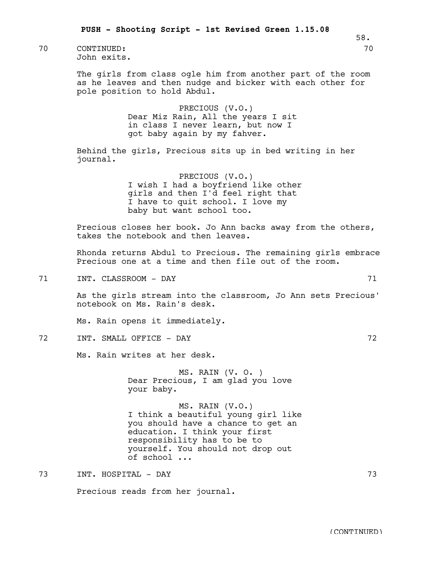John exits. 70 CONTINUED: 70

> The girls from class ogle him from another part of the room as he leaves and then nudge and bicker with each other for pole position to hold Abdul.

> > PRECIOUS (V.O.) Dear Miz Rain, All the years I sit in class I never learn, but now I got baby again by my fahver.

Behind the girls, Precious sits up in bed writing in her journal.

> PRECIOUS (V.O.) I wish I had a boyfriend like other girls and then I'd feel right that I have to quit school. I love my baby but want school too.

Precious closes her book. Jo Ann backs away from the others, takes the notebook and then leaves.

Rhonda returns Abdul to Precious. The remaining girls embrace Precious one at a time and then file out of the room.

71 INT. CLASSROOM - DAY 71

As the girls stream into the classroom, Jo Ann sets Precious' notebook on Ms. Rain's desk.

Ms. Rain opens it immediately.

72 INT. SMALL OFFICE - DAY 72

Ms. Rain writes at her desk.

MS. RAIN (V. O. ) Dear Precious, I am glad you love your baby.

MS. RAIN (V.O.) I think a beautiful young girl like you should have a chance to get an education. I think your first responsibility has to be to yourself. You should not drop out of school ...

73 INT. HOSPITAL - DAY 73

Precious reads from her journal.

58.

(CONTINUED)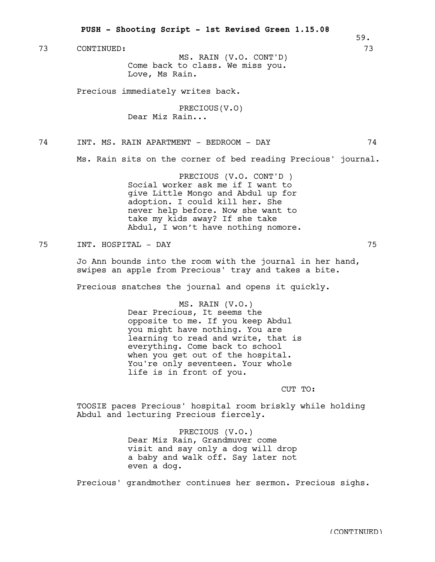MS. RAIN (V.O. CONT'D) Come back to class. We miss you. Love, Ms Rain. Precious immediately writes back. PRECIOUS(V.O) Dear Miz Rain... 74 INT. MS. RAIN APARTMENT - BEDROOM - DAY 74 Ms. Rain sits on the corner of bed reading Precious' journal. PRECIOUS (V.O. CONT'D ) Social worker ask me if I want to give Little Mongo and Abdul up for adoption. I could kill her. She never help before. Now she want to take my kids away? If she take Abdul, I won't have nothing nomore. 75 INT. HOSPITAL - DAY 75 Jo Ann bounds into the room with the journal in her hand, swipes an apple from Precious' tray and takes a bite. Precious snatches the journal and opens it quickly. MS. RAIN (V.O.) Dear Precious, It seems the opposite to me. If you keep Abdul you might have nothing. You are learning to read and write, that is everything. Come back to school when you get out of the hospital. You're only seventeen. Your whole life is in front of you. CUT TO: **PUSH - Shooting Script - 1st Revised Green 1.15.08** 59. 73 CONTINUED: 73

> TOOSIE paces Precious' hospital room briskly while holding Abdul and lecturing Precious fiercely.

> > PRECIOUS (V.O.) Dear Miz Rain, Grandmuver come visit and say only a dog will drop a baby and walk off. Say later not even a dog.

Precious' grandmother continues her sermon. Precious sighs.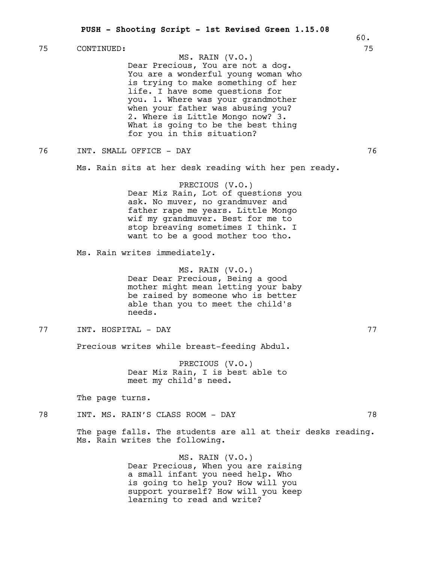75 CONTINUED: 75

MS. RAIN (V.O.) Dear Precious, You are not a dog. You are a wonderful young woman who is trying to make something of her life. I have some questions for you. 1. Where was your grandmother when your father was abusing you? 2. Where is Little Mongo now? 3. What is going to be the best thing for you in this situation?

# 76 INT. SMALL OFFICE - DAY 76

Ms. Rain sits at her desk reading with her pen ready.

# PRECIOUS (V.O.)

Dear Miz Rain, Lot of questions you ask. No muver, no grandmuver and father rape me years. Little Mongo wif my grandmuver. Best for me to stop breaving sometimes I think. I want to be a good mother too tho.

Ms. Rain writes immediately.

MS. RAIN (V.O.) Dear Dear Precious, Being a good mother might mean letting your baby be raised by someone who is better able than you to meet the child's needs.

77 INT. HOSPITAL - DAY 77

Precious writes while breast-feeding Abdul.

PRECIOUS (V.O.) Dear Miz Rain, I is best able to meet my child's need.

The page turns.

78 INT. MS. RAIN'S CLASS ROOM - DAY 78

The page falls. The students are all at their desks reading. Ms. Rain writes the following.

> MS. RAIN (V.O.) Dear Precious, When you are raising a small infant you need help. Who is going to help you? How will you support yourself? How will you keep learning to read and write?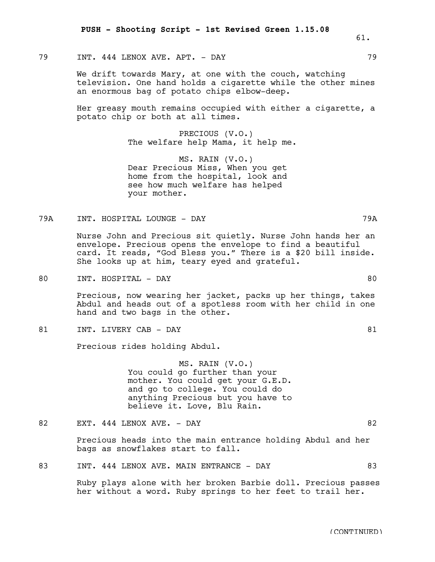79 INT. 444 LENOX AVE. APT. - DAY 79

We drift towards Mary, at one with the couch, watching television. One hand holds a cigarette while the other mines an enormous bag of potato chips elbow-deep.

Her greasy mouth remains occupied with either a cigarette, a potato chip or both at all times.

> PRECIOUS (V.O.) The welfare help Mama, it help me.

MS. RAIN (V.O.) Dear Precious Miss, When you get home from the hospital, look and see how much welfare has helped your mother.

79A INT. HOSPITAL LOUNGE - DAY 79A

Nurse John and Precious sit quietly. Nurse John hands her an envelope. Precious opens the envelope to find a beautiful card. It reads, "God Bless you." There is a \$20 bill inside. She looks up at him, teary eyed and grateful.

80 INT. HOSPITAL – DAY 80

Precious, now wearing her jacket, packs up her things, takes Abdul and heads out of a spotless room with her child in one hand and two bags in the other.

81 INT. LIVERY CAB – DAY 81

Precious rides holding Abdul.

MS. RAIN (V.O.) You could go further than your mother. You could get your G.E.D. and go to college. You could do anything Precious but you have to believe it. Love, Blu Rain.

82 EXT. 444 LENOX AVE. - DAY 82

Precious heads into the main entrance holding Abdul and her bags as snowflakes start to fall.

83 INT. 444 LENOX AVE. MAIN ENTRANCE - DAY 63

Ruby plays alone with her broken Barbie doll. Precious passes her without a word. Ruby springs to her feet to trail her.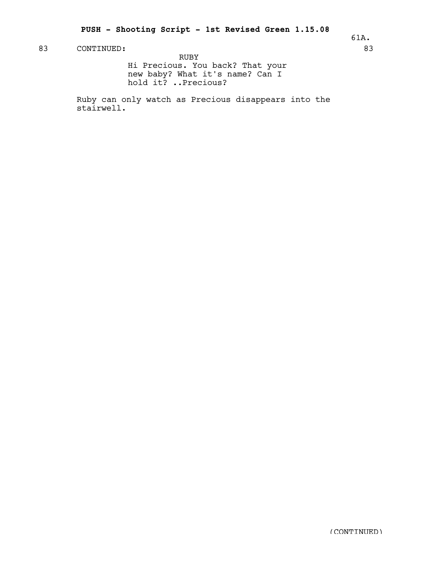# 83 CONTINUED: 83

RUBY Hi Precious. You back? That your new baby? What it's name? Can I hold it? ..Precious?

Ruby can only watch as Precious disappears into the stairwell.

61A.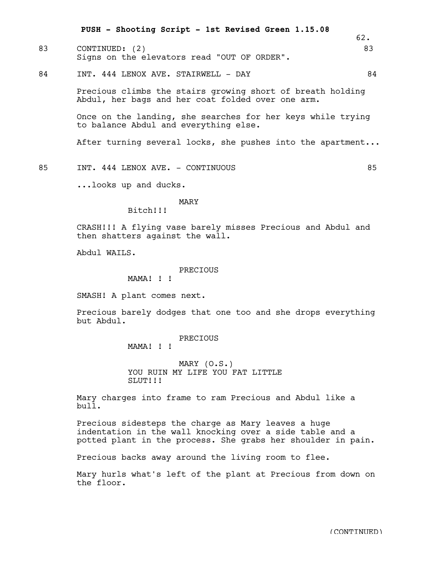Signs on the elevators read "OUT OF ORDER". 84 INT. 444 LENOX AVE. STAIRWELL - DAY 64 Precious climbs the stairs growing short of breath holding Abdul, her bags and her coat folded over one arm. Once on the landing, she searches for her keys while trying to balance Abdul and everything else. After turning several locks, she pushes into the apartment... 85 INT. 444 LENOX AVE. - CONTINUOUS 85 ...looks up and ducks. MARY Bitch!!! CRASH!!! A flying vase barely misses Precious and Abdul and then shatters against the wall. **PUSH - Shooting Script - 1st Revised Green 1.15.08** 62. 83 CONTINUED: (2) 83

Abdul WAILS.

#### PRECIOUS

MAMA! ! !

SMASH! A plant comes next.

Precious barely dodges that one too and she drops everything but Abdul.

## PRECIOUS

MAMA! ! !

MARY (O.S.) YOU RUIN MY LIFE YOU FAT LITTLE SLUT!!!

Mary charges into frame to ram Precious and Abdul like a bull.

Precious sidesteps the charge as Mary leaves a huge indentation in the wall knocking over a side table and a potted plant in the process. She grabs her shoulder in pain.

Precious backs away around the living room to flee.

Mary hurls what's left of the plant at Precious from down on the floor.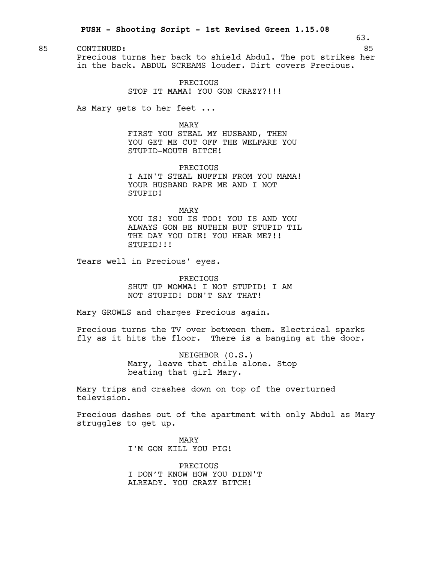63.

Precious turns her back to shield Abdul. The pot strikes her in the back. ABDUL SCREAMS louder. Dirt covers Precious. 85 CONTINUED: 85

## PRECIOUS STOP IT MAMA! YOU GON CRAZY?!!!

As Mary gets to her feet ...

MARY

FIRST YOU STEAL MY HUSBAND, THEN YOU GET ME CUT OFF THE WELFARE YOU STUPID-MOUTH BITCH!

PRECIOUS I AIN'T STEAL NUFFIN FROM YOU MAMA! YOUR HUSBAND RAPE ME AND I NOT STUPID!

MARY

YOU IS! YOU IS TOO! YOU IS AND YOU ALWAYS GON BE NUTHIN BUT STUPID TIL THE DAY YOU DIE! YOU HEAR ME?!! STUPID!!!

Tears well in Precious' eyes.

PRECIOUS SHUT UP MOMMA! I NOT STUPID! I AM NOT STUPID! DON'T SAY THAT!

Mary GROWLS and charges Precious again.

Precious turns the TV over between them. Electrical sparks fly as it hits the floor. There is a banging at the door.

> NEIGHBOR (O.S.) Mary, leave that chile alone. Stop beating that girl Mary.

Mary trips and crashes down on top of the overturned television.

Precious dashes out of the apartment with only Abdul as Mary struggles to get up.

> MARY I'M GON KILL YOU PIG!

PRECIOUS I DON'T KNOW HOW YOU DIDN'T ALREADY. YOU CRAZY BITCH!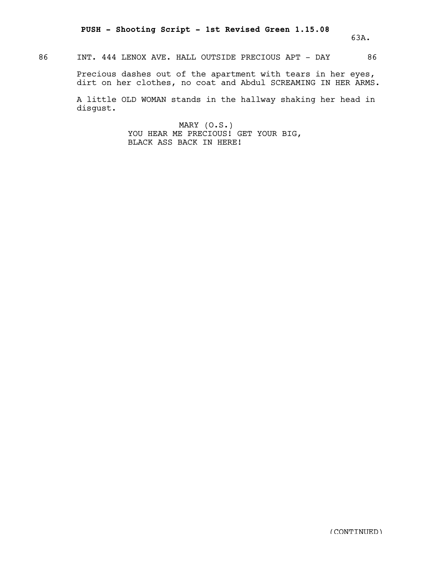# 86 INT. 444 LENOX AVE. HALL OUTSIDE PRECIOUS APT - DAY 86

Precious dashes out of the apartment with tears in her eyes, dirt on her clothes, no coat and Abdul SCREAMING IN HER ARMS.

A little OLD WOMAN stands in the hallway shaking her head in disgust.

> MARY (O.S.) YOU HEAR ME PRECIOUS! GET YOUR BIG, BLACK ASS BACK IN HERE!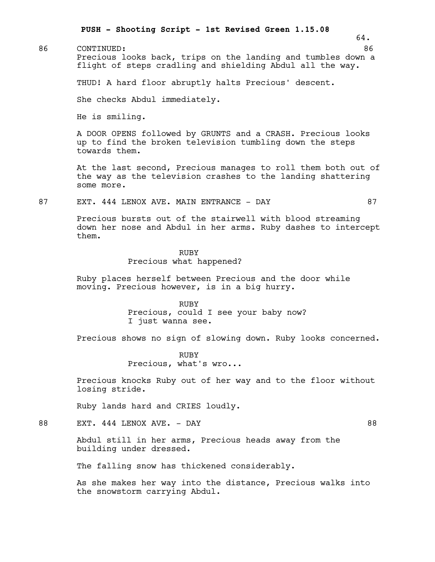Precious looks back, trips on the landing and tumbles down a flight of steps cradling and shielding Abdul all the way. THUD! A hard floor abruptly halts Precious' descent. She checks Abdul immediately. He is smiling. A DOOR OPENS followed by GRUNTS and a CRASH. Precious looks up to find the broken television tumbling down the steps towards them. At the last second, Precious manages to roll them both out of the way as the television crashes to the landing shattering some more. 87 EXT. 444 LENOX AVE. MAIN ENTRANCE - DAY 67 Precious bursts out of the stairwell with blood streaming down her nose and Abdul in her arms. Ruby dashes to intercept them. RUBY Precious what happened? Ruby places herself between Precious and the door while moving. Precious however, is in a big hurry. RUBY Precious, could I see your baby now? I just wanna see. **PUSH - Shooting Script - 1st Revised Green 1.15.08** 64. 86 CONTINUED: 86

Precious shows no sign of slowing down. Ruby looks concerned.

RUBY Precious, what's wro...

Precious knocks Ruby out of her way and to the floor without losing stride.

Ruby lands hard and CRIES loudly.

88 EXT. 444 LENOX AVE. – DAY 88

Abdul still in her arms, Precious heads away from the building under dressed.

The falling snow has thickened considerably.

As she makes her way into the distance, Precious walks into the snowstorm carrying Abdul.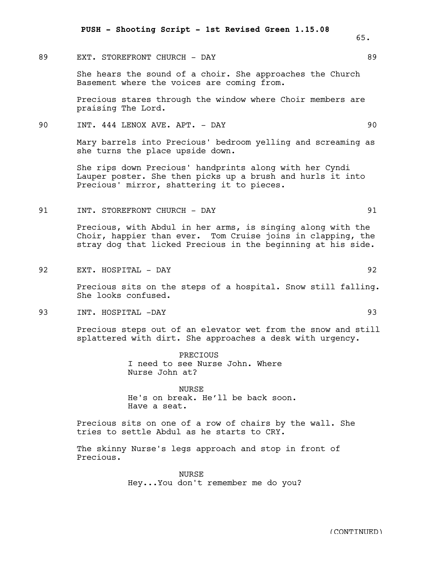### 89 EXT. STOREFRONT CHURCH - DAY 89

She hears the sound of a choir. She approaches the Church Basement where the voices are coming from.

Precious stares through the window where Choir members are praising The Lord.

# 90 INT. 444 LENOX AVE. APT. - DAY 90

Mary barrels into Precious' bedroom yelling and screaming as she turns the place upside down.

She rips down Precious' handprints along with her Cyndi Lauper poster. She then picks up a brush and hurls it into Precious' mirror, shattering it to pieces.

## 91 INT. STOREFRONT CHURCH - DAY 91

Precious, with Abdul in her arms, is singing along with the Choir, happier than ever. Tom Cruise joins in clapping, the stray dog that licked Precious in the beginning at his side.

92 EXT. HOSPITAL - DAY 92

Precious sits on the steps of a hospital. Snow still falling. She looks confused.

93 INT. HOSPITAL -DAY 93

Precious steps out of an elevator wet from the snow and still splattered with dirt. She approaches a desk with urgency.

> **PRECTOUS** I need to see Nurse John. Where Nurse John at?

NURSE He's on break. He'll be back soon. Have a seat.

Precious sits on one of a row of chairs by the wall. She tries to settle Abdul as he starts to CRY.

The skinny Nurse's legs approach and stop in front of Precious.

> **NURSE** Hey...You don't remember me do you?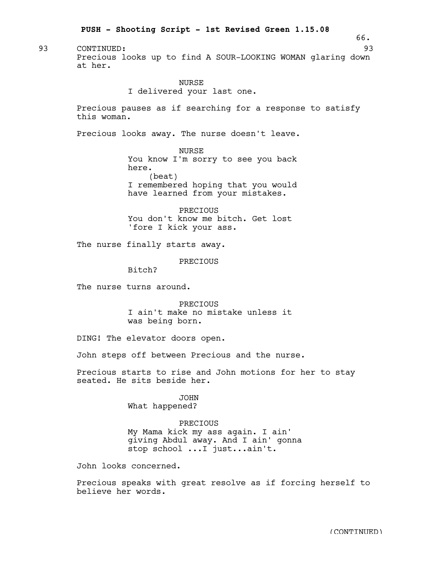Precious looks up to find A SOUR-LOOKING WOMAN glaring down at her. NURSE I delivered your last one. Precious pauses as if searching for a response to satisfy this woman. Precious looks away. The nurse doesn't leave. **NURSE** You know I'm sorry to see you back here. (beat) I remembered hoping that you would have learned from your mistakes. **PRECTOUS** You don't know me bitch. Get lost 'fore I kick your ass. The nurse finally starts away. PRECIOUS Bitch? The nurse turns around. **PRECTOUS** I ain't make no mistake unless it was being born. DING! The elevator doors open. John steps off between Precious and the nurse. Precious starts to rise and John motions for her to stay seated. He sits beside her. JOHN What happened? PRECIOUS My Mama kick my ass again. I ain' giving Abdul away. And I ain' gonna stop school ...I just...ain't. John looks concerned. Precious speaks with great resolve as if forcing herself to believe her words. **PUSH - Shooting Script - 1st Revised Green 1.15.08** 66. 93 CONTINUED: 93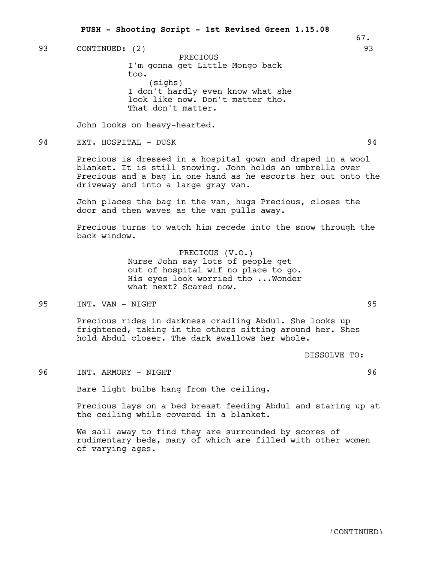93 CONTINUED: (2) 93

PRECIOUS I'm gonna get Little Mongo back too. (sighs) I don't hardly even know what she look like now. Don't matter tho. That don't matter.

John looks on heavy-hearted.

# 94 EXT. HOSPITAL - DUSK 94

Precious is dressed in a hospital gown and draped in a wool blanket. It is still snowing. John holds an umbrella over Precious and a bag in one hand as he escorts her out onto the driveway and into a large gray van.

John places the bag in the van, hugs Precious, closes the door and then waves as the van pulls away.

Precious turns to watch him recede into the snow through the back window.

> PRECIOUS (V.O.) Nurse John say lots of people get out of hospital wif no place to go. His eyes look worried tho ...Wonder what next? Scared now.

95 INT. VAN - NIGHT 95

Precious rides in darkness cradling Abdul. She looks up frightened, taking in the others sitting around her. Shes hold Abdul closer. The dark swallows her whole.

DISSOLVE TO:

96 INT. ARMORY - NIGHT 96

Bare light bulbs hang from the ceiling.

Precious lays on a bed breast feeding Abdul and staring up at the ceiling while covered in a blanket.

We sail away to find they are surrounded by scores of rudimentary beds, many of which are filled with other women of varying ages.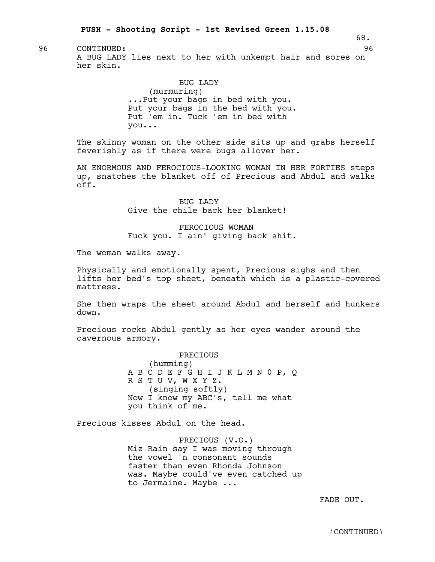A BUG LADY lies next to her with unkempt hair and sores on her skin. 96 CONTINUED: 96

> BUG LADY (murmuring) ...Put your bags in bed with you. Put your bags in the bed with you. Put 'em in. Tuck 'em in bed with you...

The skinny woman on the other side sits up and grabs herself feverishly as if there were bugs allover her.

AN ENORMOUS AND FEROCIOUS-LOOKING WOMAN IN HER FORTIES steps up, snatches the blanket off of Precious and Abdul and walks off.

> BUG LADY Give the chile back her blanket!

FEROCIOUS WOMAN Fuck you. I ain' giving back shit.

The woman walks away.

Physically and emotionally spent, Precious sighs and then lifts her bed's top sheet, beneath which is a plastic-covered mattress.

She then wraps the sheet around Abdul and herself and hunkers down.

Precious rocks Abdul gently as her eyes wander around the cavernous armory.

> PRECIOUS (humming) A B C D E F G H I J K L M N 0 P, Q R S T U V, W X Y Z. (singing softly) Now I know my ABC's, tell me what you think of me.

Precious kisses Abdul on the head.

PRECIOUS (V.O.) Miz Rain say I was moving through the vowel 'n consonant sounds faster than even Rhonda Johnson was. Maybe could've even catched up to Jermaine. Maybe ...

FADE OUT.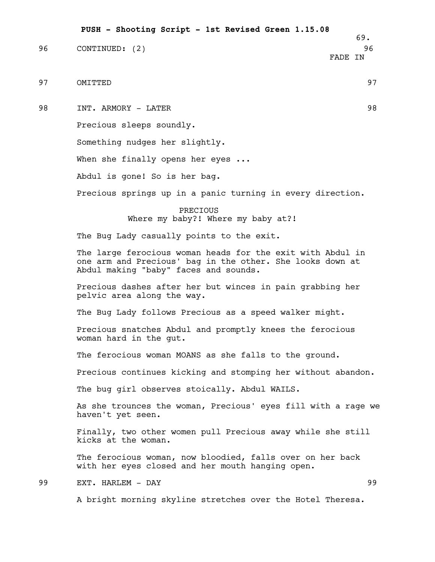96 CONTINUED: (2) 96

69.

FADE IN

- 97 OMITTED 97
- 98 INT. ARMORY LATER 98

Precious sleeps soundly.

Something nudges her slightly.

When she finally opens her eyes ...

Abdul is gone! So is her bag.

Precious springs up in a panic turning in every direction.

PRECIOUS Where my baby?! Where my baby at?!

The Bug Lady casually points to the exit.

The large ferocious woman heads for the exit with Abdul in one arm and Precious' bag in the other. She looks down at Abdul making "baby" faces and sounds.

Precious dashes after her but winces in pain grabbing her pelvic area along the way.

The Bug Lady follows Precious as a speed walker might.

Precious snatches Abdul and promptly knees the ferocious woman hard in the gut.

The ferocious woman MOANS as she falls to the ground.

Precious continues kicking and stomping her without abandon.

The bug girl observes stoically. Abdul WAILS.

As she trounces the woman, Precious' eyes fill with a rage we haven't yet seen.

Finally, two other women pull Precious away while she still kicks at the woman.

The ferocious woman, now bloodied, falls over on her back with her eyes closed and her mouth hanging open.

99 EXT. HARLEM - DAY 99

A bright morning skyline stretches over the Hotel Theresa.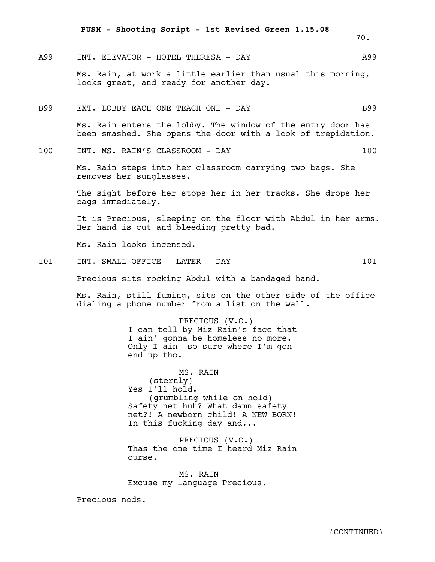70.

A99 INT. ELEVATOR - HOTEL THERESA - DAY A99

Ms. Rain, at work a little earlier than usual this morning, looks great, and ready for another day.

# B99 EXT. LOBBY EACH ONE TEACH ONE - DAY B99

Ms. Rain enters the lobby. The window of the entry door has been smashed. She opens the door with a look of trepidation.

100 INT. MS. RAIN'S CLASSROOM - DAY 100

Ms. Rain steps into her classroom carrying two bags. She removes her sunglasses.

The sight before her stops her in her tracks. She drops her bags immediately.

It is Precious, sleeping on the floor with Abdul in her arms. Her hand is cut and bleeding pretty bad.

Ms. Rain looks incensed.

101 INT. SMALL OFFICE - LATER - DAY 101

Precious sits rocking Abdul with a bandaged hand.

Ms. Rain, still fuming, sits on the other side of the office dialing a phone number from a list on the wall.

> PRECIOUS (V.O.) I can tell by Miz Rain's face that I ain' gonna be homeless no more. Only I ain' so sure where I'm gon end up tho.

> MS. RAIN (sternly) Yes I'll hold. (grumbling while on hold) Safety net huh? What damn safety net?! A newborn child! A NEW BORN! In this fucking day and...

> PRECIOUS (V.O.) Thas the one time I heard Miz Rain curse.

MS. RAIN Excuse my language Precious.

Precious nods.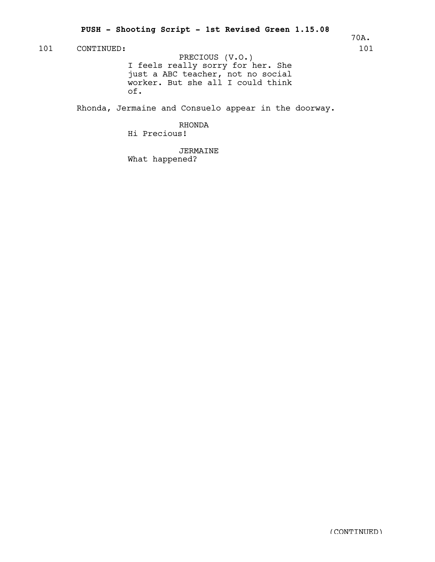PRECIOUS (V.O.) I feels really sorry for her. She just a ABC teacher, not no social worker. But she all I could think of.

Rhonda, Jermaine and Consuelo appear in the doorway.

RHONDA Hi Precious!

JERMAINE What happened?

70A.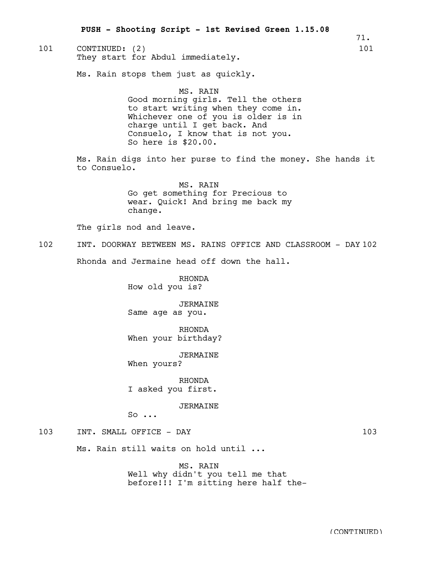They start for Abdul immediately. 101 CONTINUED: (2) 101

Ms. Rain stops them just as quickly.

### MS. RAIN

Good morning girls. Tell the others to start writing when they come in. Whichever one of you is older is in charge until I get back. And Consuelo, I know that is not you. So here is \$20.00.

Ms. Rain digs into her purse to find the money. She hands it to Consuelo.

> MS. RAIN Go get something for Precious to wear. Quick! And bring me back my change.

The girls nod and leave.

102 INT. DOORWAY BETWEEN MS. RAINS OFFICE AND CLASSROOM - DAY 102

Rhonda and Jermaine head off down the hall.

RHONDA How old you is?

JERMAINE Same age as you.

RHONDA When your birthday?

JERMAINE

When yours?

RHONDA I asked you first.

JERMAINE

So ...

103 INT. SMALL OFFICE - DAY 103

71.

Ms. Rain still waits on hold until ...

MS. RAIN Well why didn't you tell me that before!!! I'm sitting here half the-

(CONTINUED)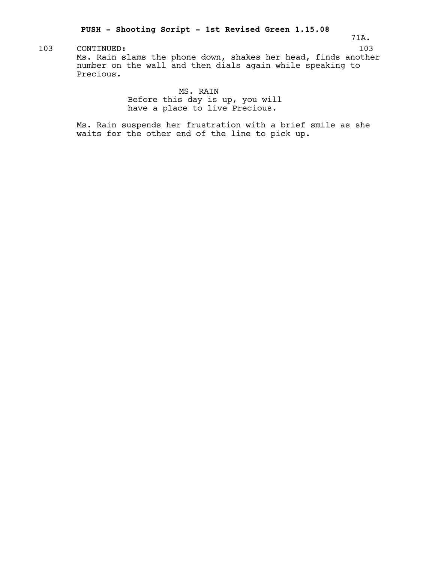71A.

Ms. Rain slams the phone down, shakes her head, finds another number on the wall and then dials again while speaking to Precious. 103 CONTINUED: 103

> MS. RAIN Before this day is up, you will have a place to live Precious.

Ms. Rain suspends her frustration with a brief smile as she waits for the other end of the line to pick up.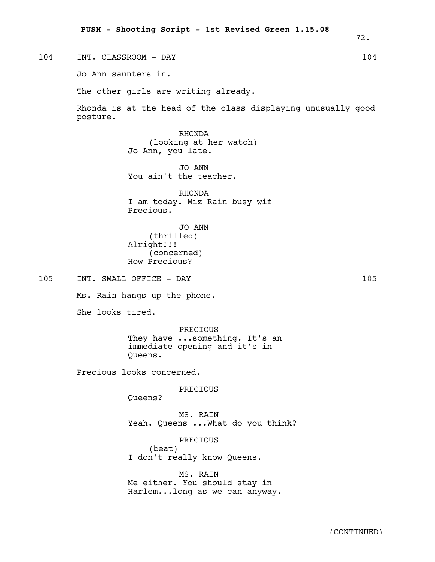72.

104 INT. CLASSROOM - DAY 104

Jo Ann saunters in.

The other girls are writing already.

Rhonda is at the head of the class displaying unusually good posture.

> RHONDA (looking at her watch) Jo Ann, you late.

JO ANN You ain't the teacher.

RHONDA I am today. Miz Rain busy wif Precious.

JO ANN (thrilled) Alright!!! (concerned) How Precious?

105 INT. SMALL OFFICE - DAY 105

Ms. Rain hangs up the phone.

She looks tired.

PRECIOUS They have ...something. It's an immediate opening and it's in Queens.

Precious looks concerned.

PRECIOUS

Queens?

MS. RAIN Yeah. Queens ...What do you think?

PRECIOUS (beat) I don't really know Queens.

MS. RAIN Me either. You should stay in Harlem...long as we can anyway.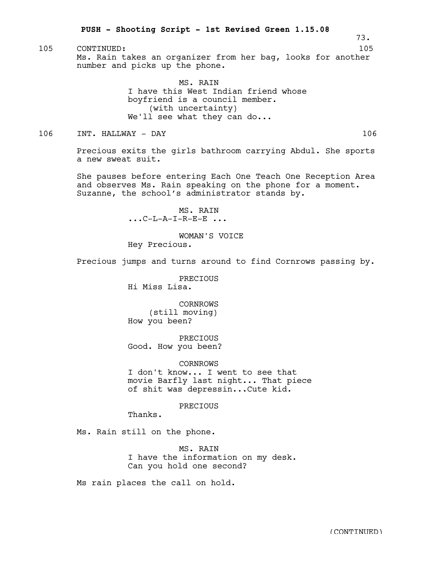Ms. Rain takes an organizer from her bag, looks for another number and picks up the phone. 105 CONTINUED: 105

> MS. RAIN I have this West Indian friend whose boyfriend is a council member. (with uncertainty) We'll see what they can do...

106 INT. HALLWAY - DAY 106

Precious exits the girls bathroom carrying Abdul. She sports a new sweat suit.

She pauses before entering Each One Teach One Reception Area and observes Ms. Rain speaking on the phone for a moment. Suzanne, the school's administrator stands by.

> MS. RAIN ...C-L-A-I-R-E-E ...

WOMAN'S VOICE Hey Precious.

Precious jumps and turns around to find Cornrows passing by.

PRECIOUS Hi Miss Lisa.

CORNROWS (still moving) How you been?

PRECIOUS Good. How you been?

CORNROWS

I don't know... I went to see that movie Barfly last night... That piece of shit was depressin...Cute kid.

PRECIOUS

Thanks.

Ms. Rain still on the phone.

MS. RAIN I have the information on my desk. Can you hold one second?

Ms rain places the call on hold.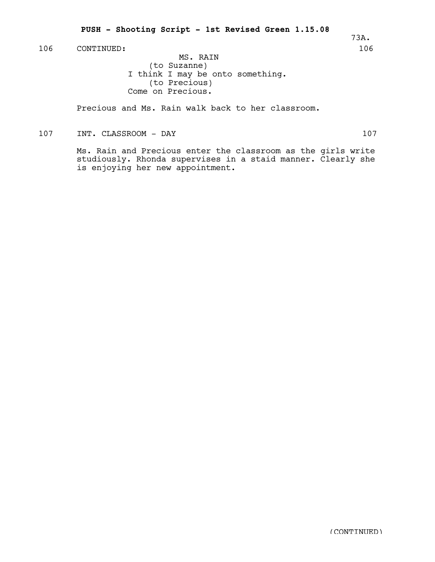73A.

106 CONTINUED: 106

MS. RAIN (to Suzanne) I think I may be onto something. (to Precious) Come on Precious.

Precious and Ms. Rain walk back to her classroom.

107 INT. CLASSROOM - DAY 107

Ms. Rain and Precious enter the classroom as the girls write studiously. Rhonda supervises in a staid manner. Clearly she is enjoying her new appointment.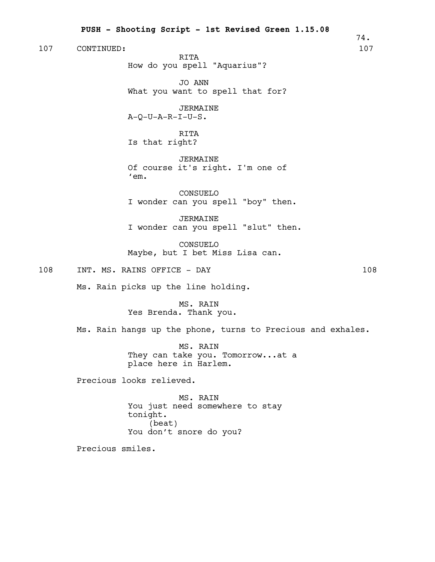RITA How do you spell "Aquarius"?

JO ANN What you want to spell that for?

JERMAINE  $A-Q-U-A-R-I-U-S.$ 

RITA Is that right?

JERMAINE Of course it's right. I'm one of 'em.

CONSUELO I wonder can you spell "boy" then.

JERMAINE I wonder can you spell "slut" then.

CONSUELO Maybe, but I bet Miss Lisa can.

108 INT. MS. RAINS OFFICE - DAY 108

Ms. Rain picks up the line holding.

MS. RAIN Yes Brenda. Thank you.

Ms. Rain hangs up the phone, turns to Precious and exhales.

MS. RAIN They can take you. Tomorrow...at a place here in Harlem.

Precious looks relieved.

MS. RAIN You just need somewhere to stay tonight. (beat) You don't snore do you?

Precious smiles.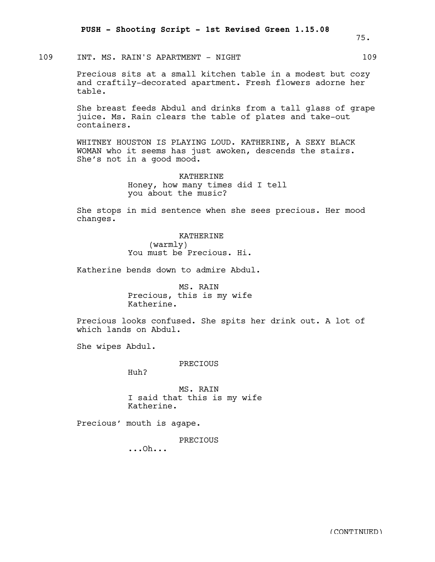109 INT. MS. RAIN'S APARTMENT - NIGHT 109

Precious sits at a small kitchen table in a modest but cozy and craftily-decorated apartment. Fresh flowers adorne her table.

She breast feeds Abdul and drinks from a tall glass of grape juice. Ms. Rain clears the table of plates and take-out containers.

WHITNEY HOUSTON IS PLAYING LOUD. KATHERINE, A SEXY BLACK WOMAN who it seems has just awoken, descends the stairs. She's not in a good mood.

> KATHERINE Honey, how many times did I tell you about the music?

She stops in mid sentence when she sees precious. Her mood changes.

> KATHERINE (warmly) You must be Precious. Hi.

Katherine bends down to admire Abdul.

MS. RAIN Precious, this is my wife Katherine.

Precious looks confused. She spits her drink out. A lot of which lands on Abdul.

She wipes Abdul.

PRECIOUS

Huh?

MS. RAIN I said that this is my wife Katherine.

Precious' mouth is agape.

PRECIOUS

...Oh...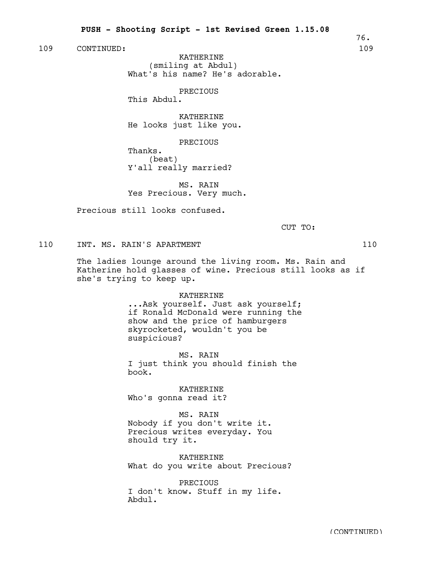KATHERINE (smiling at Abdul) What's his name? He's adorable.

PRECIOUS

This Abdul.

KATHERINE He looks just like you.

PRECIOUS

Thanks. (beat) Y'all really married?

MS. RAIN Yes Precious. Very much.

Precious still looks confused.

CUT TO:

110 INT. MS. RAIN'S APARTMENT 110

The ladies lounge around the living room. Ms. Rain and Katherine hold glasses of wine. Precious still looks as if she's trying to keep up.

KATHERINE

...Ask yourself. Just ask yourself; if Ronald McDonald were running the show and the price of hamburgers skyrocketed, wouldn't you be suspicious?

MS. RAIN I just think you should finish the book.

KATHERINE Who's gonna read it?

MS. RAIN Nobody if you don't write it. Precious writes everyday. You should try it.

KATHERINE What do you write about Precious?

PRECIOUS I don't know. Stuff in my life. Abdul.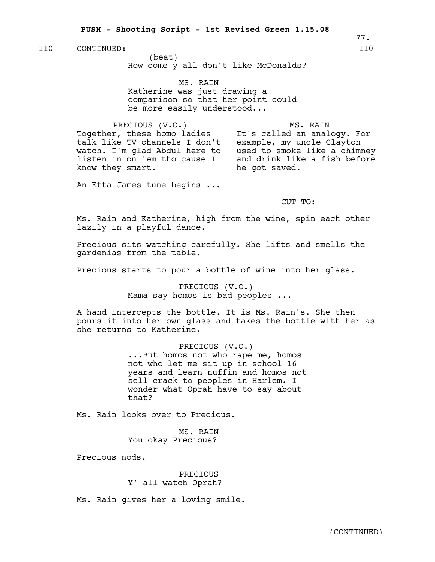(beat) How come y'all don't like McDonalds?

MS. RAIN Katherine was just drawing a comparison so that her point could be more easily understood...

PRECIOUS (V.O.) Together, these homo ladies talk like TV channels I don't watch. I'm glad Abdul here to used to smoke like a chimney listen in on 'em tho cause I and drink like a fish before know they smart. MS. RAIN It's called an analogy. For example, my uncle Clayton he got saved.

An Etta James tune begins ...

CUT TO:

Ms. Rain and Katherine, high from the wine, spin each other lazily in a playful dance.

Precious sits watching carefully. She lifts and smells the gardenias from the table.

Precious starts to pour a bottle of wine into her glass.

PRECIOUS (V.O.) Mama say homos is bad peoples ...

A hand intercepts the bottle. It is Ms. Rain's. She then pours it into her own glass and takes the bottle with her as she returns to Katherine.

> PRECIOUS (V.O.) ...But homos not who rape me, homos not who let me sit up in school 16 years and learn nuffin and homos not sell crack to peoples in Harlem. I wonder what Oprah have to say about that?

Ms. Rain looks over to Precious.

MS. RAIN You okay Precious?

Precious nods.

# PRECIOUS Y' all watch Oprah?

Ms. Rain gives her a loving smile.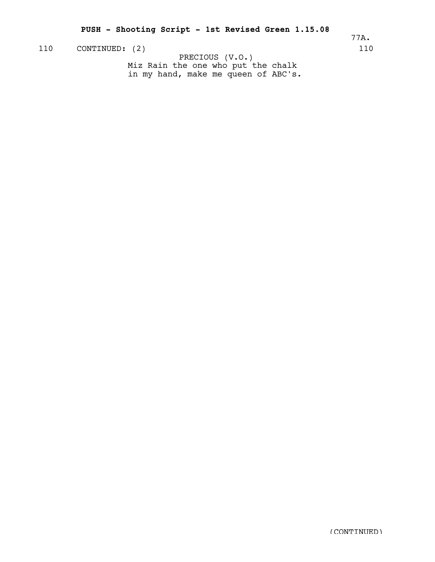110 CONTINUED: (2) 110

PRECIOUS (V.O.) Miz Rain the one who put the chalk in my hand, make me queen of ABC's. 77A.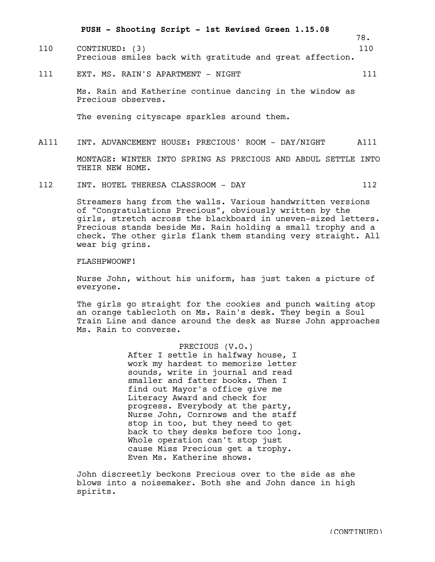- Precious smiles back with gratitude and great affection. 110 CONTINUED: (3) 110
- 111 EXT. MS. RAIN'S APARTMENT NIGHT 111

Ms. Rain and Katherine continue dancing in the window as Precious observes.

The evening cityscape sparkles around them.

A111 INT. ADVANCEMENT HOUSE: PRECIOUS' ROOM - DAY/NIGHT A111

MONTAGE: WINTER INTO SPRING AS PRECIOUS AND ABDUL SETTLE INTO THEIR NEW HOME.

112 INT. HOTEL THERESA CLASSROOM - DAY 112

Streamers hang from the walls. Various handwritten versions of "Congratulations Precious", obviously written by the girls, stretch across the blackboard in uneven-sized letters. Precious stands beside Ms. Rain holding a small trophy and a check. The other girls flank them standing very straight. All wear big grins.

FLASHPWOOWF!

Nurse John, without his uniform, has just taken a picture of everyone.

The girls go straight for the cookies and punch waiting atop an orange tablecloth on Ms. Rain's desk. They begin a Soul Train Line and dance around the desk as Nurse John approaches Ms. Rain to converse.

> PRECIOUS (V.O.) After I settle in halfway house, I work my hardest to memorize letter sounds, write in journal and read smaller and fatter books. Then I find out Mayor's office give me Literacy Award and check for progress. Everybody at the party, Nurse John, Cornrows and the staff stop in too, but they need to get back to they desks before too long. Whole operation can't stop just cause Miss Precious get a trophy. Even Ms. Katherine shows.

John discreetly beckons Precious over to the side as she blows into a noisemaker. Both she and John dance in high spirits.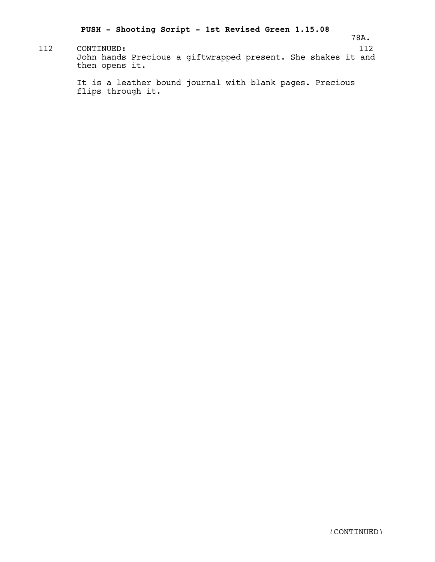John hands Precious a giftwrapped present. She shakes it and then opens it. 112 CONTINUED: 112

> It is a leather bound journal with blank pages. Precious flips through it.

78A.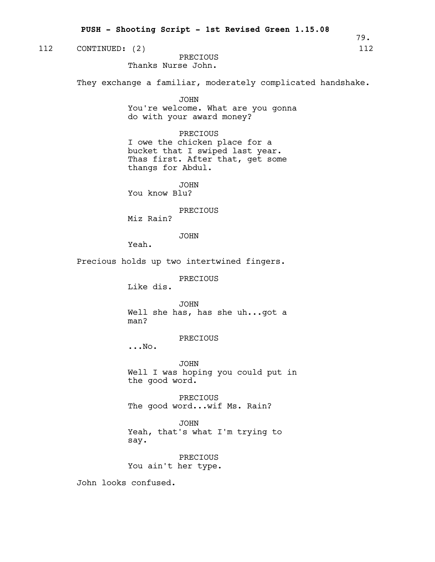112 CONTINUED: (2) 112

PRECIOUS Thanks Nurse John.

They exchange a familiar, moderately complicated handshake.

JOHN You're welcome. What are you gonna do with your award money?

PRECIOUS I owe the chicken place for a bucket that I swiped last year. Thas first. After that, get some thangs for Abdul.

JOHN You know Blu?

PRECIOUS

Miz Rain?

JOHN

Yeah.

Precious holds up two intertwined fingers.

PRECIOUS

Like dis.

JOHN Well she has, has she uh...got a man?

# PRECIOUS

...No.

JOHN Well I was hoping you could put in the good word.

PRECIOUS The good word...wif Ms. Rain?

JOHN Yeah, that's what I'm trying to say.

PRECIOUS You ain't her type.

John looks confused.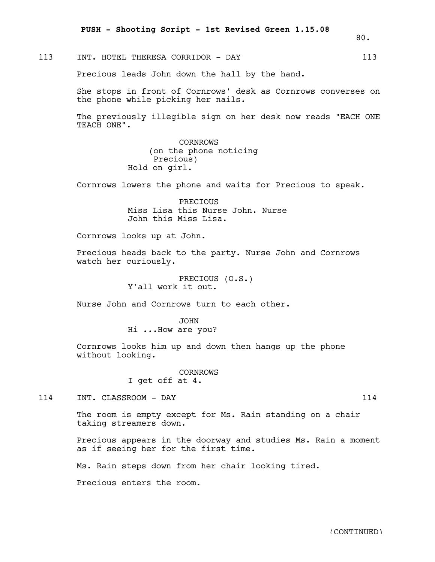80.

113 INT. HOTEL THERESA CORRIDOR - DAY 113

Precious leads John down the hall by the hand.

She stops in front of Cornrows' desk as Cornrows converses on the phone while picking her nails.

The previously illegible sign on her desk now reads "EACH ONE TEACH ONE".

> CORNROWS (on the phone noticing Precious) Hold on girl.

Cornrows lowers the phone and waits for Precious to speak.

PRECIOUS Miss Lisa this Nurse John. Nurse John this Miss Lisa.

Cornrows looks up at John.

Precious heads back to the party. Nurse John and Cornrows watch her curiously.

> PRECIOUS (O.S.) Y'all work it out.

Nurse John and Cornrows turn to each other.

JOHN Hi ...How are you?

Cornrows looks him up and down then hangs up the phone without looking.

> CORNROWS I get off at 4.

114 INT. CLASSROOM - DAY 114

The room is empty except for Ms. Rain standing on a chair taking streamers down.

Precious appears in the doorway and studies Ms. Rain a moment as if seeing her for the first time.

Ms. Rain steps down from her chair looking tired.

Precious enters the room.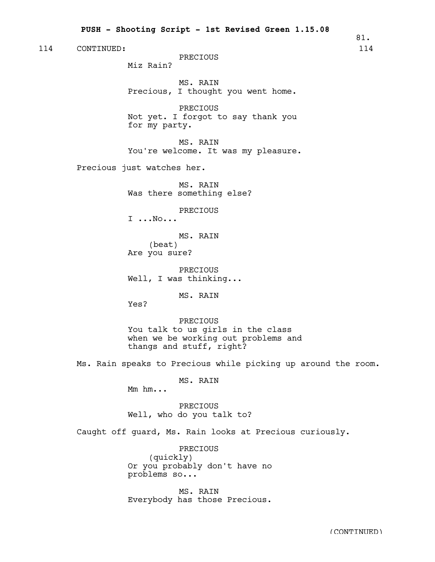PRECIOUS Miz Rain?

MS. RAIN Precious, I thought you went home.

PRECIOUS Not yet. I forgot to say thank you for my party.

MS. RAIN You're welcome. It was my pleasure.

Precious just watches her.

MS. RAIN Was there something else?

PRECIOUS

I ...No...

MS. RAIN (beat) Are you sure?

PRECIOUS Well, I was thinking...

MS. RAIN

Yes?

PRECIOUS You talk to us girls in the class when we be working out problems and thangs and stuff, right?

Ms. Rain speaks to Precious while picking up around the room.

MS. RAIN

Mm hm...

PRECIOUS Well, who do you talk to?

Caught off guard, Ms. Rain looks at Precious curiously.

PRECIOUS (quickly) Or you probably don't have no problems so...

MS. RAIN Everybody has those Precious.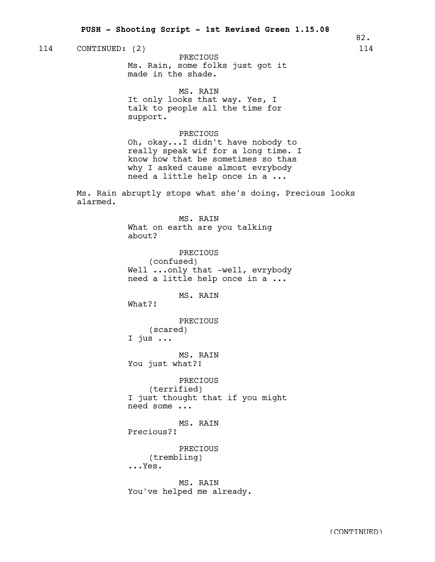114 CONTINUED: (2) 114

PRECIOUS Ms. Rain, some folks just got it made in the shade.

MS. RAIN

It only looks that way. Yes, I talk to people all the time for support.

## PRECIOUS

Oh, okay...I didn't have nobody to really speak wif for a long time. I know how that be sometimes so thas why I asked cause almost evrybody need a little help once in a ...

Ms. Rain abruptly stops what she's doing. Precious looks alarmed.

> MS. RAIN What on earth are you talking about? PRECIOUS (confused) Well ...only that -well, evrybody need a little help once in a ... MS. RAIN What?! PRECIOUS (scared) I jus ... MS. RAIN You just what?! PRECIOUS (terrified) I just thought that if you might need some ... MS. RAIN Precious?! PRECIOUS (trembling) ...Yes. MS. RAIN You've helped me already.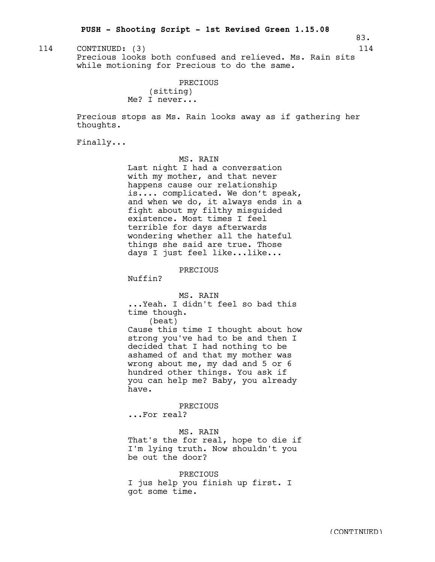Precious looks both confused and relieved. Ms. Rain sits while motioning for Precious to do the same. 114 CONTINUED: (3) 114

> PRECIOUS (sitting) Me? I never...

Precious stops as Ms. Rain looks away as if gathering her thoughts.

Finally...

MS. RAIN

Last night I had a conversation with my mother, and that never happens cause our relationship is.... complicated. We don't speak, and when we do, it always ends in a fight about my filthy misguided existence. Most times I feel terrible for days afterwards wondering whether all the hateful things she said are true. Those days I just feel like...like...

PRECIOUS

Nuffin?

MS. RAIN ...Yeah. I didn't feel so bad this time though. (beat) Cause this time I thought about how strong you've had to be and then I decided that I had nothing to be ashamed of and that my mother was wrong about me, my dad and 5 or 6 hundred other things. You ask if you can help me? Baby, you already have.

PRECIOUS ...For real?

## MS. RAIN

That's the for real, hope to die if I'm lying truth. Now shouldn't you be out the door?

**PRECTOUS** I jus help you finish up first. I got some time.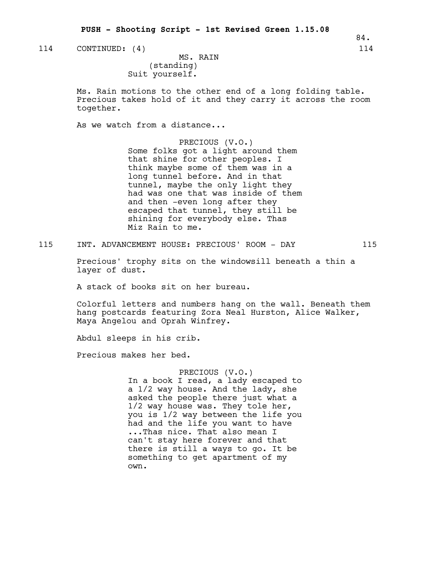114 CONTINUED: (4) 114

MS. RAIN (standing) Suit yourself.

Ms. Rain motions to the other end of a long folding table. Precious takes hold of it and they carry it across the room together.

As we watch from a distance...

PRECIOUS (V.O.) Some folks got a light around them that shine for other peoples. I think maybe some of them was in a long tunnel before. And in that tunnel, maybe the only light they had was one that was inside of them and then -even long after they escaped that tunnel, they still be shining for everybody else. Thas Miz Rain to me.

115 INT. ADVANCEMENT HOUSE: PRECIOUS' ROOM - DAY 115

Precious' trophy sits on the windowsill beneath a thin a layer of dust.

A stack of books sit on her bureau.

Colorful letters and numbers hang on the wall. Beneath them hang postcards featuring Zora Neal Hurston, Alice Walker, Maya Angelou and Oprah Winfrey.

Abdul sleeps in his crib.

Precious makes her bed.

#### PRECIOUS (V.O.)

In a book I read, a lady escaped to a 1/2 way house. And the lady, she asked the people there just what a 1/2 way house was. They tole her, you is 1/2 way between the life you had and the life you want to have ...Thas nice. That also mean I can't stay here forever and that there is still a ways to go. It be something to get apartment of my own.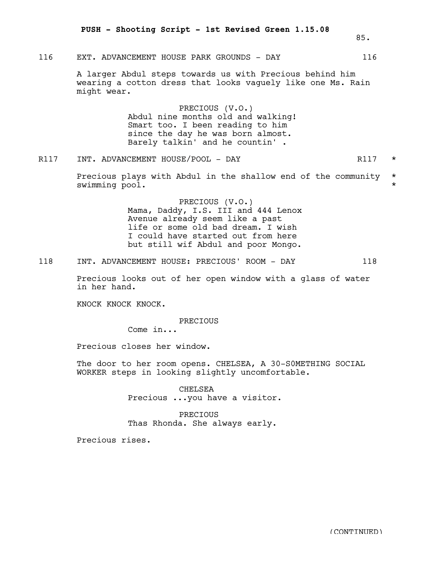85.

116 EXT. ADVANCEMENT HOUSE PARK GROUNDS - DAY 116

A larger Abdul steps towards us with Precious behind him wearing a cotton dress that looks vaguely like one Ms. Rain might wear.

> PRECIOUS (V.O.) Abdul nine months old and walking! Smart too. I been reading to him since the day he was born almost. Barely talkin' and he countin' .

# R117 INT. ADVANCEMENT HOUSE/POOL - DAY R117 \*

Precious plays with Abdul in the shallow end of the community \* swimming pool.

> PRECIOUS (V.O.) Mama, Daddy, I.S. III and 444 Lenox Avenue already seem like a past life or some old bad dream. I wish I could have started out from here but still wif Abdul and poor Mongo.

118 INT. ADVANCEMENT HOUSE: PRECIOUS' ROOM - DAY 118

Precious looks out of her open window with a glass of water in her hand.

KNOCK KNOCK KNOCK.

PRECIOUS

Come in...

Precious closes her window.

The door to her room opens. CHELSEA, A 30-S0METHING SOCIAL WORKER steps in looking slightly uncomfortable.

> CHELSEA Precious ...you have a visitor.

PRECIOUS Thas Rhonda. She always early.

Precious rises.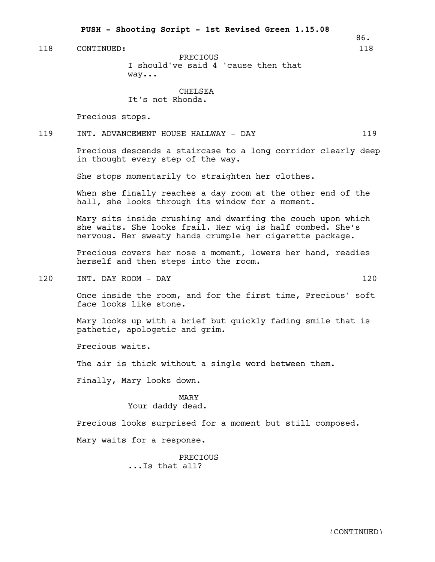118 CONTINUED: 118

86.

**PRECTOUS** I should've said 4 'cause then that way...

CHELSEA

It's not Rhonda.

Precious stops.

119 INT. ADVANCEMENT HOUSE HALLWAY - DAY 119

Precious descends a staircase to a long corridor clearly deep in thought every step of the way.

She stops momentarily to straighten her clothes.

When she finally reaches a day room at the other end of the hall, she looks through its window for a moment.

Mary sits inside crushing and dwarfing the couch upon which she waits. She looks frail. Her wig is half combed. She's nervous. Her sweaty hands crumple her cigarette package.

Precious covers her nose a moment, lowers her hand, readies herself and then steps into the room.

120 INT. DAY ROOM - DAY 120

Once inside the room, and for the first time, Precious' soft face looks like stone.

Mary looks up with a brief but quickly fading smile that is pathetic, apologetic and grim.

Precious waits.

The air is thick without a single word between them.

Finally, Mary looks down.

MARY Your daddy dead.

Precious looks surprised for a moment but still composed.

Mary waits for a response.

PRECIOUS ...Is that all?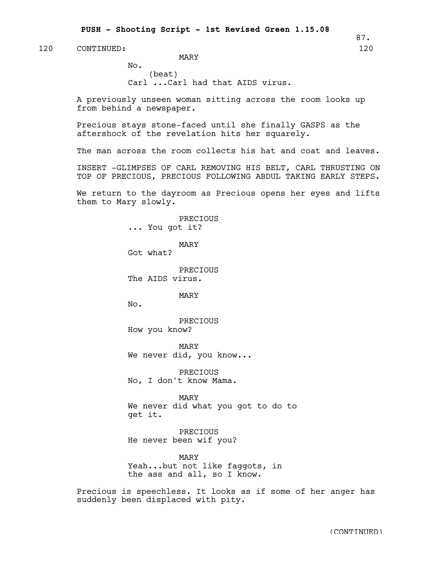MARY

No. (beat) Carl ...Carl had that AIDS virus.

A previously unseen woman sitting across the room looks up from behind a newspaper.

Precious stays stone-faced until she finally GASPS as the aftershock of the revelation hits her squarely.

The man across the room collects his hat and coat and leaves.

INSERT -GLIMPSES OF CARL REMOVING HIS BELT, CARL THRUSTING ON TOP OF PRECIOUS, PRECIOUS FOLLOWING ABDUL TAKING EARLY STEPS.

We return to the dayroom as Precious opens her eyes and lifts them to Mary slowly.

> PRECIOUS ... You got it?

> > MARY

Got what?

PRECIOUS The AIDS virus.

MARY

No.

PRECIOUS How you know?

MARY We never did, you know...

PRECIOUS No, I don't know Mama.

MARY We never did what you got to do to get it.

PRECIOUS He never been wif you?

MARY Yeah...but not like faggots, in the ass and all, so I know.

Precious is speechless. It looks as if some of her anger has suddenly been displaced with pity.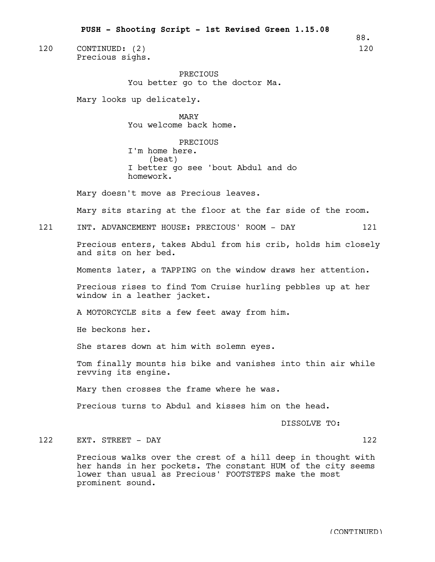Precious sighs. 120 CONTINUED: (2) 120

> PRECIOUS You better go to the doctor Ma.

Mary looks up delicately.

MARY You welcome back home.

PRECIOUS I'm home here. (beat) I better go see 'bout Abdul and do homework.

Mary doesn't move as Precious leaves.

Mary sits staring at the floor at the far side of the room.

121 INT. ADVANCEMENT HOUSE: PRECIOUS' ROOM - DAY 121

Precious enters, takes Abdul from his crib, holds him closely and sits on her bed.

Moments later, a TAPPING on the window draws her attention.

Precious rises to find Tom Cruise hurling pebbles up at her window in a leather jacket.

A MOTORCYCLE sits a few feet away from him.

He beckons her.

She stares down at him with solemn eyes.

Tom finally mounts his bike and vanishes into thin air while revving its engine.

Mary then crosses the frame where he was.

Precious turns to Abdul and kisses him on the head.

DISSOLVE TO:

# 122 EXT. STREET - DAY 122

Precious walks over the crest of a hill deep in thought with her hands in her pockets. The constant HUM of the city seems lower than usual as Precious' FOOTSTEPS make the most prominent sound.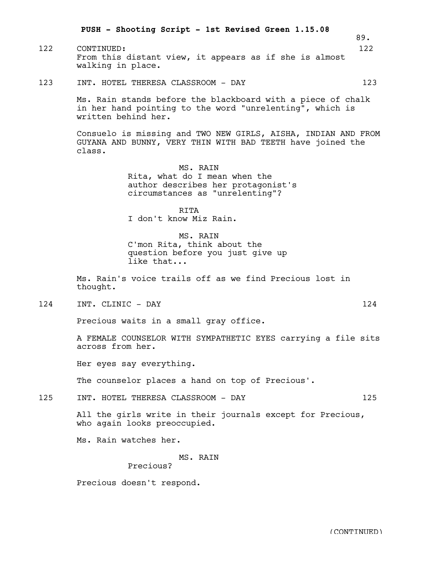- From this distant view, it appears as if she is almost walking in place. 122 CONTINUED: 122
- 123 INT. HOTEL THERESA CLASSROOM DAY 123

Ms. Rain stands before the blackboard with a piece of chalk in her hand pointing to the word "unrelenting", which is written behind her.

Consuelo is missing and TWO NEW GIRLS, AISHA, INDIAN AND FROM GUYANA AND BUNNY, VERY THIN WITH BAD TEETH have joined the class.

> MS. RAIN Rita, what do I mean when the author describes her protagonist's circumstances as "unrelenting"?

**RTTA** I don't know Miz Rain.

MS. RAIN C'mon Rita, think about the question before you just give up like that...

Ms. Rain's voice trails off as we find Precious lost in thought.

124 INT. CLINIC – DAY 124

Precious waits in a small gray office.

A FEMALE COUNSELOR WITH SYMPATHETIC EYES carrying a file sits across from her.

Her eyes say everything.

The counselor places a hand on top of Precious'.

125 INT. HOTEL THERESA CLASSROOM - DAY 125

All the girls write in their journals except for Precious, who again looks preoccupied.

Ms. Rain watches her.

MS. RAIN

Precious?

Precious doesn't respond.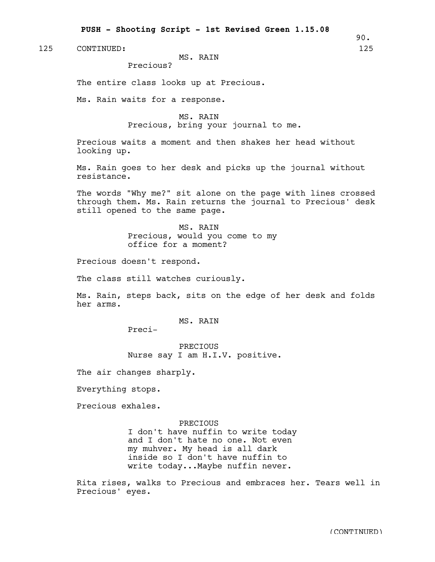MS. RAIN

Precious?

The entire class looks up at Precious.

Ms. Rain waits for a response.

MS. RAIN Precious, bring your journal to me.

Precious waits a moment and then shakes her head without looking up.

Ms. Rain goes to her desk and picks up the journal without resistance.

The words "Why me?" sit alone on the page with lines crossed through them. Ms. Rain returns the journal to Precious' desk still opened to the same page.

> MS. RAIN Precious, would you come to my office for a moment?

Precious doesn't respond.

The class still watches curiously.

Ms. Rain, steps back, sits on the edge of her desk and folds her arms.

MS. RAIN

Preci-

PRECIOUS Nurse say I am H.I.V. positive.

The air changes sharply.

Everything stops.

Precious exhales.

#### **PRECTOUS**

I don't have nuffin to write today and I don't hate no one. Not even my muhver. My head is all dark inside so I don't have nuffin to write today...Maybe nuffin never.

Rita rises, walks to Precious and embraces her. Tears well in Precious' eyes.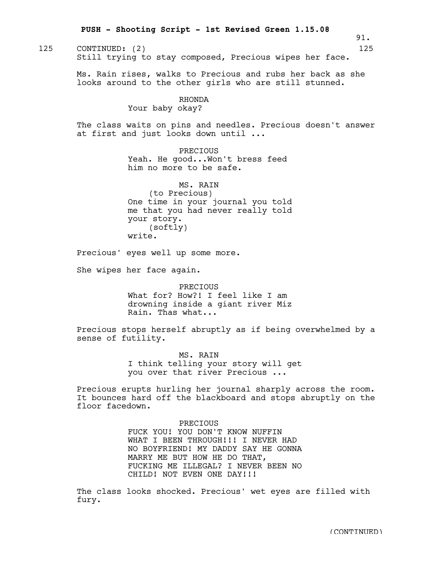Still trying to stay composed, Precious wipes her face. Ms. Rain rises, walks to Precious and rubs her back as she looks around to the other girls who are still stunned. RHONDA Your baby okay? The class waits on pins and needles. Precious doesn't answer at first and just looks down until ... PRECIOUS Yeah. He good...Won't bress feed him no more to be safe. MS. RAIN (to Precious) One time in your journal you told me that you had never really told your story. (softly) write. Precious' eyes well up some more. She wipes her face again. **PRECTOUS** What for? How?! I feel like I am drowning inside a giant river Miz Rain. Thas what... Precious stops herself abruptly as if being overwhelmed by a sense of futility. MS. RAIN I think telling your story will get you over that river Precious ... Precious erupts hurling her journal sharply across the room. It bounces hard off the blackboard and stops abruptly on the floor facedown. PRECIOUS FUCK YOU! YOU DON'T KNOW NUFFIN WHAT I BEEN THROUGH!!! I NEVER HAD 91. 125 CONTINUED: (2) 125

**PUSH - Shooting Script - 1st Revised Green 1.15.08**

NO BOYFRIEND! MY DADDY SAY HE GONNA MARRY ME BUT HOW HE DO THAT, FUCKING ME ILLEGAL? I NEVER BEEN NO CHILD! NOT EVEN ONE DAY!!!

The class looks shocked. Precious' wet eyes are filled with fury.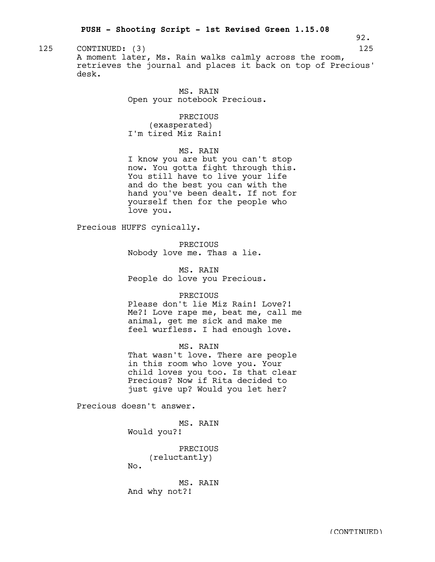# A moment later, Ms. Rain walks calmly across the room, retrieves the journal and places it back on top of Precious' desk. 125 CONTINUED: (3) 125

MS. RAIN Open your notebook Precious.

PRECIOUS (exasperated) I'm tired Miz Rain!

MS. RAIN

I know you are but you can't stop now. You gotta fight through this. You still have to live your life and do the best you can with the hand you've been dealt. If not for yourself then for the people who love you.

Precious HUFFS cynically.

PRECIOUS Nobody love me. Thas a lie.

MS. RAIN People do love you Precious.

#### PRECIOUS

Please don't lie Miz Rain! Love?! Me?! Love rape me, beat me, call me animal, get me sick and make me feel wurfless. I had enough love.

# MS. RAIN

That wasn't love. There are people in this room who love you. Your child loves you too. Is that clear Precious? Now if Rita decided to just give up? Would you let her?

Precious doesn't answer.

MS. RAIN Would you?! PRECIOUS (reluctantly) No.

MS. RAIN And why not?!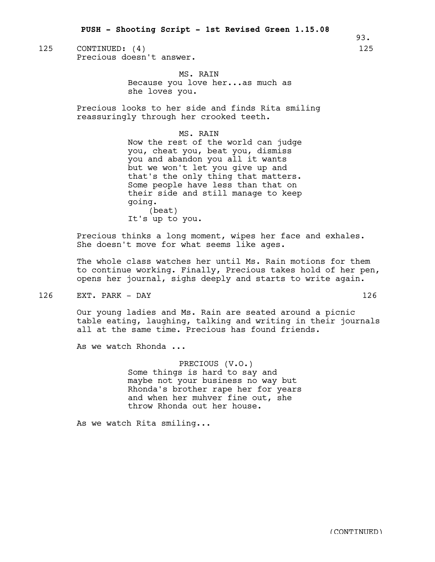Precious doesn't answer. 125 CONTINUED: (4) 125

> MS. RAIN Because you love her...as much as she loves you.

Precious looks to her side and finds Rita smiling reassuringly through her crooked teeth.

> MS. RAIN Now the rest of the world can judge you, cheat you, beat you, dismiss you and abandon you all it wants but we won't let you give up and that's the only thing that matters. Some people have less than that on their side and still manage to keep going. (beat) It's up to you.

Precious thinks a long moment, wipes her face and exhales. She doesn't move for what seems like ages.

The whole class watches her until Ms. Rain motions for them to continue working. Finally, Precious takes hold of her pen, opens her journal, sighs deeply and starts to write again.

126 EXT. PARK - DAY 126

Our young ladies and Ms. Rain are seated around a picnic table eating, laughing, talking and writing in their journals all at the same time. Precious has found friends.

As we watch Rhonda ...

PRECIOUS (V.O.) Some things is hard to say and maybe not your business no way but Rhonda's brother rape her for years and when her muhver fine out, she throw Rhonda out her house.

As we watch Rita smiling...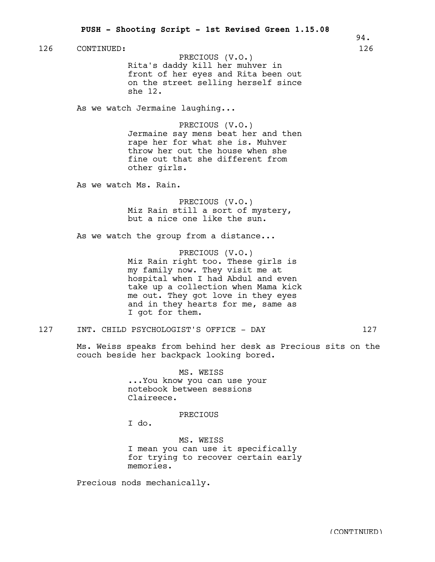PRECIOUS (V.O.) Rita's daddy kill her muhver in front of her eyes and Rita been out on the street selling herself since she 12.

As we watch Jermaine laughing...

PRECIOUS (V.O.) Jermaine say mens beat her and then rape her for what she is. Muhver throw her out the house when she fine out that she different from other girls.

As we watch Ms. Rain.

PRECIOUS (V.O.) Miz Rain still a sort of mystery, but a nice one like the sun.

As we watch the group from a distance...

PRECIOUS (V.O.) Miz Rain right too. These girls is my family now. They visit me at hospital when I had Abdul and even take up a collection when Mama kick me out. They got love in they eyes and in they hearts for me, same as I got for them.

### 127 INT. CHILD PSYCHOLOGIST'S OFFICE - DAY 127

Ms. Weiss speaks from behind her desk as Precious sits on the couch beside her backpack looking bored.

> MS. WEISS ...You know you can use your notebook between sessions Claireece.

> > PRECIOUS

I do.

MS. WEISS I mean you can use it specifically for trying to recover certain early memories.

Precious nods mechanically.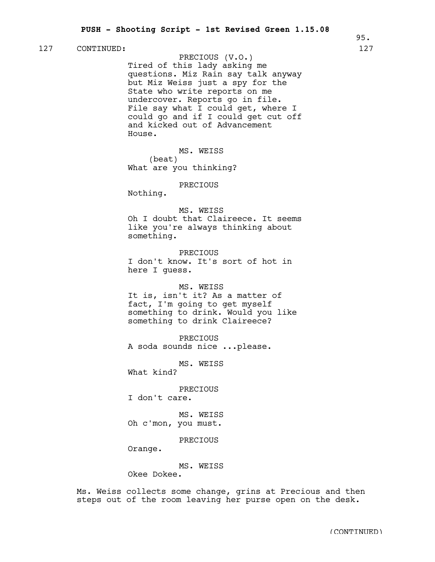PRECIOUS (V.O.)

Tired of this lady asking me questions. Miz Rain say talk anyway but Miz Weiss just a spy for the State who write reports on me undercover. Reports go in file. File say what I could get, where I could go and if I could get cut off and kicked out of Advancement House.

MS. WEISS (beat) What are you thinking?

PRECIOUS

Nothing.

MS. WEISS

Oh I doubt that Claireece. It seems like you're always thinking about something.

PRECIOUS I don't know. It's sort of hot in here I guess.

MS. WEISS

It is, isn't it? As a matter of fact, I'm going to get myself something to drink. Would you like something to drink Claireece?

PRECIOUS A soda sounds nice ...please.

MS. WEISS What kind?

PRECIOUS

I don't care.

MS. WEISS Oh c'mon, you must.

PRECIOUS

Orange.

MS. WEISS

Okee Dokee.

Ms. Weiss collects some change, grins at Precious and then steps out of the room leaving her purse open on the desk.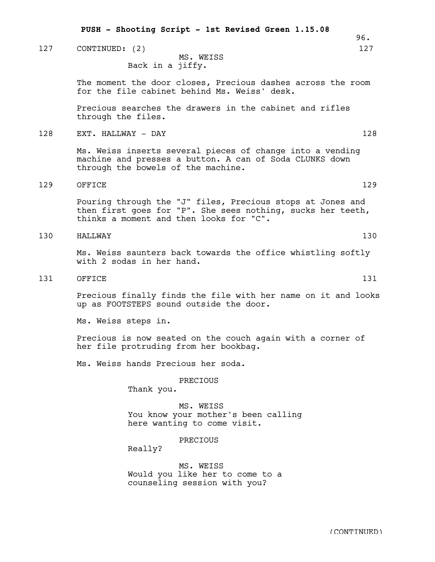127 CONTINUED: (2) 127

MS. WEISS Back in a jiffy.

The moment the door closes, Precious dashes across the room for the file cabinet behind Ms. Weiss' desk.

Precious searches the drawers in the cabinet and rifles through the files.

128 EXT. HALLWAY - DAY 128

Ms. Weiss inserts several pieces of change into a vending machine and presses a button. A can of Soda CLUNKS down through the bowels of the machine.

129 OFFICE 2008 129

Pouring through the "J" files, Precious stops at Jones and then first goes for "P". She sees nothing, sucks her teeth, thinks a moment and then looks for "C".

130 HALLWAY 130

Ms. Weiss saunters back towards the office whistling softly with 2 sodas in her hand.

131 OFFICE 2131

Precious finally finds the file with her name on it and looks up as FOOTSTEPS sound outside the door.

Ms. Weiss steps in.

Precious is now seated on the couch again with a corner of her file protruding from her bookbag.

Ms. Weiss hands Precious her soda.

PRECIOUS

Thank you.

MS. WEISS You know your mother's been calling here wanting to come visit.

PRECIOUS

Really?

MS. WEISS Would you like her to come to a counseling session with you?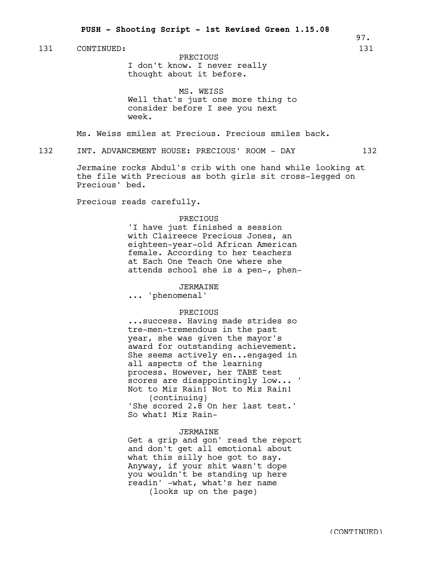PRECIOUS I don't know. I never really thought about it before.

MS. WEISS Well that's just one more thing to consider before I see you next week.

Ms. Weiss smiles at Precious. Precious smiles back.

132 INT. ADVANCEMENT HOUSE: PRECIOUS' ROOM - DAY 132

Jermaine rocks Abdul's crib with one hand while looking at the file with Precious as both girls sit cross-legged on Precious' bed.

Precious reads carefully.

#### PRECIOUS

'I have just finished a session with Claireece Precious Jones, an eighteen-year-old African American female. According to her teachers at Each One Teach One where she attends school she is a pen-, phen-

#### **JERMAINE**

... 'phenomenal'

### PRECIOUS

...success. Having made strides so tre-men-tremendous in the past year, she was given the mayor's award for outstanding achievement. She seems actively en...engaged in all aspects of the learning process. However, her TABE test scores are disappointingly low... ' Not to Miz Rain! Not to Miz Rain! (continuing)

'She scored 2.8 On her last test.' So what! Miz Rain-

#### JERMAINE

Get a grip and gon' read the report and don't get all emotional about what this silly hoe got to say. Anyway, if your shit wasn't dope you wouldn't be standing up here readin' -what, what's her name (looks up on the page)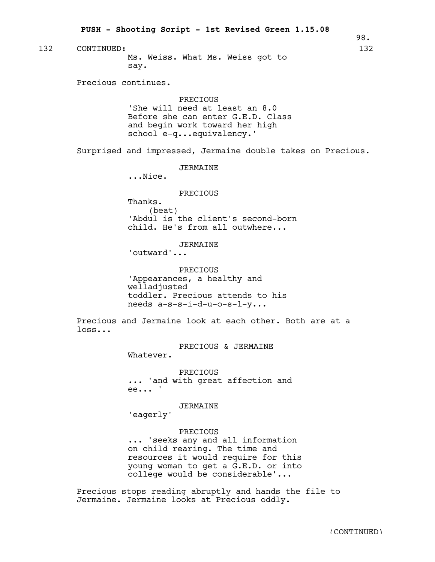Ms. Weiss. What Ms. Weiss got to say. Precious continues. PRECIOUS 'She will need at least an 8.0 Before she can enter G.E.D. Class and begin work toward her high school e-q...equivalency.' Surprised and impressed, Jermaine double takes on Precious. JERMAINE ...Nice. PRECIOUS Thanks. (beat) 'Abdul is the client's second-born child. He's from all outwhere... JERMAINE 'outward'... PRECIOUS 'Appearances, a healthy and welladjusted toddler. Precious attends to his needs a-s-s-i-d-u-o-s-l-y... Precious and Jermaine look at each other. Both are at a loss... PRECIOUS & JERMAINE Whatever. PRECIOUS ... 'and with great affection and ee... ' JERMAINE 'eagerly' PRECIOUS ... 'seeks any and all information on child rearing. The time and resources it would require for this young woman to get a G.E.D. or into college would be considerable'... **PUSH - Shooting Script - 1st Revised Green 1.15.08** 98. 132 CONTINUED: 132

Precious stops reading abruptly and hands the file to Jermaine. Jermaine looks at Precious oddly.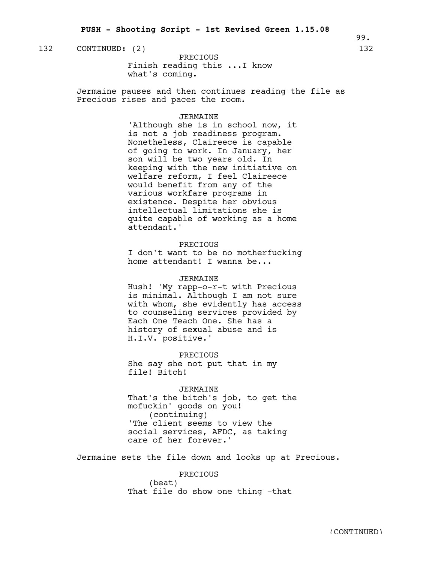132 CONTINUED: (2) 132

PRECIOUS Finish reading this ...I know what's coming.

Jermaine pauses and then continues reading the file as Precious rises and paces the room.

#### JERMAINE

'Although she is in school now, it is not a job readiness program. Nonetheless, Claireece is capable of going to work. In January, her son will be two years old. In keeping with the new initiative on welfare reform, I feel Claireece would benefit from any of the various workfare programs in existence. Despite her obvious intellectual limitations she is quite capable of working as a home attendant.'

#### PRECIOUS

I don't want to be no motherfucking home attendant! I wanna be...

#### JERMAINE

Hush! 'My rapp-o-r-t with Precious is minimal. Although I am not sure with whom, she evidently has access to counseling services provided by Each One Teach One. She has a history of sexual abuse and is H.I.V. positive.'

PRECIOUS She say she not put that in my file! Bitch!

JERMAINE That's the bitch's job, to get the mofuckin' goods on you! (continuing) 'The client seems to view the social services, AFDC, as taking care of her forever.'

Jermaine sets the file down and looks up at Precious.

PRECIOUS (beat) That file do show one thing -that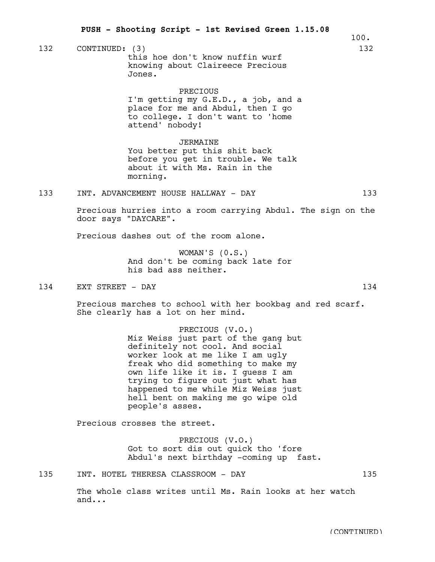this hoe don't know nuffin wurf knowing about Claireece Precious Jones. 132 CONTINUED: (3) 132

#### PRECIOUS

I'm getting my G.E.D., a job, and a place for me and Abdul, then I go to college. I don't want to 'home attend' nobody!

# JERMAINE

You better put this shit back before you get in trouble. We talk about it with Ms. Rain in the morning.

#### 133 INT. ADVANCEMENT HOUSE HALLWAY - DAY 133

Precious hurries into a room carrying Abdul. The sign on the door says "DAYCARE".

Precious dashes out of the room alone.

WOMAN'S (0.S.) And don't be coming back late for his bad ass neither.

#### 134 EXT STREET - DAY 134

Precious marches to school with her bookbag and red scarf. She clearly has a lot on her mind.

# PRECIOUS (V.O.) Miz Weiss just part of the gang but definitely not cool. And social worker look at me like I am ugly freak who did something to make my own life like it is. I guess I am trying to figure out just what has happened to me while Miz Weiss just hell bent on making me go wipe old people's asses.

Precious crosses the street.

PRECIOUS (V.O.) Got to sort dis out quick tho 'fore Abdul's next birthday -coming up fast.

135 INT. HOTEL THERESA CLASSROOM - DAY 135

The whole class writes until Ms. Rain looks at her watch and...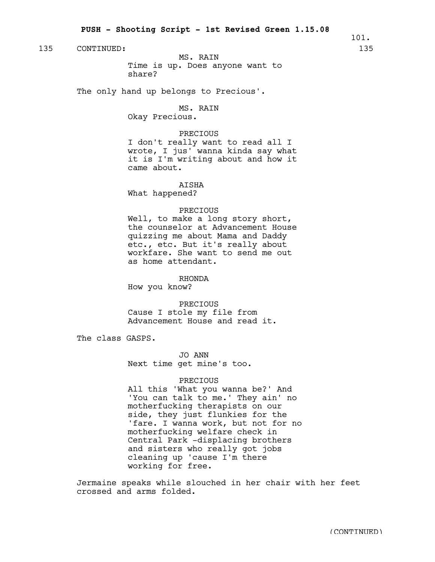MS. RAIN Time is up. Does anyone want to share?

The only hand up belongs to Precious'.

MS. RAIN

Okay Precious.

#### PRECIOUS

I don't really want to read all I wrote, I jus' wanna kinda say what it is I'm writing about and how it came about.

AISHA

What happened?

#### PRECIOUS

Well, to make a long story short, the counselor at Advancement House quizzing me about Mama and Daddy etc., etc. But it's really about workfare. She want to send me out as home attendant.

RHONDA

How you know?

# PRECIOUS Cause I stole my file from

Advancement House and read it.

The class GASPS.

JO ANN Next time get mine's too.

#### PRECIOUS

All this 'What you wanna be?' And 'You can talk to me.' They ain' no motherfucking therapists on our side, they just flunkies for the 'fare. I wanna work, but not for no motherfucking welfare check in Central Park -displacing brothers and sisters who really got jobs cleaning up 'cause I'm there working for free.

Jermaine speaks while slouched in her chair with her feet crossed and arms folded.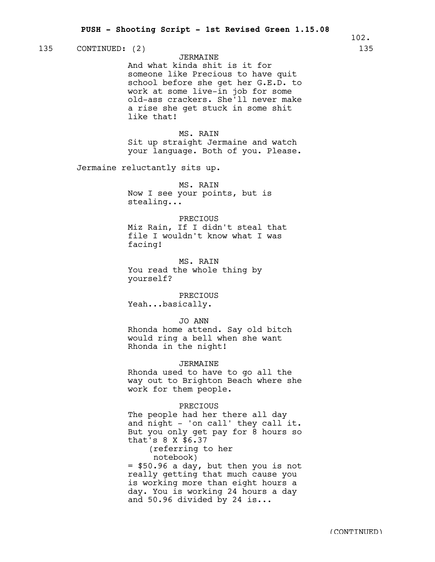135 CONTINUED: (2) 135

JERMAINE

And what kinda shit is it for someone like Precious to have quit school before she get her G.E.D. to work at some live-in job for some old-ass crackers. She'll never make a rise she get stuck in some shit like that!

MS. RAIN Sit up straight Jermaine and watch your language. Both of you. Please.

Jermaine reluctantly sits up.

MS. RAIN Now I see your points, but is stealing...

PRECIOUS

Miz Rain, If I didn't steal that file I wouldn't know what I was facing!

MS. RAIN You read the whole thing by yourself?

PRECIOUS Yeah...basically.

JO ANN

Rhonda home attend. Say old bitch would ring a bell when she want Rhonda in the night!

JERMAINE

Rhonda used to have to go all the way out to Brighton Beach where she work for them people.

PRECIOUS

The people had her there all day and night - 'on call' they call it. But you only get pay for 8 hours so that's 8 X \$6.37

> (referring to her notebook)

= \$50.96 a day, but then you is not really getting that much cause you is working more than eight hours a day. You is working 24 hours a day and 50.96 divided by 24 is...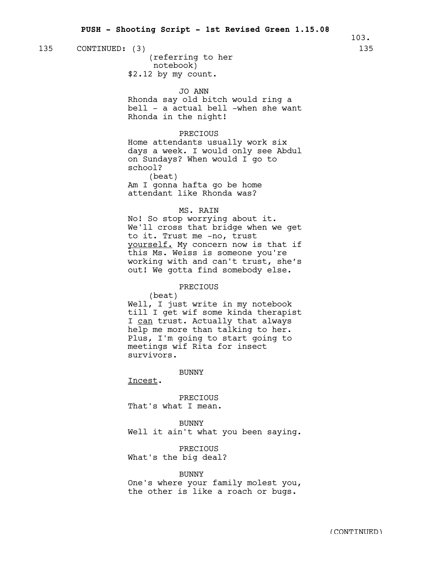135 CONTINUED: (3) 135

(referring to her notebook) \$2.12 by my count.

#### JO ANN

Rhonda say old bitch would ring a bell - a actual bell -when she want Rhonda in the night!

#### PRECIOUS

Home attendants usually work six days a week. I would only see Abdul on Sundays? When would I go to school? (beat)

Am I gonna hafta go be home attendant like Rhonda was?

## MS. RAIN

No! So stop worrying about it. We'll cross that bridge when we get to it. Trust me -no, trust yourself. My concern now is that if this Ms. Weiss is someone you're working with and can't trust, she's out! We gotta find somebody else.

#### PRECIOUS

(beat) Well, I just write in my notebook till I get wif some kinda therapist I can trust. Actually that always help me more than talking to her. Plus, I'm going to start going to meetings wif Rita for insect survivors.

BUNNY

Incest.

PRECIOUS That's what I mean.

BUNNY Well it ain't what you been saying.

PRECIOUS What's the big deal?

BUNNY

One's where your family molest you, the other is like a roach or bugs.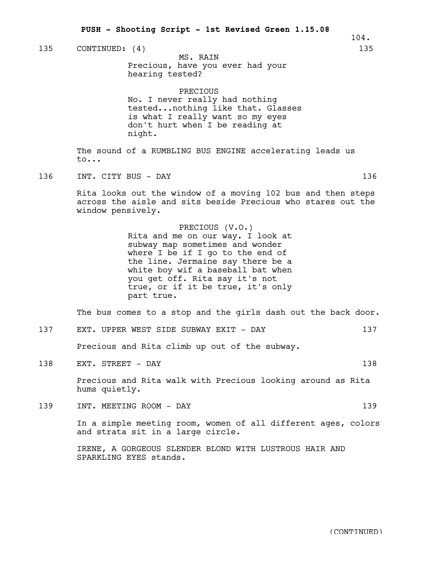**PUSH - Shooting Script - 1st Revised Green 1.15.08**

104.

135 CONTINUED: (4) 135

MS. RAIN Precious, have you ever had your hearing tested?

PRECIOUS No. I never really had nothing tested...nothing like that. Glasses is what I really want so my eyes don't hurt when I be reading at night.

The sound of a RUMBLING BUS ENGINE accelerating leads us to...

136 INT. CITY BUS - DAY 136

Rita looks out the window of a moving 102 bus and then steps across the aisle and sits beside Precious who stares out the window pensively.

> PRECIOUS (V.O.) Rita and me on our way. I look at subway map sometimes and wonder where I be if I go to the end of the line. Jermaine say there be a white boy wif a baseball bat when you get off. Rita say it's not true, or if it be true, it's only part true.

The bus comes to a stop and the girls dash out the back door.

137 EXT. UPPER WEST SIDE SUBWAY EXIT - DAY 137

Precious and Rita climb up out of the subway.

138 EXT. STREET - DAY 138

Precious and Rita walk with Precious looking around as Rita hums quietly.

139 INT. MEETING ROOM - DAY 139

In a simple meeting room, women of all different ages, colors and strata sit in a large circle.

IRENE, A GORGEOUS SLENDER BLOND WITH LUSTROUS HAIR AND SPARKLING EYES stands.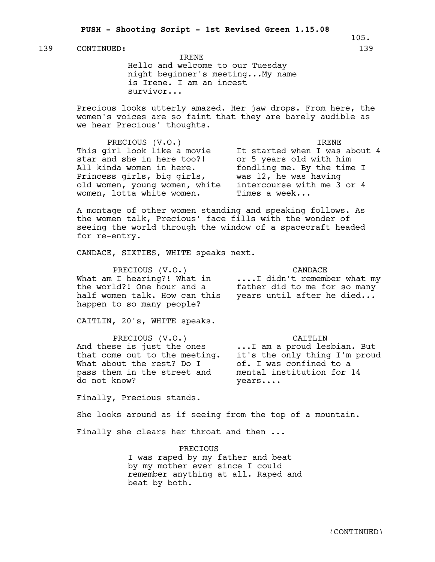IRENE Hello and welcome to our Tuesday night beginner's meeting...My name is Irene. I am an incest survivor...

Precious looks utterly amazed. Her jaw drops. From here, the women's voices are so faint that they are barely audible as we hear Precious' thoughts.

PRECIOUS (V.O.) This girl look like a movie star and she in here too?! All kinda women in here. Princess girls, big girls, old women, young women, white women, lotta white women. IRENE It started when I was about 4 or 5 years old with him fondling me. By the time I was 12, he was having intercourse with me 3 or 4 Times a week...

A montage of other women standing and speaking follows. As the women talk, Precious' face fills with the wonder of seeing the world through the window of a spacecraft headed for re-entry.

CANDACE, SIXTIES, WHITE speaks next.

PRECIOUS (V.O.) What am I hearing?! What in the world?! One hour and a father did to me for so many half women talk. How can this happen to so many people? CANDACE ....I didn't remember what my father did to me for so many years until after he died...

CAITLIN, 20's, WHITE speaks.

PRECIOUS (V.O.) And these is just the ones that come out to the meeting. it's the only thing I'm proud What about the rest? Do I pass them in the street and do not know?

CAITLIN ...I am a proud lesbian. But of. I was confined to a mental institution for 14 years....

Finally, Precious stands.

She looks around as if seeing from the top of a mountain.

Finally she clears her throat and then ...

PRECIOUS I was raped by my father and beat by my mother ever since I could remember anything at all. Raped and beat by both.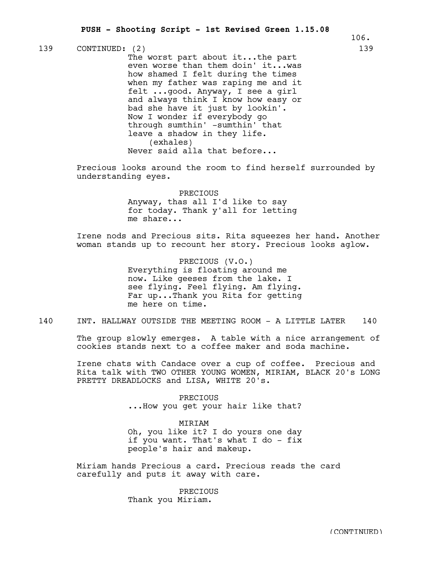**PUSH - Shooting Script - 1st Revised Green 1.15.08**

106.

# 139 CONTINUED: (2) 139

The worst part about it...the part even worse than them doin' it...was how shamed I felt during the times when my father was raping me and it felt ...good. Anyway, I see a girl and always think I know how easy or bad she have it just by lookin'. Now I wonder if everybody go through sumthin' -sumthin' that leave a shadow in they life. (exhales) Never said alla that before...

Precious looks around the room to find herself surrounded by understanding eyes.

> PRECIOUS Anyway, thas all I'd like to say for today. Thank y'all for letting me share...

Irene nods and Precious sits. Rita squeezes her hand. Another woman stands up to recount her story. Precious looks aglow.

> PRECIOUS (V.O.) Everything is floating around me now. Like geeses from the lake. I see flying. Feel flying. Am flying. Far up...Thank you Rita for getting me here on time.

# 140 INT. HALLWAY OUTSIDE THE MEETING ROOM - A LITTLE LATER 140

The group slowly emerges. A table with a nice arrangement of cookies stands next to a coffee maker and soda machine.

Irene chats with Candace over a cup of coffee. Precious and Rita talk with TWO OTHER YOUNG WOMEN, MIRIAM, BLACK 20's LONG PRETTY DREADLOCKS and LISA, WHITE 20's.

> PRECIOUS ...How you get your hair like that?

> MIRIAM Oh, you like it? I do yours one day if you want. That's what I do -  $fix$ people's hair and makeup.

Miriam hands Precious a card. Precious reads the card carefully and puts it away with care.

> PRECIOUS Thank you Miriam.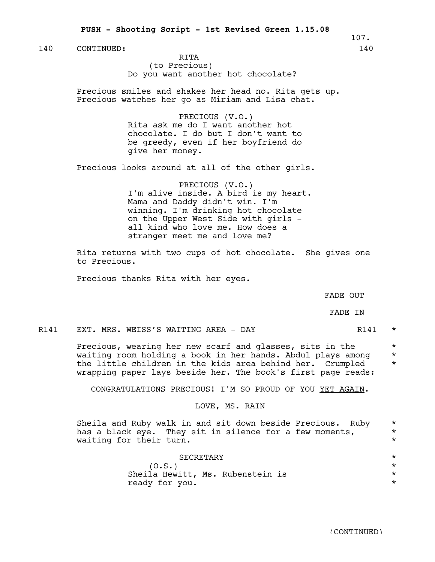RITA (to Precious) Do you want another hot chocolate?

Precious smiles and shakes her head no. Rita gets up. Precious watches her go as Miriam and Lisa chat.

> PRECIOUS (V.O.) Rita ask me do I want another hot chocolate. I do but I don't want to be greedy, even if her boyfriend do give her money.

Precious looks around at all of the other girls.

PRECIOUS (V.O.) I'm alive inside. A bird is my heart. Mama and Daddy didn't win. I'm winning. I'm drinking hot chocolate on the Upper West Side with girls all kind who love me. How does a stranger meet me and love me?

Rita returns with two cups of hot chocolate. She gives one to Precious.

Precious thanks Rita with her eyes.

FADE OUT

FADE IN

R141 EXT. MRS. WEISS'S WAITING AREA - DAY FILL THAT A R141  $\star$ 

Precious, wearing her new scarf and glasses, sits in the  $*$ <br>waiting room holding a book in her bands. Abdul plays among  $*$ waiting room holding a book in her hands. Abdul plays among \* the little children in the kids area behind her. Crumpled \* wrapping paper lays beside her. The book's first page reads:

CONGRATULATIONS PRECIOUS! I'M SO PROUD OF YOU YET AGAIN.

# LOVE, MS. RAIN

Sheila and Ruby walk in and sit down beside Precious. Ruby \* has a black eye. They sit in silence for a few moments,  $*$ waiting for their turn.  $*$ 

> SECRETARY \*  $(0.S.)$ Sheila Hewitt, Ms. Rubenstein is  $\begin{array}{ccc}\n\star \\
> \star \\
> \star\n\end{array}$ ready for you. \*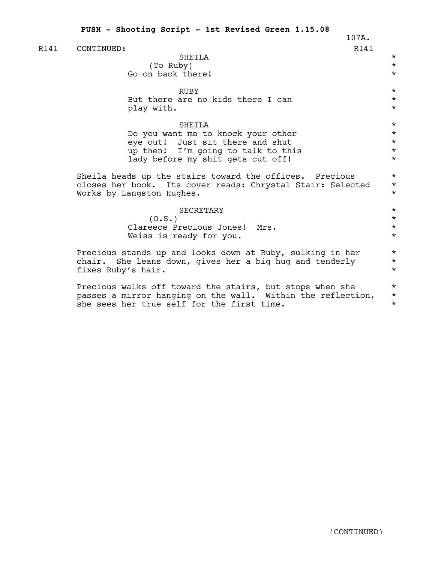|      | PUSH - Shooting Script - 1st Revised Green 1.15.08                      |                    |
|------|-------------------------------------------------------------------------|--------------------|
|      | 107A.                                                                   |                    |
| R141 | R141<br>CONTINUED:                                                      |                    |
|      | <b>SHEILA</b>                                                           | $^\star$           |
|      | (To Ruby)                                                               | $\star$            |
|      | Go on back there!                                                       | $\star$            |
|      | <b>RUBY</b>                                                             | $\star$            |
|      | But there are no kids there I can                                       | $\star$            |
|      | play with.                                                              | $\star$            |
|      | <b>SHEILA</b>                                                           | $\star$            |
|      | Do you want me to knock your other                                      | $\star$            |
|      | eye out! Just sit there and shut                                        | $\star$            |
|      | up then! I'm going to talk to this<br>lady before my shit gets cut off! | $\star$<br>$\star$ |
|      |                                                                         |                    |
|      | Sheila heads up the stairs toward the offices. Precious                 | $\star$            |
|      | closes her book. Its cover reads: Chrystal Stair: Selected              | $\star$            |
|      | Works by Langston Hughes.                                               | $\star$            |
|      | <b>SECRETARY</b>                                                        | $\star$            |
|      | (0.S.)                                                                  | $\star$            |
|      | Clareece Precious Jones!<br>Mrs.                                        | $\star$            |
|      | Weiss is ready for you.                                                 | $\star$            |
|      | Precious stands up and looks down at Ruby, sulking in her               | $\star$            |
|      | chair. She leans down, gives her a big hug and tenderly                 | $\star$            |
|      | fixes Ruby's hair.                                                      | $\star$            |
|      | Precious walks off toward the stairs, but stops when she                | $\star$            |
|      | passes a mirror hanging on the wall. Within the reflection,             | $\star$            |
|      | she sees her true self for the first time.                              | $^\star$           |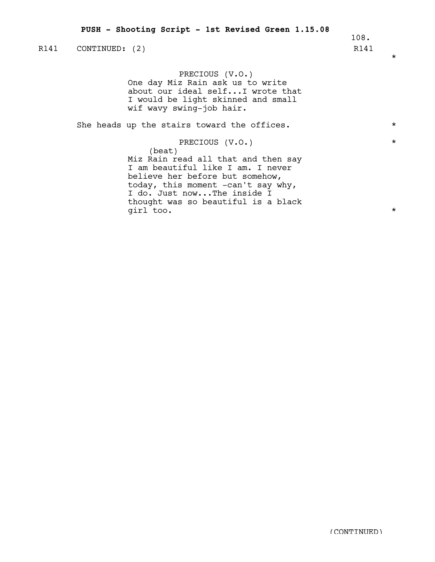\*

# PRECIOUS (V.O.)

One day Miz Rain ask us to write about our ideal self...I wrote that I would be light skinned and small wif wavy swing-job hair.

She heads up the stairs toward the offices.  $*$ 

# PRECIOUS (V.O.)  $*$

(beat) Miz Rain read all that and then say I am beautiful like I am. I never believe her before but somehow, today, this moment -can't say why, I do. Just now...The inside I thought was so beautiful is a black girl too.  $*$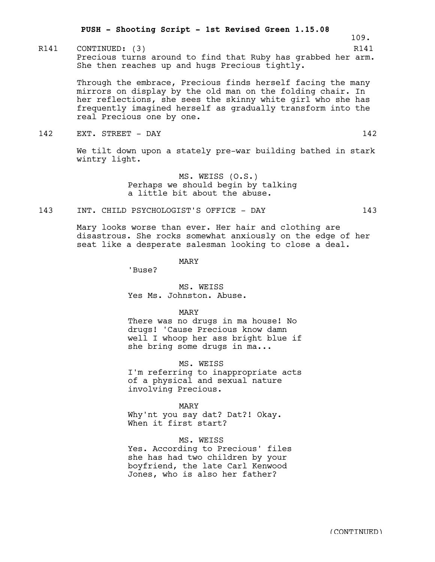Precious turns around to find that Ruby has grabbed her arm. She then reaches up and hugs Precious tightly. R141 CONTINUED: (3) R141

> Through the embrace, Precious finds herself facing the many mirrors on display by the old man on the folding chair. In her reflections, she sees the skinny white girl who she has frequently imagined herself as gradually transform into the real Precious one by one.

142 EXT. STREET - DAY 142

109.

We tilt down upon a stately pre-war building bathed in stark wintry light.

> MS. WEISS (O.S.) Perhaps we should begin by talking a little bit about the abuse.

143 INT. CHILD PSYCHOLOGIST'S OFFICE - DAY 143

Mary looks worse than ever. Her hair and clothing are disastrous. She rocks somewhat anxiously on the edge of her seat like a desperate salesman looking to close a deal.

MARY

'Buse?

MS. WEISS Yes Ms. Johnston. Abuse.

#### MARY

There was no drugs in ma house! No drugs! 'Cause Precious know damn well I whoop her ass bright blue if she bring some drugs in ma...

MS. WEISS I'm referring to inappropriate acts of a physical and sexual nature

involving Precious. MARY

Why'nt you say dat? Dat?! Okay. When it first start?

MS. WEISS Yes. According to Precious' files she has had two children by your boyfriend, the late Carl Kenwood Jones, who is also her father?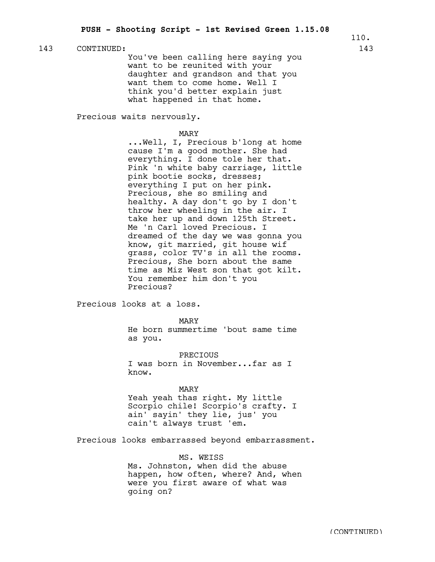You've been calling here saying you want to be reunited with your daughter and grandson and that you want them to come home. Well I think you'd better explain just what happened in that home.

Precious waits nervously.

#### MARY

...Well, I, Precious b'long at home cause I'm a good mother. She had everything. I done tole her that. Pink 'n white baby carriage, little pink bootie socks, dresses; everything I put on her pink. Precious, she so smiling and healthy. A day don't go by I don't throw her wheeling in the air. I take her up and down 125th Street. Me 'n Carl loved Precious. I dreamed of the day we was gonna you know, git married, git house wif grass, color TV's in all the rooms. Precious, She born about the same time as Miz West son that got kilt. You remember him don't you Precious?

Precious looks at a loss.

MARY He born summertime 'bout same time as you.

PRECIOUS I was born in November...far as I know.

MARY

Yeah yeah thas right. My little Scorpio chile! Scorpio's crafty. I ain' sayin' they lie, jus' you cain't always trust 'em.

Precious looks embarrassed beyond embarrassment.

MS. WEISS

Ms. Johnston, when did the abuse happen, how often, where? And, when were you first aware of what was going on?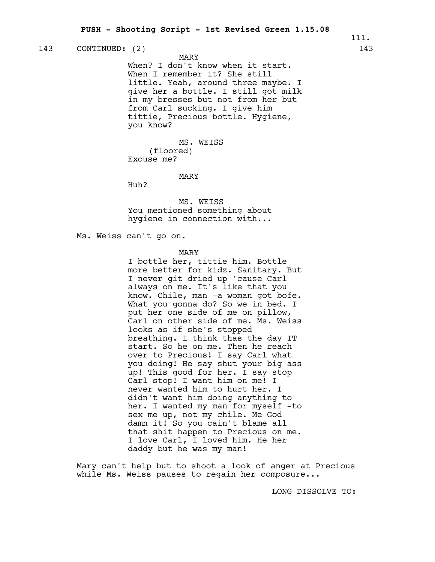143 CONTINUED: (2) 143

MARY

When? I don't know when it start. When I remember it? She still little. Yeah, around three maybe. I give her a bottle. I still got milk in my bresses but not from her but from Carl sucking. I give him tittie, Precious bottle. Hygiene, you know?

MS. WEISS (floored) Excuse me?

MARY

Huh?

MS. WEISS You mentioned something about hygiene in connection with...

Ms. Weiss can't go on.

MARY

I bottle her, tittie him. Bottle more better for kidz. Sanitary. But I never git dried up 'cause Carl always on me. It's like that you know. Chile, man -a woman got bofe. What you gonna do? So we in bed. I put her one side of me on pillow, Carl on other side of me. Ms. Weiss looks as if she's stopped breathing. I think thas the day IT start. So he on me. Then he reach over to Precious! I say Carl what you doing! He say shut your big ass up! This good for her. I say stop Carl stop! I want him on me! I never wanted him to hurt her. I didn't want him doing anything to her. I wanted my man for myself -to sex me up, not my chile. Me God damn it! So you cain't blame all that shit happen to Precious on me. I love Carl, I loved him. He her daddy but he was my man!

Mary can't help but to shoot a look of anger at Precious while Ms. Weiss pauses to regain her composure...

LONG DISSOLVE TO: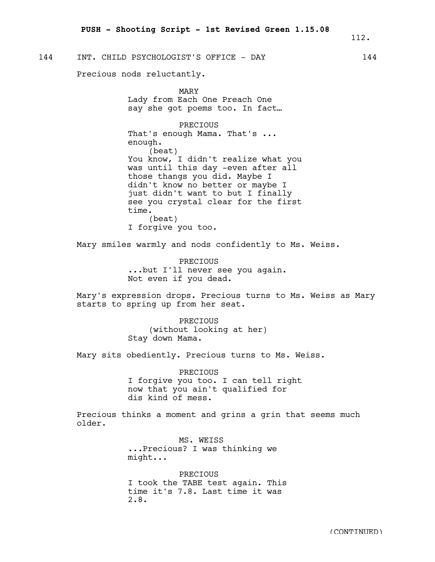112.

#### 144 INT. CHILD PSYCHOLOGIST'S OFFICE - DAY 144

Precious nods reluctantly.

MARY Lady from Each One Preach One say she got poems too. In fact…

PRECIOUS That's enough Mama. That's ... enough. (beat) You know, I didn't realize what you was until this day -even after all those thangs you did. Maybe I didn't know no better or maybe I just didn't want to but I finally see you crystal clear for the first time. (beat) I forgive you too.

Mary smiles warmly and nods confidently to Ms. Weiss.

PRECIOUS ...but I'll never see you again. Not even if you dead.

Mary's expression drops. Precious turns to Ms. Weiss as Mary starts to spring up from her seat.

> PRECIOUS (without looking at her) Stay down Mama.

Mary sits obediently. Precious turns to Ms. Weiss.

PRECIOUS I forgive you too. I can tell right now that you ain't qualified for dis kind of mess.

Precious thinks a moment and grins a grin that seems much older.

> MS. WEISS ...Precious? I was thinking we might...

PRECIOUS I took the TABE test again. This time it's 7.8. Last time it was 2.8.